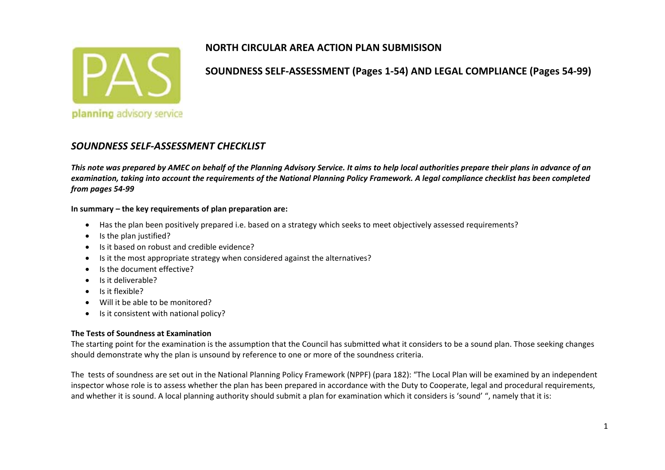

**SOUNDNESS SELF‐ASSESSMENT (Pages 1‐54) AND LEGAL COMPLIANCE (Pages 54‐99)**

#### *SOUNDNESS SELF‐ASSESSMENT CHECKLIST*

This note was prepared by AMEC on behalf of the Planning Advisory Service. It aims to help local authorities prepare their plans in advance of an examination, taking into account the requirements of the National Planning Policy Framework. A legal compliance checklist has been completed *from pages 54‐99*

#### **In summary – the key requirements of plan preparation are:**

- Has the plan been positively prepared i.e. based on <sup>a</sup> strategy which seeks to meet objectively assessed requirements?
- $\bullet$ • Is the plan justified?
- **•** Is it based on robust and credible evidence?
- c • Is it the most appropriate strategy when considered against the alternatives?
- $\bullet$ • Is the document effective?
- $\bullet$ Is it deliverable?
- Is it flexible?
- . Will it be able to be monitored?
- $\bullet$ • Is it consistent with national policy?

#### **The Tests of Soundness at Examination**

The starting point for the examination is the assumption that the Council has submitted what it considers to be <sup>a</sup> sound plan. Those seeking changes should demonstrate why the plan is unsound by reference to one or more of the soundness criteria.

The tests of soundness are set out in the National Planning Policy Framework (NPPF) (para 182): "The Local Plan will be examined by an independent inspector whose role is to assess whether the plan has been prepared in accordance with the Duty to Cooperate, legal and procedural requirements, and whether it is sound. A local planning authority should submit <sup>a</sup> plan for examination which it considers is 'sound' ", namely that it is: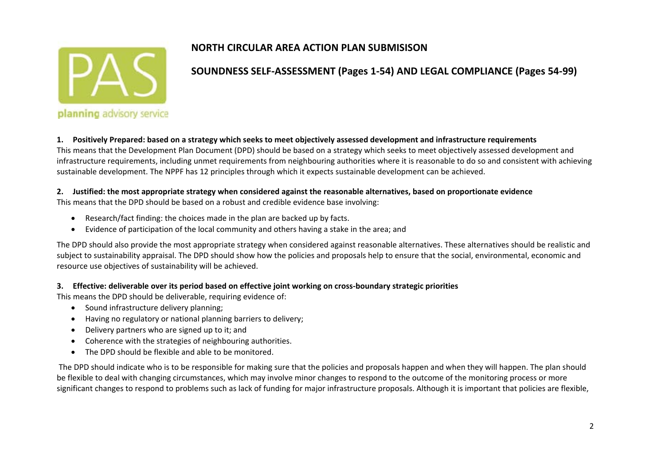

# **SOUNDNESS SELF‐ASSESSMENT (Pages 1‐54) AND LEGAL COMPLIANCE (Pages 54‐99)**

1. Positively Prepared: based on a strategy which seeks to meet objectively assessed development and infrastructure requirements

This means that the Development Plan Document (DPD) should be based on <sup>a</sup> strategy which seeks to meet objectively assessed development and infrastructure requirements, including unmet requirements from neighbouring authorities where it is reasonable to do so and consistent with achieving sustainable development. The NPPF has 12 principles through which it expects sustainable development can be achieved.

#### 2. Justified: the most appropriate strategy when considered against the reasonable alternatives, based on proportionate evidence

This means that the DPD should be based on <sup>a</sup> robust and credible evidence base involving:

- $\bullet$ Research/fact finding: the choices made in the plan are backed up by facts.
- $\bullet$ Evidence of participation of the local community and others having <sup>a</sup> stake in the area; and

The DPD should also provide the most appropriate strategy when considered against reasonable alternatives. These alternatives should be realistic and subject to sustainability appraisal. The DPD should show how the policies and proposals help to ensure that the social, environmental, economic and resource use objectives of sustainability will be achieved.

#### 3. Effective: deliverable over its period based on effective joint working on cross-boundary strategic priorities

This means the DPD should be deliverable, requiring evidence of:

- **•** Sound infrastructure delivery planning;
- $\bullet$ Having no regulatory or national planning barriers to delivery;
- $\bullet$ Delivery partners who are signed up to it; and
- Coherence with the strategies of neighbouring authorities.
- $\bullet$ The DPD should be flexible and able to be monitored.

The DPD should indicate who is to be responsible for making sure that the policies and proposals happen and when they will happen. The plan should be flexible to deal with changing circumstances, which may involve minor changes to respond to the outcome of the monitoring process or more significant changes to respond to problems such as lack of funding for major infrastructure proposals. Although it is important that policies are flexible,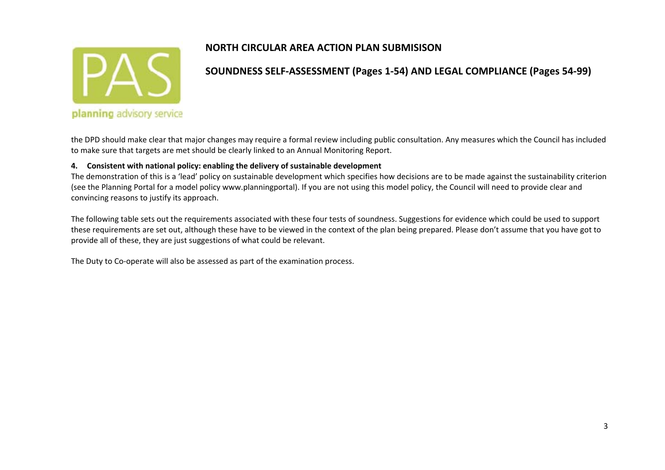

#### **SOUNDNESS SELF‐ASSESSMENT (Pages 1‐54) AND LEGAL COMPLIANCE (Pages 54‐99)**

the DPD should make clear that major changes may require <sup>a</sup> formal review including public consultation. Any measures which the Council has included to make sure that targets are met should be clearly linked to an Annual Monitoring Report.

#### **4. Consistent with national policy: enabling the delivery of sustainable development**

The demonstration of this is <sup>a</sup> 'lead' policy on sustainable development which specifies how decisions are to be made against the sustainability criterion (see the Planning Portal for <sup>a</sup> model policy www.planningportal). If you are not using this model policy, the Council will need to provide clear and convincing reasons to justify its approach.

The following table sets out the requirements associated with these four tests of soundness. Suggestions for evidence which could be used to support these requirements are set out, although these have to be viewed in the context of the plan being prepared. Please don't assume that you have got to provide all of these, they are just suggestions of what could be relevant.

The Duty to Co‐operate will also be assessed as part of the examination process.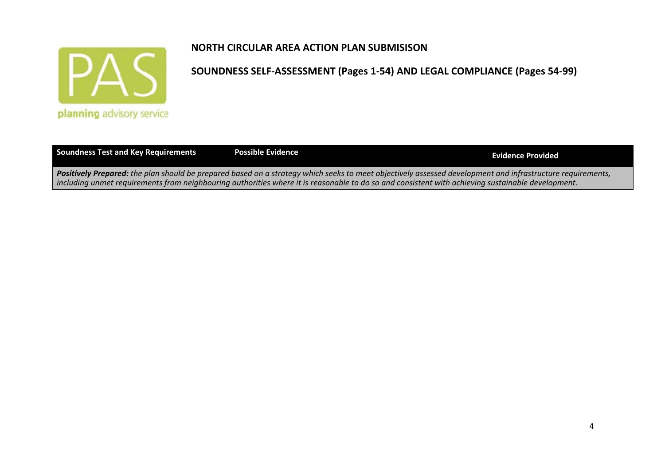

| <b>Soundness Test and Key Requirements</b>                                                                                                                        | <b>Possible Evidence</b>                                                                                                                          | Evidence Provided |
|-------------------------------------------------------------------------------------------------------------------------------------------------------------------|---------------------------------------------------------------------------------------------------------------------------------------------------|-------------------|
| <b>Positively Prepared:</b> the plan should be prepared based on a strategy which seeks to meet objectively assessed development and infrastructure requirements, |                                                                                                                                                   |                   |
|                                                                                                                                                                   | including unmet requirements from neighbouring authorities where it is reasonable to do so and consistent with achieving sustainable development. |                   |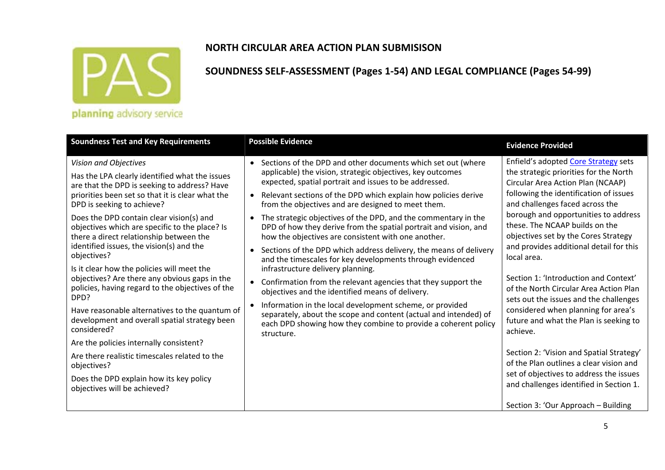

#### **SOUNDNESS SELF‐ASSESSMENT (Pages 1‐54) AND LEGAL COMPLIANCE (Pages 54‐99)**

| <b>Soundness Test and Key Requirements</b>                                                                                                                                                                                                                                                                                                                                                                                                                                                                                                                                                                                                                                                                                            | <b>Possible Evidence</b>                                                                                                                                                                                                                                                                                                                                                                                                                                                                                                                                                                                                                                                                                                                                                                                                                                                                                                                                                                                                                     | <b>Evidence Provided</b>                                                                                                                                                                                                                                                                                                                                                                                                                                                                                                                                                                               |
|---------------------------------------------------------------------------------------------------------------------------------------------------------------------------------------------------------------------------------------------------------------------------------------------------------------------------------------------------------------------------------------------------------------------------------------------------------------------------------------------------------------------------------------------------------------------------------------------------------------------------------------------------------------------------------------------------------------------------------------|----------------------------------------------------------------------------------------------------------------------------------------------------------------------------------------------------------------------------------------------------------------------------------------------------------------------------------------------------------------------------------------------------------------------------------------------------------------------------------------------------------------------------------------------------------------------------------------------------------------------------------------------------------------------------------------------------------------------------------------------------------------------------------------------------------------------------------------------------------------------------------------------------------------------------------------------------------------------------------------------------------------------------------------------|--------------------------------------------------------------------------------------------------------------------------------------------------------------------------------------------------------------------------------------------------------------------------------------------------------------------------------------------------------------------------------------------------------------------------------------------------------------------------------------------------------------------------------------------------------------------------------------------------------|
| Vision and Objectives<br>Has the LPA clearly identified what the issues<br>are that the DPD is seeking to address? Have<br>priorities been set so that it is clear what the<br>DPD is seeking to achieve?<br>Does the DPD contain clear vision(s) and<br>objectives which are specific to the place? Is<br>there a direct relationship between the<br>identified issues, the vision(s) and the<br>objectives?<br>Is it clear how the policies will meet the<br>objectives? Are there any obvious gaps in the<br>policies, having regard to the objectives of the<br>DPD?<br>Have reasonable alternatives to the quantum of<br>development and overall spatial strategy been<br>considered?<br>Are the policies internally consistent? | • Sections of the DPD and other documents which set out (where<br>applicable) the vision, strategic objectives, key outcomes<br>expected, spatial portrait and issues to be addressed.<br>• Relevant sections of the DPD which explain how policies derive<br>from the objectives and are designed to meet them.<br>The strategic objectives of the DPD, and the commentary in the<br>$\bullet$<br>DPD of how they derive from the spatial portrait and vision, and<br>how the objectives are consistent with one another.<br>• Sections of the DPD which address delivery, the means of delivery<br>and the timescales for key developments through evidenced<br>infrastructure delivery planning.<br>• Confirmation from the relevant agencies that they support the<br>objectives and the identified means of delivery.<br>• Information in the local development scheme, or provided<br>separately, about the scope and content (actual and intended) of<br>each DPD showing how they combine to provide a coherent policy<br>structure. | Enfield's adopted Core Strategy sets<br>the strategic priorities for the North<br>Circular Area Action Plan (NCAAP)<br>following the identification of issues<br>and challenges faced across the<br>borough and opportunities to address<br>these. The NCAAP builds on the<br>objectives set by the Cores Strategy<br>and provides additional detail for this<br>local area.<br>Section 1: 'Introduction and Context'<br>of the North Circular Area Action Plan<br>sets out the issues and the challenges<br>considered when planning for area's<br>future and what the Plan is seeking to<br>achieve. |
| Are there realistic timescales related to the<br>objectives?                                                                                                                                                                                                                                                                                                                                                                                                                                                                                                                                                                                                                                                                          |                                                                                                                                                                                                                                                                                                                                                                                                                                                                                                                                                                                                                                                                                                                                                                                                                                                                                                                                                                                                                                              | Section 2: 'Vision and Spatial Strategy'<br>of the Plan outlines a clear vision and                                                                                                                                                                                                                                                                                                                                                                                                                                                                                                                    |
| Does the DPD explain how its key policy<br>objectives will be achieved?                                                                                                                                                                                                                                                                                                                                                                                                                                                                                                                                                                                                                                                               |                                                                                                                                                                                                                                                                                                                                                                                                                                                                                                                                                                                                                                                                                                                                                                                                                                                                                                                                                                                                                                              | set of objectives to address the issues<br>and challenges identified in Section 1.                                                                                                                                                                                                                                                                                                                                                                                                                                                                                                                     |
|                                                                                                                                                                                                                                                                                                                                                                                                                                                                                                                                                                                                                                                                                                                                       |                                                                                                                                                                                                                                                                                                                                                                                                                                                                                                                                                                                                                                                                                                                                                                                                                                                                                                                                                                                                                                              | Section 3: 'Our Approach - Building                                                                                                                                                                                                                                                                                                                                                                                                                                                                                                                                                                    |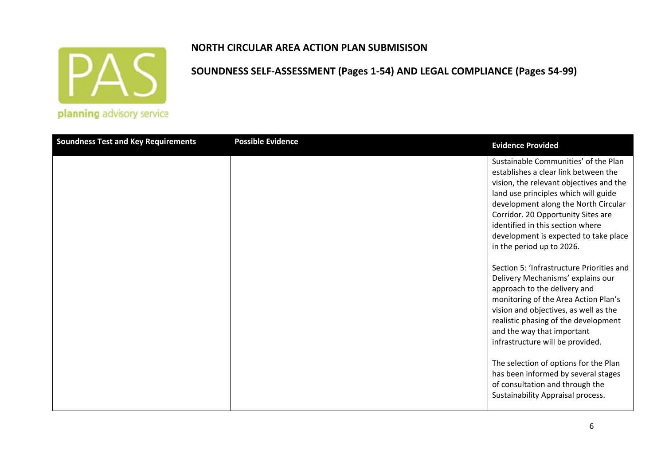

#### **NORTH CIRCULAR AREA ACTION PLAN SUBMISISON**

| <b>Soundness Test and Key Requirements</b> | <b>Possible Evidence</b> | <b>Evidence Provided</b>                                                                                                                                                                                                                                                                                                                                |
|--------------------------------------------|--------------------------|---------------------------------------------------------------------------------------------------------------------------------------------------------------------------------------------------------------------------------------------------------------------------------------------------------------------------------------------------------|
|                                            |                          | Sustainable Communities' of the Plan<br>establishes a clear link between the<br>vision, the relevant objectives and the<br>land use principles which will guide<br>development along the North Circular<br>Corridor. 20 Opportunity Sites are<br>identified in this section where<br>development is expected to take place<br>in the period up to 2026. |
|                                            |                          | Section 5: 'Infrastructure Priorities and<br>Delivery Mechanisms' explains our<br>approach to the delivery and<br>monitoring of the Area Action Plan's<br>vision and objectives, as well as the<br>realistic phasing of the development<br>and the way that important<br>infrastructure will be provided.                                               |
|                                            |                          | The selection of options for the Plan<br>has been informed by several stages<br>of consultation and through the<br>Sustainability Appraisal process.                                                                                                                                                                                                    |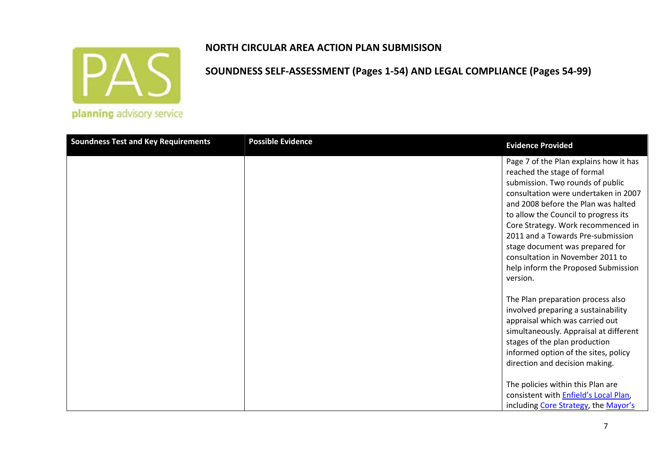

## **SOUNDNESS SELF‐ASSESSMENT (Pages 1‐54) AND LEGAL COMPLIANCE (Pages 54‐99)**

| <b>Soundness Test and Key Requirements</b> | <b>Possible Evidence</b> | <b>Evidence Provided</b>                                                                                                                                                                                                                                                                                                                                                                                                              |
|--------------------------------------------|--------------------------|---------------------------------------------------------------------------------------------------------------------------------------------------------------------------------------------------------------------------------------------------------------------------------------------------------------------------------------------------------------------------------------------------------------------------------------|
|                                            |                          | Page 7 of the Plan explains how it has<br>reached the stage of formal<br>submission. Two rounds of public<br>consultation were undertaken in 2007<br>and 2008 before the Plan was halted<br>to allow the Council to progress its<br>Core Strategy. Work recommenced in<br>2011 and a Towards Pre-submission<br>stage document was prepared for<br>consultation in November 2011 to<br>help inform the Proposed Submission<br>version. |
|                                            |                          | The Plan preparation process also<br>involved preparing a sustainability<br>appraisal which was carried out<br>simultaneously. Appraisal at different<br>stages of the plan production<br>informed option of the sites, policy<br>direction and decision making.<br>The policies within this Plan are<br>consistent with <b>Enfield's Local Plan</b> ,<br>including Core Strategy, the Mayor's                                        |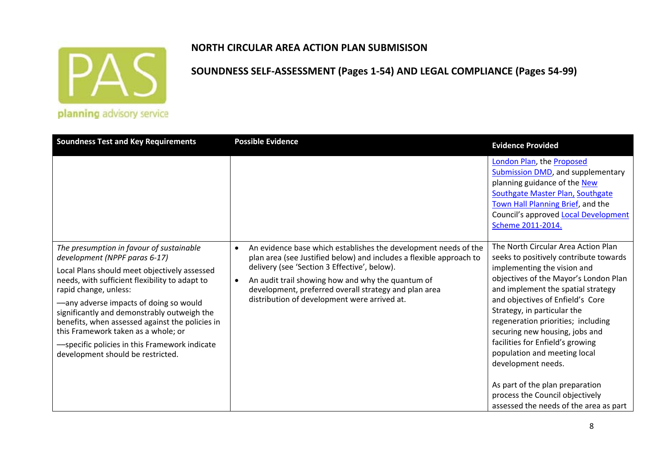

#### **NORTH CIRCULAR AREA ACTION PLAN SUBMISISON**

| The presumption in favour of sustainable<br>$\bullet$                                                                                                                                                                                                                                                                                                                                                                                          | An evidence base which establishes the development needs of the                                                                                                                                                                                                                   | London Plan, the Proposed<br><b>Submission DMD, and supplementary</b><br>planning guidance of the New<br>Southgate Master Plan, Southgate<br>Town Hall Planning Brief, and the<br>Council's approved Local Development<br>Scheme 2011-2014.<br>The North Circular Area Action Plan                                                                                                                                           |
|------------------------------------------------------------------------------------------------------------------------------------------------------------------------------------------------------------------------------------------------------------------------------------------------------------------------------------------------------------------------------------------------------------------------------------------------|-----------------------------------------------------------------------------------------------------------------------------------------------------------------------------------------------------------------------------------------------------------------------------------|------------------------------------------------------------------------------------------------------------------------------------------------------------------------------------------------------------------------------------------------------------------------------------------------------------------------------------------------------------------------------------------------------------------------------|
| development (NPPF paras 6-17)<br>Local Plans should meet objectively assessed<br>needs, with sufficient flexibility to adapt to<br>$\bullet$<br>rapid change, unless:<br>-any adverse impacts of doing so would<br>significantly and demonstrably outweigh the<br>benefits, when assessed against the policies in<br>this Framework taken as a whole; or<br>-specific policies in this Framework indicate<br>development should be restricted. | plan area (see Justified below) and includes a flexible approach to<br>delivery (see 'Section 3 Effective', below).<br>An audit trail showing how and why the quantum of<br>development, preferred overall strategy and plan area<br>distribution of development were arrived at. | seeks to positively contribute towards<br>implementing the vision and<br>objectives of the Mayor's London Plan<br>and implement the spatial strategy<br>and objectives of Enfield's Core<br>Strategy, in particular the<br>regeneration priorities; including<br>securing new housing, jobs and<br>facilities for Enfield's growing<br>population and meeting local<br>development needs.<br>As part of the plan preparation |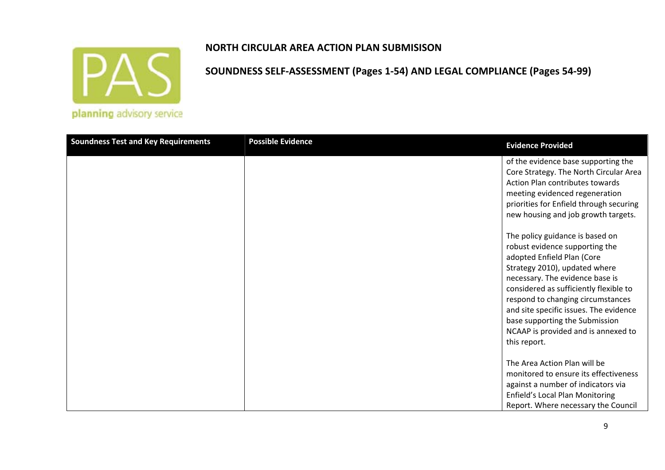

## **SOUNDNESS SELF‐ASSESSMENT (Pages 1‐54) AND LEGAL COMPLIANCE (Pages 54‐99)**

| <b>Soundness Test and Key Requirements</b> | <b>Possible Evidence</b> | <b>Evidence Provided</b>                                                                                                                                                                                                                                                                                                                                                              |
|--------------------------------------------|--------------------------|---------------------------------------------------------------------------------------------------------------------------------------------------------------------------------------------------------------------------------------------------------------------------------------------------------------------------------------------------------------------------------------|
|                                            |                          | of the evidence base supporting the<br>Core Strategy. The North Circular Area<br>Action Plan contributes towards<br>meeting evidenced regeneration<br>priorities for Enfield through securing<br>new housing and job growth targets.                                                                                                                                                  |
|                                            |                          | The policy guidance is based on<br>robust evidence supporting the<br>adopted Enfield Plan (Core<br>Strategy 2010), updated where<br>necessary. The evidence base is<br>considered as sufficiently flexible to<br>respond to changing circumstances<br>and site specific issues. The evidence<br>base supporting the Submission<br>NCAAP is provided and is annexed to<br>this report. |
|                                            |                          | The Area Action Plan will be<br>monitored to ensure its effectiveness<br>against a number of indicators via<br>Enfield's Local Plan Monitoring<br>Report. Where necessary the Council                                                                                                                                                                                                 |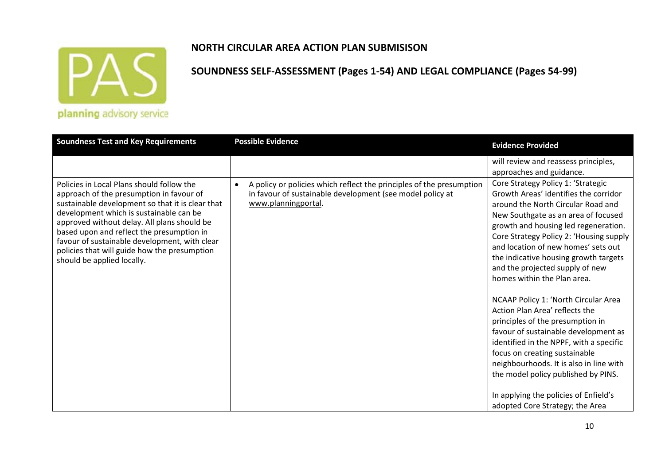

## **NORTH CIRCULAR AREA ACTION PLAN SUBMISISON**

| <b>Soundness Test and Key Requirements</b>                                                                                                                                                                                                                                                                                                                                                                      | <b>Possible Evidence</b>                                                                                                                                 | <b>Evidence Provided</b>                                                                                                                                                                                                                                                                                                                                                                                                                                                                                                                                                                                                                                                                                                                                                                                                  |
|-----------------------------------------------------------------------------------------------------------------------------------------------------------------------------------------------------------------------------------------------------------------------------------------------------------------------------------------------------------------------------------------------------------------|----------------------------------------------------------------------------------------------------------------------------------------------------------|---------------------------------------------------------------------------------------------------------------------------------------------------------------------------------------------------------------------------------------------------------------------------------------------------------------------------------------------------------------------------------------------------------------------------------------------------------------------------------------------------------------------------------------------------------------------------------------------------------------------------------------------------------------------------------------------------------------------------------------------------------------------------------------------------------------------------|
|                                                                                                                                                                                                                                                                                                                                                                                                                 |                                                                                                                                                          | will review and reassess principles,                                                                                                                                                                                                                                                                                                                                                                                                                                                                                                                                                                                                                                                                                                                                                                                      |
| Policies in Local Plans should follow the<br>approach of the presumption in favour of<br>sustainable development so that it is clear that<br>development which is sustainable can be<br>approved without delay. All plans should be<br>based upon and reflect the presumption in<br>favour of sustainable development, with clear<br>policies that will guide how the presumption<br>should be applied locally. | A policy or policies which reflect the principles of the presumption<br>in favour of sustainable development (see model policy at<br>www.planningportal. | approaches and guidance.<br>Core Strategy Policy 1: 'Strategic<br>Growth Areas' identifies the corridor<br>around the North Circular Road and<br>New Southgate as an area of focused<br>growth and housing led regeneration.<br>Core Strategy Policy 2: 'Housing supply<br>and location of new homes' sets out<br>the indicative housing growth targets<br>and the projected supply of new<br>homes within the Plan area.<br>NCAAP Policy 1: 'North Circular Area<br>Action Plan Area' reflects the<br>principles of the presumption in<br>favour of sustainable development as<br>identified in the NPPF, with a specific<br>focus on creating sustainable<br>neighbourhoods. It is also in line with<br>the model policy published by PINS.<br>In applying the policies of Enfield's<br>adopted Core Strategy; the Area |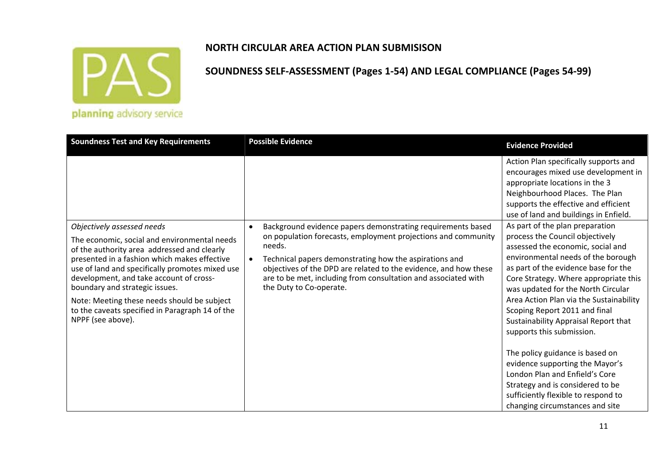

## **SOUNDNESS SELF‐ASSESSMENT (Pages 1‐54) AND LEGAL COMPLIANCE (Pages 54‐99)**

| <b>Soundness Test and Key Requirements</b>                                                                                                                                                                                                                                                                                                                                                         | <b>Possible Evidence</b>                                                                                                                                                                                                                                                                           | <b>Evidence Provided</b>                                                                                                                                                                                                                                                                                                                                                           |
|----------------------------------------------------------------------------------------------------------------------------------------------------------------------------------------------------------------------------------------------------------------------------------------------------------------------------------------------------------------------------------------------------|----------------------------------------------------------------------------------------------------------------------------------------------------------------------------------------------------------------------------------------------------------------------------------------------------|------------------------------------------------------------------------------------------------------------------------------------------------------------------------------------------------------------------------------------------------------------------------------------------------------------------------------------------------------------------------------------|
|                                                                                                                                                                                                                                                                                                                                                                                                    |                                                                                                                                                                                                                                                                                                    | Action Plan specifically supports and<br>encourages mixed use development in<br>appropriate locations in the 3<br>Neighbourhood Places. The Plan<br>supports the effective and efficient<br>use of land and buildings in Enfield.                                                                                                                                                  |
| Objectively assessed needs                                                                                                                                                                                                                                                                                                                                                                         | Background evidence papers demonstrating requirements based                                                                                                                                                                                                                                        | As part of the plan preparation                                                                                                                                                                                                                                                                                                                                                    |
| The economic, social and environmental needs<br>of the authority area addressed and clearly<br>presented in a fashion which makes effective<br>use of land and specifically promotes mixed use<br>development, and take account of cross-<br>boundary and strategic issues.<br>Note: Meeting these needs should be subject<br>to the caveats specified in Paragraph 14 of the<br>NPPF (see above). | on population forecasts, employment projections and community<br>needs.<br>Technical papers demonstrating how the aspirations and<br>objectives of the DPD are related to the evidence, and how these<br>are to be met, including from consultation and associated with<br>the Duty to Co-operate. | process the Council objectively<br>assessed the economic, social and<br>environmental needs of the borough<br>as part of the evidence base for the<br>Core Strategy. Where appropriate this<br>was updated for the North Circular<br>Area Action Plan via the Sustainability<br>Scoping Report 2011 and final<br>Sustainability Appraisal Report that<br>supports this submission. |
|                                                                                                                                                                                                                                                                                                                                                                                                    |                                                                                                                                                                                                                                                                                                    | The policy guidance is based on<br>evidence supporting the Mayor's<br>London Plan and Enfield's Core<br>Strategy and is considered to be<br>sufficiently flexible to respond to<br>changing circumstances and site                                                                                                                                                                 |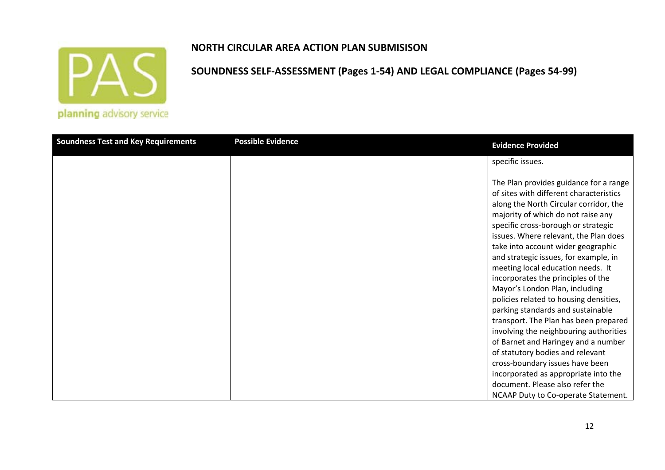

#### **NORTH CIRCULAR AREA ACTION PLAN SUBMISISON**

| <b>Soundness Test and Key Requirements</b> | <b>Possible Evidence</b> | <b>Evidence Provided</b>                                                                                                                                                                                                                                                                                                                                                                                                                                                                                                                                                                                                                                                                                                      |
|--------------------------------------------|--------------------------|-------------------------------------------------------------------------------------------------------------------------------------------------------------------------------------------------------------------------------------------------------------------------------------------------------------------------------------------------------------------------------------------------------------------------------------------------------------------------------------------------------------------------------------------------------------------------------------------------------------------------------------------------------------------------------------------------------------------------------|
|                                            |                          | specific issues.                                                                                                                                                                                                                                                                                                                                                                                                                                                                                                                                                                                                                                                                                                              |
|                                            |                          | The Plan provides guidance for a range<br>of sites with different characteristics<br>along the North Circular corridor, the<br>majority of which do not raise any<br>specific cross-borough or strategic<br>issues. Where relevant, the Plan does<br>take into account wider geographic<br>and strategic issues, for example, in<br>meeting local education needs. It<br>incorporates the principles of the<br>Mayor's London Plan, including<br>policies related to housing densities,<br>parking standards and sustainable<br>transport. The Plan has been prepared<br>involving the neighbouring authorities<br>of Barnet and Haringey and a number<br>of statutory bodies and relevant<br>cross-boundary issues have been |
|                                            |                          | incorporated as appropriate into the<br>document. Please also refer the                                                                                                                                                                                                                                                                                                                                                                                                                                                                                                                                                                                                                                                       |
|                                            |                          | NCAAP Duty to Co-operate Statement.                                                                                                                                                                                                                                                                                                                                                                                                                                                                                                                                                                                                                                                                                           |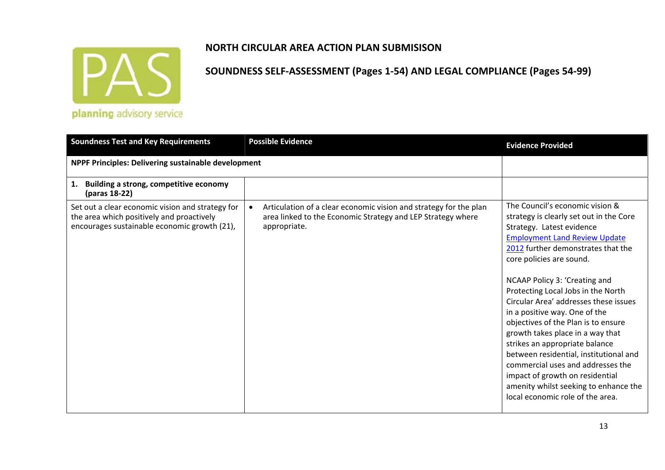

| <b>Soundness Test and Key Requirements</b>                                                                                                    | <b>Possible Evidence</b>                                                                                                                                      | <b>Evidence Provided</b>                                                                                                                                                                                                                                                                                                                                                                                                                                                                                                                                                                                                                   |
|-----------------------------------------------------------------------------------------------------------------------------------------------|---------------------------------------------------------------------------------------------------------------------------------------------------------------|--------------------------------------------------------------------------------------------------------------------------------------------------------------------------------------------------------------------------------------------------------------------------------------------------------------------------------------------------------------------------------------------------------------------------------------------------------------------------------------------------------------------------------------------------------------------------------------------------------------------------------------------|
| NPPF Principles: Delivering sustainable development                                                                                           |                                                                                                                                                               |                                                                                                                                                                                                                                                                                                                                                                                                                                                                                                                                                                                                                                            |
| 1. Building a strong, competitive economy<br>(paras 18-22)                                                                                    |                                                                                                                                                               |                                                                                                                                                                                                                                                                                                                                                                                                                                                                                                                                                                                                                                            |
| Set out a clear economic vision and strategy for<br>the area which positively and proactively<br>encourages sustainable economic growth (21), | Articulation of a clear economic vision and strategy for the plan<br>$\bullet$<br>area linked to the Economic Strategy and LEP Strategy where<br>appropriate. | The Council's economic vision &<br>strategy is clearly set out in the Core<br>Strategy. Latest evidence<br><b>Employment Land Review Update</b><br>2012 further demonstrates that the<br>core policies are sound.<br>NCAAP Policy 3: 'Creating and<br>Protecting Local Jobs in the North<br>Circular Area' addresses these issues<br>in a positive way. One of the<br>objectives of the Plan is to ensure<br>growth takes place in a way that<br>strikes an appropriate balance<br>between residential, institutional and<br>commercial uses and addresses the<br>impact of growth on residential<br>amenity whilst seeking to enhance the |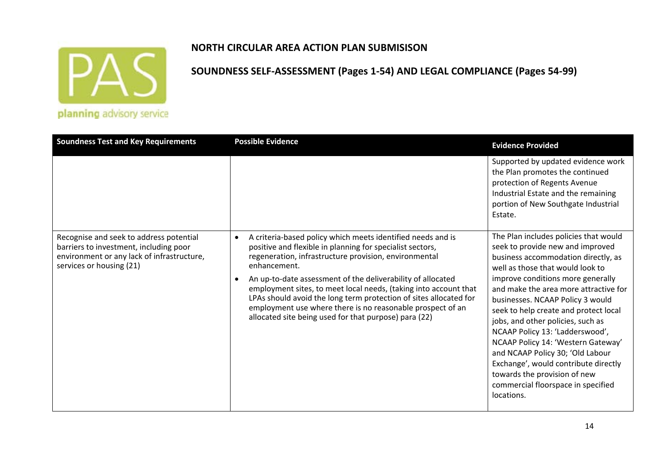

#### **NORTH CIRCULAR AREA ACTION PLAN SUBMISISON**

| <b>Soundness Test and Key Requirements</b>                                                                                                                  | <b>Possible Evidence</b>                                                                                                                                                                                                                                                                                                                                                                                                                                                                                                                      | <b>Evidence Provided</b>                                                                                                                                                                                                                                                                                                                                                                                                                                                                                                                                                                      |
|-------------------------------------------------------------------------------------------------------------------------------------------------------------|-----------------------------------------------------------------------------------------------------------------------------------------------------------------------------------------------------------------------------------------------------------------------------------------------------------------------------------------------------------------------------------------------------------------------------------------------------------------------------------------------------------------------------------------------|-----------------------------------------------------------------------------------------------------------------------------------------------------------------------------------------------------------------------------------------------------------------------------------------------------------------------------------------------------------------------------------------------------------------------------------------------------------------------------------------------------------------------------------------------------------------------------------------------|
|                                                                                                                                                             |                                                                                                                                                                                                                                                                                                                                                                                                                                                                                                                                               | Supported by updated evidence work<br>the Plan promotes the continued<br>protection of Regents Avenue<br>Industrial Estate and the remaining<br>portion of New Southgate Industrial<br>Estate.                                                                                                                                                                                                                                                                                                                                                                                                |
| Recognise and seek to address potential<br>barriers to investment, including poor<br>environment or any lack of infrastructure,<br>services or housing (21) | A criteria-based policy which meets identified needs and is<br>$\bullet$<br>positive and flexible in planning for specialist sectors,<br>regeneration, infrastructure provision, environmental<br>enhancement.<br>An up-to-date assessment of the deliverability of allocated<br>employment sites, to meet local needs, (taking into account that<br>LPAs should avoid the long term protection of sites allocated for<br>employment use where there is no reasonable prospect of an<br>allocated site being used for that purpose) para (22) | The Plan includes policies that would<br>seek to provide new and improved<br>business accommodation directly, as<br>well as those that would look to<br>improve conditions more generally<br>and make the area more attractive for<br>businesses. NCAAP Policy 3 would<br>seek to help create and protect local<br>jobs, and other policies, such as<br>NCAAP Policy 13: 'Ladderswood',<br>NCAAP Policy 14: 'Western Gateway'<br>and NCAAP Policy 30; 'Old Labour<br>Exchange', would contribute directly<br>towards the provision of new<br>commercial floorspace in specified<br>locations. |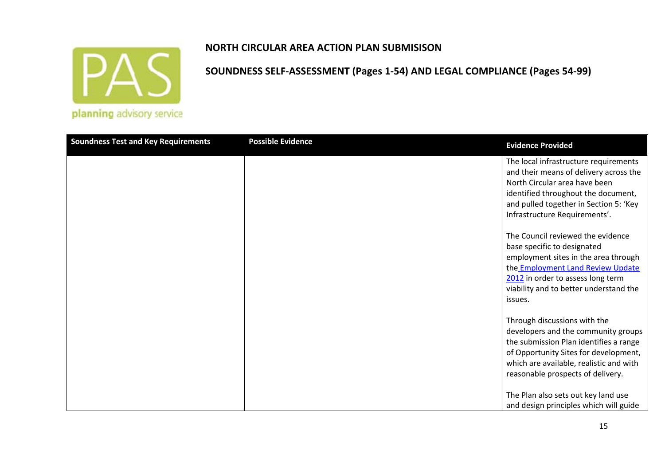

# **SOUNDNESS SELF‐ASSESSMENT (Pages 1‐54) AND LEGAL COMPLIANCE (Pages 54‐99)**

| <b>Soundness Test and Key Requirements</b> | <b>Possible Evidence</b> | <b>Evidence Provided</b>                                                                                                                                                                                                                       |
|--------------------------------------------|--------------------------|------------------------------------------------------------------------------------------------------------------------------------------------------------------------------------------------------------------------------------------------|
|                                            |                          | The local infrastructure requirements<br>and their means of delivery across the<br>North Circular area have been<br>identified throughout the document,<br>and pulled together in Section 5: 'Key<br>Infrastructure Requirements'.             |
|                                            |                          | The Council reviewed the evidence<br>base specific to designated<br>employment sites in the area through<br>the <b>Employment Land Review Update</b><br>2012 in order to assess long term<br>viability and to better understand the<br>issues. |
|                                            |                          | Through discussions with the<br>developers and the community groups<br>the submission Plan identifies a range<br>of Opportunity Sites for development,<br>which are available, realistic and with<br>reasonable prospects of delivery.         |
|                                            |                          | The Plan also sets out key land use<br>and design principles which will guide                                                                                                                                                                  |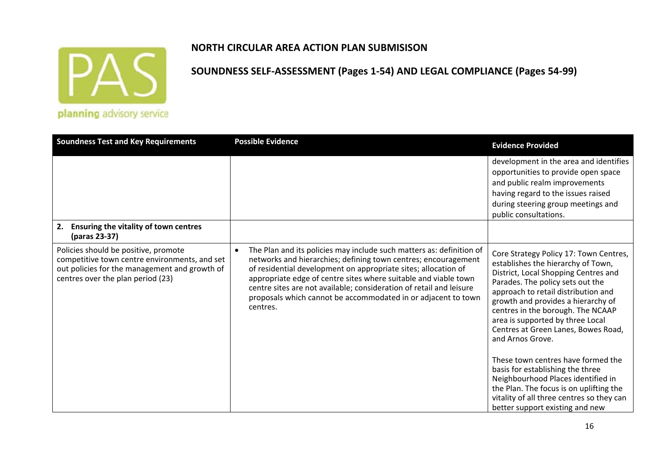

#### **NORTH CIRCULAR AREA ACTION PLAN SUBMISISON**

| <b>Soundness Test and Key Requirements</b>                                                                                                                                  | <b>Possible Evidence</b>                                                                                                                                                                                                                                                                                                                                                                                                                     | <b>Evidence Provided</b>                                                                                                                                                                                                                                                                                                                                                                                                                            |
|-----------------------------------------------------------------------------------------------------------------------------------------------------------------------------|----------------------------------------------------------------------------------------------------------------------------------------------------------------------------------------------------------------------------------------------------------------------------------------------------------------------------------------------------------------------------------------------------------------------------------------------|-----------------------------------------------------------------------------------------------------------------------------------------------------------------------------------------------------------------------------------------------------------------------------------------------------------------------------------------------------------------------------------------------------------------------------------------------------|
|                                                                                                                                                                             |                                                                                                                                                                                                                                                                                                                                                                                                                                              | development in the area and identifies<br>opportunities to provide open space<br>and public realm improvements<br>having regard to the issues raised<br>during steering group meetings and<br>public consultations.                                                                                                                                                                                                                                 |
| 2.<br>Ensuring the vitality of town centres<br>(paras 23-37)                                                                                                                |                                                                                                                                                                                                                                                                                                                                                                                                                                              |                                                                                                                                                                                                                                                                                                                                                                                                                                                     |
| Policies should be positive, promote<br>competitive town centre environments, and set<br>out policies for the management and growth of<br>centres over the plan period (23) | The Plan and its policies may include such matters as: definition of<br>$\bullet$<br>networks and hierarchies; defining town centres; encouragement<br>of residential development on appropriate sites; allocation of<br>appropriate edge of centre sites where suitable and viable town<br>centre sites are not available; consideration of retail and leisure<br>proposals which cannot be accommodated in or adjacent to town<br>centres. | Core Strategy Policy 17: Town Centres,<br>establishes the hierarchy of Town,<br>District, Local Shopping Centres and<br>Parades. The policy sets out the<br>approach to retail distribution and<br>growth and provides a hierarchy of<br>centres in the borough. The NCAAP<br>area is supported by three Local<br>Centres at Green Lanes, Bowes Road,<br>and Arnos Grove.<br>These town centres have formed the<br>basis for establishing the three |
|                                                                                                                                                                             |                                                                                                                                                                                                                                                                                                                                                                                                                                              | Neighbourhood Places identified in<br>the Plan. The focus is on uplifting the<br>vitality of all three centres so they can<br>better support existing and new                                                                                                                                                                                                                                                                                       |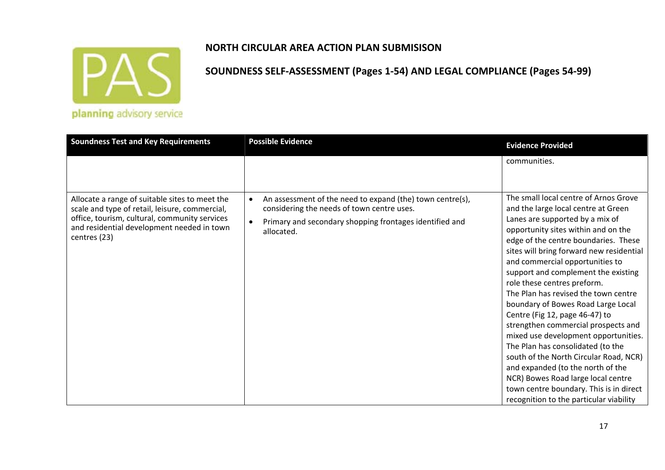

## **SOUNDNESS SELF‐ASSESSMENT (Pages 1‐54) AND LEGAL COMPLIANCE (Pages 54‐99)**

| communities.<br>The small local centre of Arnos Grove<br>An assessment of the need to expand (the) town centre(s),<br>Allocate a range of suitable sites to meet the<br>scale and type of retail, leisure, commercial,<br>considering the needs of town centre uses.<br>and the large local centre at Green<br>office, tourism, cultural, community services<br>Lanes are supported by a mix of<br>Primary and secondary shopping frontages identified and<br>and residential development needed in town<br>opportunity sites within and on the<br>allocated.<br>centres (23)<br>edge of the centre boundaries. These | <b>Soundness Test and Key Requirements</b> | <b>Possible Evidence</b> | <b>Evidence Provided</b> |
|-----------------------------------------------------------------------------------------------------------------------------------------------------------------------------------------------------------------------------------------------------------------------------------------------------------------------------------------------------------------------------------------------------------------------------------------------------------------------------------------------------------------------------------------------------------------------------------------------------------------------|--------------------------------------------|--------------------------|--------------------------|
|                                                                                                                                                                                                                                                                                                                                                                                                                                                                                                                                                                                                                       |                                            |                          |                          |
| sites will bring forward new residential<br>and commercial opportunities to<br>support and complement the existing<br>role these centres preform.<br>The Plan has revised the town centre<br>boundary of Bowes Road Large Local<br>Centre (Fig 12, page 46-47) to<br>strengthen commercial prospects and<br>mixed use development opportunities.<br>The Plan has consolidated (to the<br>south of the North Circular Road, NCR)<br>and expanded (to the north of the<br>NCR) Bowes Road large local centre<br>town centre boundary. This is in direct<br>recognition to the particular viability                      |                                            |                          |                          |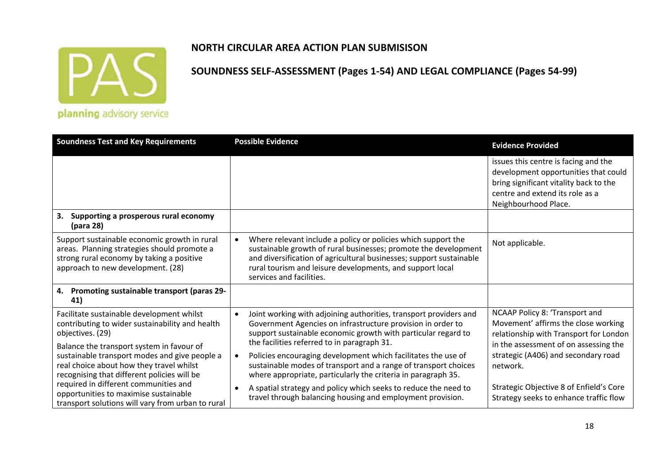

#### **NORTH CIRCULAR AREA ACTION PLAN SUBMISISON**

| <b>Soundness Test and Key Requirements</b>                                                                                                                                            | <b>Possible Evidence</b>                                                                                                                                                                                                                                                                         | <b>Evidence Provided</b>                                                                                                                                                          |
|---------------------------------------------------------------------------------------------------------------------------------------------------------------------------------------|--------------------------------------------------------------------------------------------------------------------------------------------------------------------------------------------------------------------------------------------------------------------------------------------------|-----------------------------------------------------------------------------------------------------------------------------------------------------------------------------------|
|                                                                                                                                                                                       |                                                                                                                                                                                                                                                                                                  | issues this centre is facing and the<br>development opportunities that could<br>bring significant vitality back to the<br>centre and extend its role as a<br>Neighbourhood Place. |
| Supporting a prosperous rural economy<br>3.<br>(para 28)                                                                                                                              |                                                                                                                                                                                                                                                                                                  |                                                                                                                                                                                   |
| Support sustainable economic growth in rural<br>areas. Planning strategies should promote a<br>strong rural economy by taking a positive<br>approach to new development. (28)         | Where relevant include a policy or policies which support the<br>sustainable growth of rural businesses; promote the development<br>and diversification of agricultural businesses; support sustainable<br>rural tourism and leisure developments, and support local<br>services and facilities. | Not applicable.                                                                                                                                                                   |
| Promoting sustainable transport (paras 29-<br>4.<br>41)                                                                                                                               |                                                                                                                                                                                                                                                                                                  |                                                                                                                                                                                   |
| Facilitate sustainable development whilst<br>contributing to wider sustainability and health<br>objectives. (29)                                                                      | Joint working with adjoining authorities, transport providers and<br>Government Agencies on infrastructure provision in order to<br>support sustainable economic growth with particular regard to                                                                                                | NCAAP Policy 8: 'Transport and<br>Movement' affirms the close working<br>relationship with Transport for London                                                                   |
| Balance the transport system in favour of<br>sustainable transport modes and give people a<br>real choice about how they travel whilst<br>recognising that different policies will be | the facilities referred to in paragraph 31.<br>Policies encouraging development which facilitates the use of<br>sustainable modes of transport and a range of transport choices<br>where appropriate, particularly the criteria in paragraph 35.                                                 | in the assessment of on assessing the<br>strategic (A406) and secondary road<br>network.                                                                                          |
| required in different communities and<br>opportunities to maximise sustainable<br>transport solutions will vary from urban to rural                                                   | A spatial strategy and policy which seeks to reduce the need to<br>travel through balancing housing and employment provision.                                                                                                                                                                    | Strategic Objective 8 of Enfield's Core<br>Strategy seeks to enhance traffic flow                                                                                                 |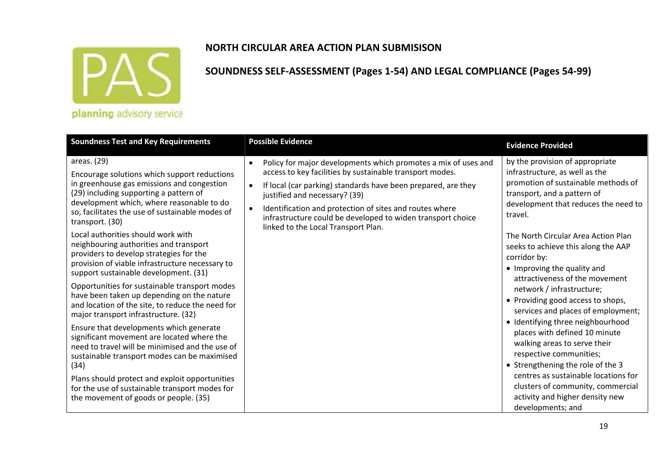

#### **SOUNDNESS SELF‐ASSESSMENT (Pages 1‐54) AND LEGAL COMPLIANCE (Pages 54‐99)**

| <b>Soundness Test and Key Requirements</b>                                                                                                                                                                                                                                                                                                                                                                                                                                                                                                                                                                                                                                                                                                                                                                                                                                                                                                                                                                                                | <b>Possible Evidence</b>                                                                                                                                                                                                                                                                                                                                                                                                | <b>Evidence Provided</b>                                                                                                                                                                                                                                                                                                                                                                                                                                                                                                                                                                                                                                                                                                                                                     |
|-------------------------------------------------------------------------------------------------------------------------------------------------------------------------------------------------------------------------------------------------------------------------------------------------------------------------------------------------------------------------------------------------------------------------------------------------------------------------------------------------------------------------------------------------------------------------------------------------------------------------------------------------------------------------------------------------------------------------------------------------------------------------------------------------------------------------------------------------------------------------------------------------------------------------------------------------------------------------------------------------------------------------------------------|-------------------------------------------------------------------------------------------------------------------------------------------------------------------------------------------------------------------------------------------------------------------------------------------------------------------------------------------------------------------------------------------------------------------------|------------------------------------------------------------------------------------------------------------------------------------------------------------------------------------------------------------------------------------------------------------------------------------------------------------------------------------------------------------------------------------------------------------------------------------------------------------------------------------------------------------------------------------------------------------------------------------------------------------------------------------------------------------------------------------------------------------------------------------------------------------------------------|
| areas. (29)<br>Encourage solutions which support reductions<br>in greenhouse gas emissions and congestion<br>(29) including supporting a pattern of<br>development which, where reasonable to do<br>so, facilitates the use of sustainable modes of<br>transport. (30)<br>Local authorities should work with<br>neighbouring authorities and transport<br>providers to develop strategies for the<br>provision of viable infrastructure necessary to<br>support sustainable development. (31)<br>Opportunities for sustainable transport modes<br>have been taken up depending on the nature<br>and location of the site, to reduce the need for<br>major transport infrastructure. (32)<br>Ensure that developments which generate<br>significant movement are located where the<br>need to travel will be minimised and the use of<br>sustainable transport modes can be maximised<br>(34)<br>Plans should protect and exploit opportunities<br>for the use of sustainable transport modes for<br>the movement of goods or people. (35) | Policy for major developments which promotes a mix of uses and<br>$\bullet$<br>access to key facilities by sustainable transport modes.<br>If local (car parking) standards have been prepared, are they<br>justified and necessary? (39)<br>Identification and protection of sites and routes where<br>$\bullet$<br>infrastructure could be developed to widen transport choice<br>linked to the Local Transport Plan. | by the provision of appropriate<br>infrastructure, as well as the<br>promotion of sustainable methods of<br>transport, and a pattern of<br>development that reduces the need to<br>travel.<br>The North Circular Area Action Plan<br>seeks to achieve this along the AAP<br>corridor by:<br>• Improving the quality and<br>attractiveness of the movement<br>network / infrastructure;<br>• Providing good access to shops,<br>services and places of employment;<br>• Identifying three neighbourhood<br>places with defined 10 minute<br>walking areas to serve their<br>respective communities;<br>• Strengthening the role of the 3<br>centres as sustainable locations for<br>clusters of community, commercial<br>activity and higher density new<br>developments; and |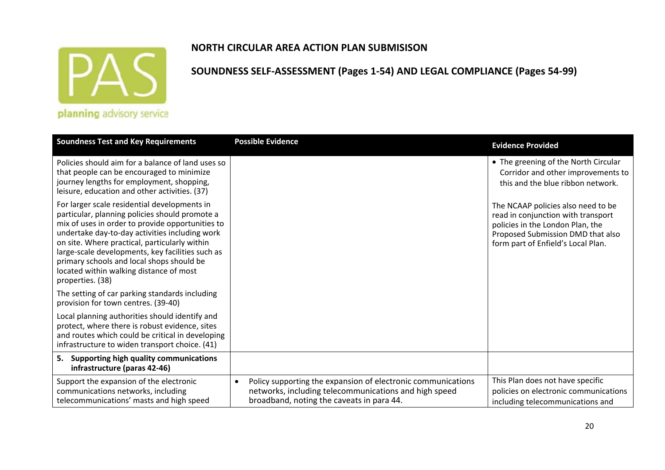

#### **NORTH CIRCULAR AREA ACTION PLAN SUBMISISON**

| <b>Soundness Test and Key Requirements</b>                                                                                                                                                                                                                                                                                                                                                                            | <b>Possible Evidence</b>                                                                                                                                                        | <b>Evidence Provided</b>                                                                                                                                                                |
|-----------------------------------------------------------------------------------------------------------------------------------------------------------------------------------------------------------------------------------------------------------------------------------------------------------------------------------------------------------------------------------------------------------------------|---------------------------------------------------------------------------------------------------------------------------------------------------------------------------------|-----------------------------------------------------------------------------------------------------------------------------------------------------------------------------------------|
| Policies should aim for a balance of land uses so<br>that people can be encouraged to minimize<br>journey lengths for employment, shopping,<br>leisure, education and other activities. (37)                                                                                                                                                                                                                          |                                                                                                                                                                                 | • The greening of the North Circular<br>Corridor and other improvements to<br>this and the blue ribbon network.                                                                         |
| For larger scale residential developments in<br>particular, planning policies should promote a<br>mix of uses in order to provide opportunities to<br>undertake day-to-day activities including work<br>on site. Where practical, particularly within<br>large-scale developments, key facilities such as<br>primary schools and local shops should be<br>located within walking distance of most<br>properties. (38) |                                                                                                                                                                                 | The NCAAP policies also need to be<br>read in conjunction with transport<br>policies in the London Plan, the<br>Proposed Submission DMD that also<br>form part of Enfield's Local Plan. |
| The setting of car parking standards including<br>provision for town centres. (39-40)                                                                                                                                                                                                                                                                                                                                 |                                                                                                                                                                                 |                                                                                                                                                                                         |
| Local planning authorities should identify and<br>protect, where there is robust evidence, sites<br>and routes which could be critical in developing<br>infrastructure to widen transport choice. (41)                                                                                                                                                                                                                |                                                                                                                                                                                 |                                                                                                                                                                                         |
| 5. Supporting high quality communications<br>infrastructure (paras 42-46)                                                                                                                                                                                                                                                                                                                                             |                                                                                                                                                                                 |                                                                                                                                                                                         |
| Support the expansion of the electronic<br>communications networks, including<br>telecommunications' masts and high speed                                                                                                                                                                                                                                                                                             | Policy supporting the expansion of electronic communications<br>$\bullet$<br>networks, including telecommunications and high speed<br>broadband, noting the caveats in para 44. | This Plan does not have specific<br>policies on electronic communications<br>including telecommunications and                                                                           |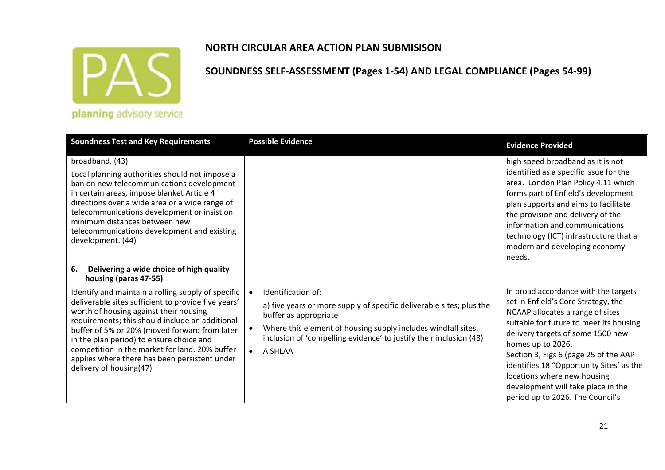

## **NORTH CIRCULAR AREA ACTION PLAN SUBMISISON**

| <b>Soundness Test and Key Requirements</b>                                                                                                                                                                                                                                                                                                                                                                                        | <b>Possible Evidence</b>                                                                                                                                                                                                                                                        | <b>Evidence Provided</b>                                                                                                                                                                                                                                                                                                                                                                                           |
|-----------------------------------------------------------------------------------------------------------------------------------------------------------------------------------------------------------------------------------------------------------------------------------------------------------------------------------------------------------------------------------------------------------------------------------|---------------------------------------------------------------------------------------------------------------------------------------------------------------------------------------------------------------------------------------------------------------------------------|--------------------------------------------------------------------------------------------------------------------------------------------------------------------------------------------------------------------------------------------------------------------------------------------------------------------------------------------------------------------------------------------------------------------|
| broadband. (43)<br>Local planning authorities should not impose a<br>ban on new telecommunications development<br>in certain areas, impose blanket Article 4<br>directions over a wide area or a wide range of<br>telecommunications development or insist on<br>minimum distances between new<br>telecommunications development and existing<br>development. (44)                                                                |                                                                                                                                                                                                                                                                                 | high speed broadband as it is not<br>identified as a specific issue for the<br>area. London Plan Policy 4.11 which<br>forms part of Enfield's development<br>plan supports and aims to facilitate<br>the provision and delivery of the<br>information and communications<br>technology (ICT) infrastructure that a<br>modern and developing economy<br>needs.                                                      |
| Delivering a wide choice of high quality<br>6.<br>housing (paras 47-55)                                                                                                                                                                                                                                                                                                                                                           |                                                                                                                                                                                                                                                                                 |                                                                                                                                                                                                                                                                                                                                                                                                                    |
| Identify and maintain a rolling supply of specific<br>deliverable sites sufficient to provide five years'<br>worth of housing against their housing<br>requirements; this should include an additional<br>buffer of 5% or 20% (moved forward from later<br>in the plan period) to ensure choice and<br>competition in the market for land. 20% buffer<br>applies where there has been persistent under<br>delivery of housing(47) | Identification of:<br>a) five years or more supply of specific deliverable sites; plus the<br>buffer as appropriate<br>Where this element of housing supply includes windfall sites,<br>inclusion of 'compelling evidence' to justify their inclusion (48)<br>$\bullet$ A SHLAA | In broad accordance with the targets<br>set in Enfield's Core Strategy, the<br>NCAAP allocates a range of sites<br>suitable for future to meet its housing<br>delivery targets of some 1500 new<br>homes up to 2026.<br>Section 3, Figs 6 (page 25 of the AAP<br>identifies 18 "Opportunity Sites' as the<br>locations where new housing<br>development will take place in the<br>period up to 2026. The Council's |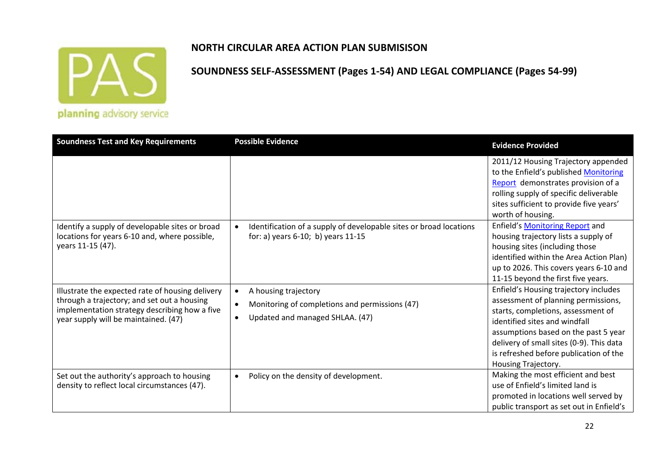

#### **NORTH CIRCULAR AREA ACTION PLAN SUBMISISON**

| <b>Soundness Test and Key Requirements</b>                                                                                                                                               | <b>Possible Evidence</b>                                                                                                            | <b>Evidence Provided</b>                                                                                                                                                                                                                                                                                                                                                                                                              |
|------------------------------------------------------------------------------------------------------------------------------------------------------------------------------------------|-------------------------------------------------------------------------------------------------------------------------------------|---------------------------------------------------------------------------------------------------------------------------------------------------------------------------------------------------------------------------------------------------------------------------------------------------------------------------------------------------------------------------------------------------------------------------------------|
| Identify a supply of developable sites or broad<br>locations for years 6-10 and, where possible,<br>years 11-15 (47).                                                                    | Identification of a supply of developable sites or broad locations<br>for: a) years 6-10; b) years 11-15                            | 2011/12 Housing Trajectory appended<br>to the Enfield's published Monitoring<br>Report demonstrates provision of a<br>rolling supply of specific deliverable<br>sites sufficient to provide five years'<br>worth of housing.<br>Enfield's <b>Monitoring Report</b> and<br>housing trajectory lists a supply of<br>housing sites (including those<br>identified within the Area Action Plan)<br>up to 2026. This covers years 6-10 and |
| Illustrate the expected rate of housing delivery<br>through a trajectory; and set out a housing<br>implementation strategy describing how a five<br>year supply will be maintained. (47) | A housing trajectory<br>$\bullet$<br>Monitoring of completions and permissions (47)<br>Updated and managed SHLAA. (47)<br>$\bullet$ | 11-15 beyond the first five years.<br>Enfield's Housing trajectory includes<br>assessment of planning permissions,<br>starts, completions, assessment of<br>identified sites and windfall<br>assumptions based on the past 5 year<br>delivery of small sites (0-9). This data<br>is refreshed before publication of the<br>Housing Trajectory.                                                                                        |
| Set out the authority's approach to housing<br>density to reflect local circumstances (47).                                                                                              | Policy on the density of development.<br>$\bullet$                                                                                  | Making the most efficient and best<br>use of Enfield's limited land is<br>promoted in locations well served by<br>public transport as set out in Enfield's                                                                                                                                                                                                                                                                            |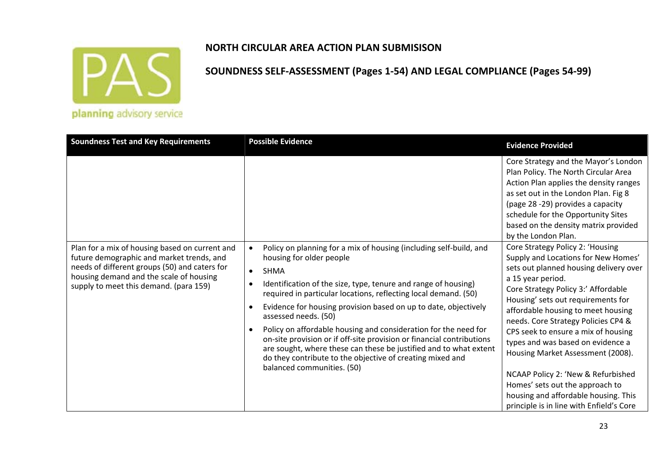

**SOUNDNESS SELF‐ASSESSMENT (Pages 1‐54) AND LEGAL COMPLIANCE (Pages 54‐99)**

| <b>Soundness Test and Key Requirements</b>                                                                                                                                                                                        | <b>Possible Evidence</b>                                                                                                                                                                                                                                                                                                                                                                                                                                                                                                                                                                                                                                                            | <b>Evidence Provided</b>                                                                                                                                                                                                                                                                                                                                                                                                                                                                                                                                                       |
|-----------------------------------------------------------------------------------------------------------------------------------------------------------------------------------------------------------------------------------|-------------------------------------------------------------------------------------------------------------------------------------------------------------------------------------------------------------------------------------------------------------------------------------------------------------------------------------------------------------------------------------------------------------------------------------------------------------------------------------------------------------------------------------------------------------------------------------------------------------------------------------------------------------------------------------|--------------------------------------------------------------------------------------------------------------------------------------------------------------------------------------------------------------------------------------------------------------------------------------------------------------------------------------------------------------------------------------------------------------------------------------------------------------------------------------------------------------------------------------------------------------------------------|
|                                                                                                                                                                                                                                   |                                                                                                                                                                                                                                                                                                                                                                                                                                                                                                                                                                                                                                                                                     | Core Strategy and the Mayor's London<br>Plan Policy. The North Circular Area<br>Action Plan applies the density ranges<br>as set out in the London Plan. Fig 8<br>(page 28 -29) provides a capacity<br>schedule for the Opportunity Sites<br>based on the density matrix provided<br>by the London Plan.                                                                                                                                                                                                                                                                       |
| Plan for a mix of housing based on current and<br>future demographic and market trends, and<br>needs of different groups (50) and caters for<br>housing demand and the scale of housing<br>supply to meet this demand. (para 159) | Policy on planning for a mix of housing (including self-build, and<br>housing for older people<br><b>SHMA</b><br>$\bullet$<br>Identification of the size, type, tenure and range of housing)<br>$\bullet$<br>required in particular locations, reflecting local demand. (50)<br>Evidence for housing provision based on up to date, objectively<br>assessed needs. (50)<br>Policy on affordable housing and consideration for the need for<br>on-site provision or if off-site provision or financial contributions<br>are sought, where these can these be justified and to what extent<br>do they contribute to the objective of creating mixed and<br>balanced communities. (50) | Core Strategy Policy 2: 'Housing<br>Supply and Locations for New Homes'<br>sets out planned housing delivery over<br>a 15 year period.<br>Core Strategy Policy 3:' Affordable<br>Housing' sets out requirements for<br>affordable housing to meet housing<br>needs. Core Strategy Policies CP4 &<br>CPS seek to ensure a mix of housing<br>types and was based on evidence a<br>Housing Market Assessment (2008).<br>NCAAP Policy 2: 'New & Refurbished<br>Homes' sets out the approach to<br>housing and affordable housing. This<br>principle is in line with Enfield's Core |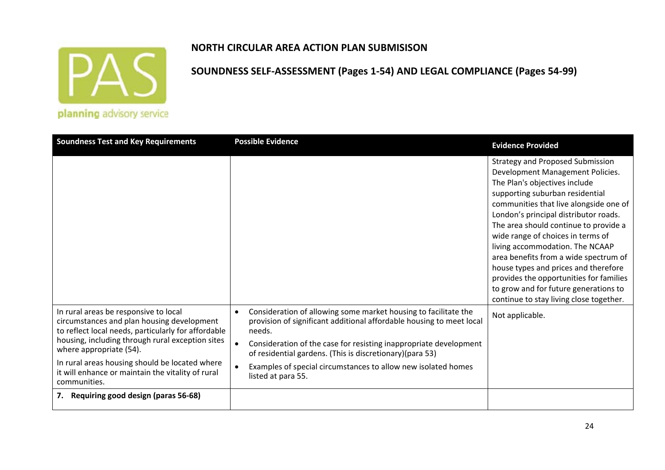

#### **NORTH CIRCULAR AREA ACTION PLAN SUBMISISON**

| <b>Soundness Test and Key Requirements</b>                                                                                                                                                                                                                                                                                                       | <b>Possible Evidence</b>                                                                                                                                                                                                                                                                                                                                                               | <b>Evidence Provided</b>                                                                                                                                                                                                                                                                                                                                                                                                                                                                                                                                            |
|--------------------------------------------------------------------------------------------------------------------------------------------------------------------------------------------------------------------------------------------------------------------------------------------------------------------------------------------------|----------------------------------------------------------------------------------------------------------------------------------------------------------------------------------------------------------------------------------------------------------------------------------------------------------------------------------------------------------------------------------------|---------------------------------------------------------------------------------------------------------------------------------------------------------------------------------------------------------------------------------------------------------------------------------------------------------------------------------------------------------------------------------------------------------------------------------------------------------------------------------------------------------------------------------------------------------------------|
|                                                                                                                                                                                                                                                                                                                                                  |                                                                                                                                                                                                                                                                                                                                                                                        | <b>Strategy and Proposed Submission</b><br>Development Management Policies.<br>The Plan's objectives include<br>supporting suburban residential<br>communities that live alongside one of<br>London's principal distributor roads.<br>The area should continue to provide a<br>wide range of choices in terms of<br>living accommodation. The NCAAP<br>area benefits from a wide spectrum of<br>house types and prices and therefore<br>provides the opportunities for families<br>to grow and for future generations to<br>continue to stay living close together. |
| In rural areas be responsive to local<br>circumstances and plan housing development<br>to reflect local needs, particularly for affordable<br>housing, including through rural exception sites<br>where appropriate (54).<br>In rural areas housing should be located where<br>it will enhance or maintain the vitality of rural<br>communities. | Consideration of allowing some market housing to facilitate the<br>$\bullet$<br>provision of significant additional affordable housing to meet local<br>needs.<br>Consideration of the case for resisting inappropriate development<br>of residential gardens. (This is discretionary)(para 53)<br>Examples of special circumstances to allow new isolated homes<br>listed at para 55. | Not applicable.                                                                                                                                                                                                                                                                                                                                                                                                                                                                                                                                                     |
| 7. Requiring good design (paras 56-68)                                                                                                                                                                                                                                                                                                           |                                                                                                                                                                                                                                                                                                                                                                                        |                                                                                                                                                                                                                                                                                                                                                                                                                                                                                                                                                                     |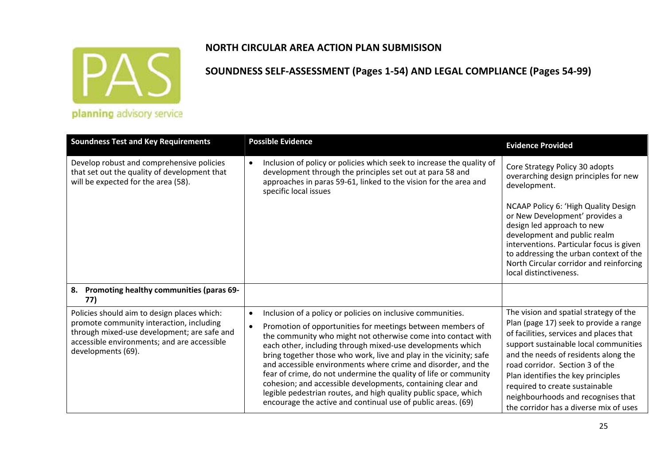

| planning advisory service |  |  |  |
|---------------------------|--|--|--|
|                           |  |  |  |

| <b>Soundness Test and Key Requirements</b>                                                                                                                                                                  | <b>Possible Evidence</b>                                                                                                                                                                                                                                                                                                                                                                                                                                                                                                                                                                                                                                                          | <b>Evidence Provided</b>                                                                                                                                                                                                                                                                                                                                                                                |
|-------------------------------------------------------------------------------------------------------------------------------------------------------------------------------------------------------------|-----------------------------------------------------------------------------------------------------------------------------------------------------------------------------------------------------------------------------------------------------------------------------------------------------------------------------------------------------------------------------------------------------------------------------------------------------------------------------------------------------------------------------------------------------------------------------------------------------------------------------------------------------------------------------------|---------------------------------------------------------------------------------------------------------------------------------------------------------------------------------------------------------------------------------------------------------------------------------------------------------------------------------------------------------------------------------------------------------|
| Develop robust and comprehensive policies<br>that set out the quality of development that<br>will be expected for the area (58).                                                                            | Inclusion of policy or policies which seek to increase the quality of<br>$\bullet$<br>development through the principles set out at para 58 and<br>approaches in paras 59-61, linked to the vision for the area and<br>specific local issues                                                                                                                                                                                                                                                                                                                                                                                                                                      | Core Strategy Policy 30 adopts<br>overarching design principles for new<br>development.                                                                                                                                                                                                                                                                                                                 |
|                                                                                                                                                                                                             |                                                                                                                                                                                                                                                                                                                                                                                                                                                                                                                                                                                                                                                                                   | NCAAP Policy 6: 'High Quality Design<br>or New Development' provides a<br>design led approach to new<br>development and public realm<br>interventions. Particular focus is given<br>to addressing the urban context of the<br>North Circular corridor and reinforcing<br>local distinctiveness.                                                                                                         |
| Promoting healthy communities (paras 69-<br>8.<br>77)                                                                                                                                                       |                                                                                                                                                                                                                                                                                                                                                                                                                                                                                                                                                                                                                                                                                   |                                                                                                                                                                                                                                                                                                                                                                                                         |
| Policies should aim to design places which:<br>promote community interaction, including<br>through mixed-use development; are safe and<br>accessible environments; and are accessible<br>developments (69). | Inclusion of a policy or policies on inclusive communities.<br>$\bullet$<br>Promotion of opportunities for meetings between members of<br>the community who might not otherwise come into contact with<br>each other, including through mixed-use developments which<br>bring together those who work, live and play in the vicinity; safe<br>and accessible environments where crime and disorder, and the<br>fear of crime, do not undermine the quality of life or community<br>cohesion; and accessible developments, containing clear and<br>legible pedestrian routes, and high quality public space, which<br>encourage the active and continual use of public areas. (69) | The vision and spatial strategy of the<br>Plan (page 17) seek to provide a range<br>of facilities, services and places that<br>support sustainable local communities<br>and the needs of residents along the<br>road corridor. Section 3 of the<br>Plan identifies the key principles<br>required to create sustainable<br>neighbourhoods and recognises that<br>the corridor has a diverse mix of uses |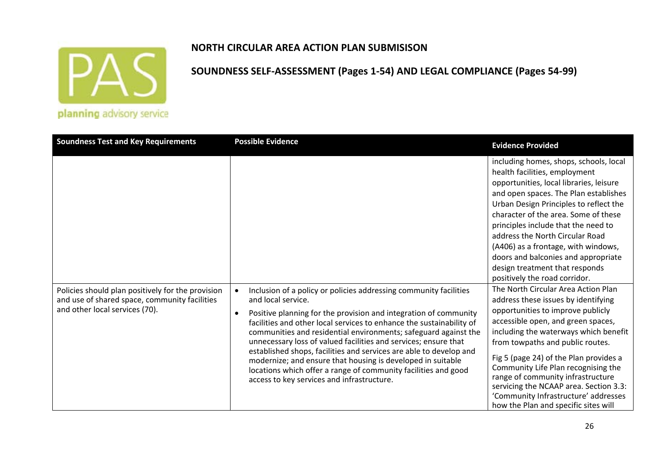

#### **NORTH CIRCULAR AREA ACTION PLAN SUBMISISON**

| <b>Soundness Test and Key Requirements</b>                                                                                           | <b>Possible Evidence</b>                                                                                                                                                                                                                                                                                                                                                                                                                                                                                                                                                                                                       | <b>Evidence Provided</b>                                                                                                                                                                                                                                                                                                                                                                                                                                                           |
|--------------------------------------------------------------------------------------------------------------------------------------|--------------------------------------------------------------------------------------------------------------------------------------------------------------------------------------------------------------------------------------------------------------------------------------------------------------------------------------------------------------------------------------------------------------------------------------------------------------------------------------------------------------------------------------------------------------------------------------------------------------------------------|------------------------------------------------------------------------------------------------------------------------------------------------------------------------------------------------------------------------------------------------------------------------------------------------------------------------------------------------------------------------------------------------------------------------------------------------------------------------------------|
|                                                                                                                                      |                                                                                                                                                                                                                                                                                                                                                                                                                                                                                                                                                                                                                                | including homes, shops, schools, local<br>health facilities, employment<br>opportunities, local libraries, leisure<br>and open spaces. The Plan establishes<br>Urban Design Principles to reflect the<br>character of the area. Some of these<br>principles include that the need to<br>address the North Circular Road<br>(A406) as a frontage, with windows,<br>doors and balconies and appropriate<br>design treatment that responds<br>positively the road corridor.           |
| Policies should plan positively for the provision<br>and use of shared space, community facilities<br>and other local services (70). | Inclusion of a policy or policies addressing community facilities<br>and local service.<br>Positive planning for the provision and integration of community<br>facilities and other local services to enhance the sustainability of<br>communities and residential environments; safeguard against the<br>unnecessary loss of valued facilities and services; ensure that<br>established shops, facilities and services are able to develop and<br>modernize; and ensure that housing is developed in suitable<br>locations which offer a range of community facilities and good<br>access to key services and infrastructure. | The North Circular Area Action Plan<br>address these issues by identifying<br>opportunities to improve publicly<br>accessible open, and green spaces,<br>including the waterways which benefit<br>from towpaths and public routes.<br>Fig 5 (page 24) of the Plan provides a<br>Community Life Plan recognising the<br>range of community infrastructure<br>servicing the NCAAP area. Section 3.3:<br>'Community Infrastructure' addresses<br>how the Plan and specific sites will |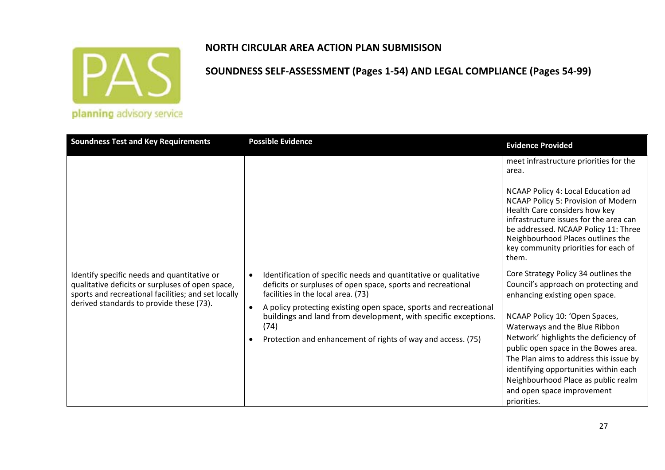

**SOUNDNESS SELF‐ASSESSMENT (Pages 1‐54) AND LEGAL COMPLIANCE (Pages 54‐99)**

| <b>Soundness Test and Key Requirements</b>                                                                                                                                                         | <b>Possible Evidence</b>                                                                                                                                                            | <b>Evidence Provided</b>                                                                                                                                                                                                                                                           |
|----------------------------------------------------------------------------------------------------------------------------------------------------------------------------------------------------|-------------------------------------------------------------------------------------------------------------------------------------------------------------------------------------|------------------------------------------------------------------------------------------------------------------------------------------------------------------------------------------------------------------------------------------------------------------------------------|
|                                                                                                                                                                                                    |                                                                                                                                                                                     | meet infrastructure priorities for the<br>area.                                                                                                                                                                                                                                    |
|                                                                                                                                                                                                    |                                                                                                                                                                                     | NCAAP Policy 4: Local Education ad<br>NCAAP Policy 5: Provision of Modern<br>Health Care considers how key<br>infrastructure issues for the area can<br>be addressed. NCAAP Policy 11: Three<br>Neighbourhood Places outlines the<br>key community priorities for each of<br>them. |
| Identify specific needs and quantitative or<br>qualitative deficits or surpluses of open space,<br>sports and recreational facilities; and set locally<br>derived standards to provide these (73). | Identification of specific needs and quantitative or qualitative<br>$\bullet$<br>deficits or surpluses of open space, sports and recreational<br>facilities in the local area. (73) | Core Strategy Policy 34 outlines the<br>Council's approach on protecting and<br>enhancing existing open space.                                                                                                                                                                     |
|                                                                                                                                                                                                    | A policy protecting existing open space, sports and recreational<br>$\bullet$<br>buildings and land from development, with specific exceptions.<br>(74)                             | NCAAP Policy 10: 'Open Spaces,<br>Waterways and the Blue Ribbon                                                                                                                                                                                                                    |
|                                                                                                                                                                                                    | Protection and enhancement of rights of way and access. (75)                                                                                                                        | Network' highlights the deficiency of<br>public open space in the Bowes area.<br>The Plan aims to address this issue by                                                                                                                                                            |
|                                                                                                                                                                                                    |                                                                                                                                                                                     | identifying opportunities within each                                                                                                                                                                                                                                              |
|                                                                                                                                                                                                    |                                                                                                                                                                                     | Neighbourhood Place as public realm<br>and open space improvement                                                                                                                                                                                                                  |
|                                                                                                                                                                                                    |                                                                                                                                                                                     | priorities.                                                                                                                                                                                                                                                                        |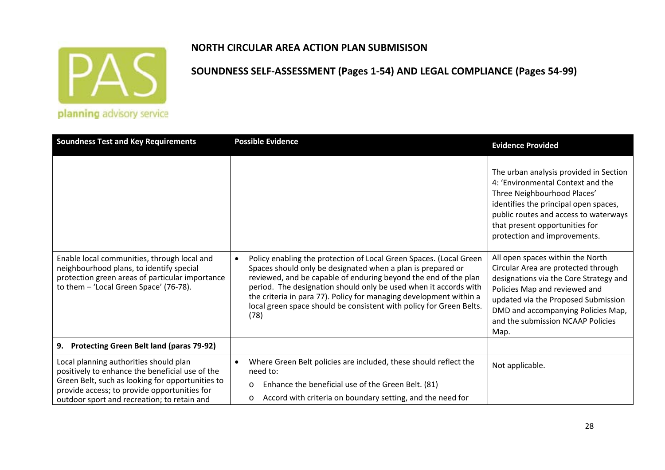

#### **NORTH CIRCULAR AREA ACTION PLAN SUBMISISON**

| <b>Soundness Test and Key Requirements</b>                                                                                                                                                                                                   | <b>Possible Evidence</b>                                                                                                                                                                                                                                                                                                                                                                                                      | <b>Evidence Provided</b>                                                                                                                                                                                                                                                     |
|----------------------------------------------------------------------------------------------------------------------------------------------------------------------------------------------------------------------------------------------|-------------------------------------------------------------------------------------------------------------------------------------------------------------------------------------------------------------------------------------------------------------------------------------------------------------------------------------------------------------------------------------------------------------------------------|------------------------------------------------------------------------------------------------------------------------------------------------------------------------------------------------------------------------------------------------------------------------------|
|                                                                                                                                                                                                                                              |                                                                                                                                                                                                                                                                                                                                                                                                                               | The urban analysis provided in Section<br>4: 'Environmental Context and the<br>Three Neighbourhood Places'<br>identifies the principal open spaces,<br>public routes and access to waterways<br>that present opportunities for<br>protection and improvements.               |
| Enable local communities, through local and<br>neighbourhood plans, to identify special<br>protection green areas of particular importance<br>to them - 'Local Green Space' (76-78).                                                         | Policy enabling the protection of Local Green Spaces. (Local Green<br>Spaces should only be designated when a plan is prepared or<br>reviewed, and be capable of enduring beyond the end of the plan<br>period. The designation should only be used when it accords with<br>the criteria in para 77). Policy for managing development within a<br>local green space should be consistent with policy for Green Belts.<br>(78) | All open spaces within the North<br>Circular Area are protected through<br>designations via the Core Strategy and<br>Policies Map and reviewed and<br>updated via the Proposed Submission<br>DMD and accompanying Policies Map,<br>and the submission NCAAP Policies<br>Map. |
| <b>Protecting Green Belt land (paras 79-92)</b><br>9.                                                                                                                                                                                        |                                                                                                                                                                                                                                                                                                                                                                                                                               |                                                                                                                                                                                                                                                                              |
| Local planning authorities should plan<br>positively to enhance the beneficial use of the<br>Green Belt, such as looking for opportunities to<br>provide access; to provide opportunities for<br>outdoor sport and recreation; to retain and | Where Green Belt policies are included, these should reflect the<br>need to:<br>Enhance the beneficial use of the Green Belt. (81)<br>$\circ$<br>Accord with criteria on boundary setting, and the need for<br>O                                                                                                                                                                                                              | Not applicable.                                                                                                                                                                                                                                                              |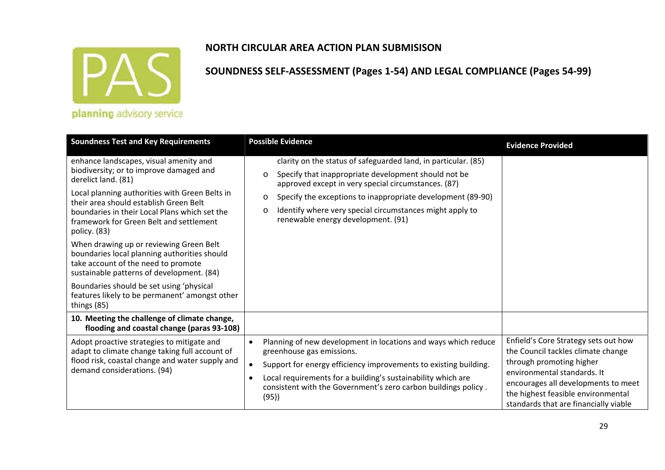

## **NORTH CIRCULAR AREA ACTION PLAN SUBMISISON**

| <b>Soundness Test and Key Requirements</b>                                                                                                                                                                                                                                                       | <b>Possible Evidence</b>                                                                                                                                                                                                                                                                                                                                                        | <b>Evidence Provided</b>                                                                                                                                                                                                                                    |
|--------------------------------------------------------------------------------------------------------------------------------------------------------------------------------------------------------------------------------------------------------------------------------------------------|---------------------------------------------------------------------------------------------------------------------------------------------------------------------------------------------------------------------------------------------------------------------------------------------------------------------------------------------------------------------------------|-------------------------------------------------------------------------------------------------------------------------------------------------------------------------------------------------------------------------------------------------------------|
| enhance landscapes, visual amenity and<br>biodiversity; or to improve damaged and<br>derelict land. (81)<br>Local planning authorities with Green Belts in<br>their area should establish Green Belt<br>boundaries in their Local Plans which set the<br>framework for Green Belt and settlement | clarity on the status of safeguarded land, in particular. (85)<br>Specify that inappropriate development should not be<br>$\circ$<br>approved except in very special circumstances. (87)<br>Specify the exceptions to inappropriate development (89-90)<br>$\circ$<br>Identify where very special circumstances might apply to<br>$\circ$<br>renewable energy development. (91) |                                                                                                                                                                                                                                                             |
| policy. (83)<br>When drawing up or reviewing Green Belt<br>boundaries local planning authorities should<br>take account of the need to promote<br>sustainable patterns of development. (84)                                                                                                      |                                                                                                                                                                                                                                                                                                                                                                                 |                                                                                                                                                                                                                                                             |
| Boundaries should be set using 'physical<br>features likely to be permanent' amongst other<br>things (85)                                                                                                                                                                                        |                                                                                                                                                                                                                                                                                                                                                                                 |                                                                                                                                                                                                                                                             |
| 10. Meeting the challenge of climate change,<br>flooding and coastal change (paras 93-108)                                                                                                                                                                                                       |                                                                                                                                                                                                                                                                                                                                                                                 |                                                                                                                                                                                                                                                             |
| Adopt proactive strategies to mitigate and<br>adapt to climate change taking full account of<br>flood risk, coastal change and water supply and<br>demand considerations. (94)                                                                                                                   | Planning of new development in locations and ways which reduce<br>greenhouse gas emissions.<br>Support for energy efficiency improvements to existing building.<br>Local requirements for a building's sustainability which are<br>$\bullet$<br>consistent with the Government's zero carbon buildings policy.<br>(95)                                                          | Enfield's Core Strategy sets out how<br>the Council tackles climate change<br>through promoting higher<br>environmental standards. It<br>encourages all developments to meet<br>the highest feasible environmental<br>standards that are financially viable |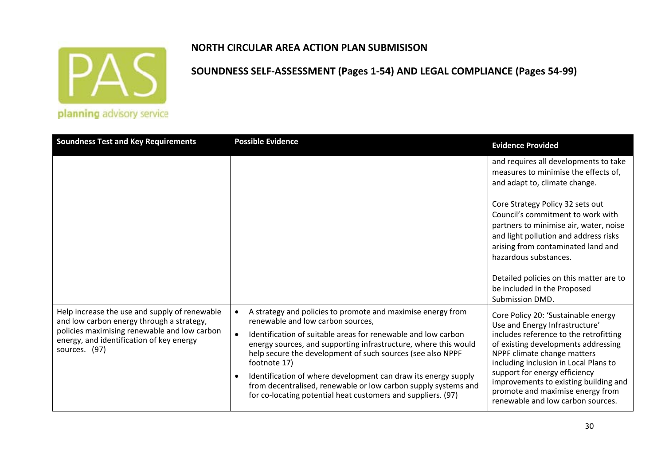

### **NORTH CIRCULAR AREA ACTION PLAN SUBMISISON**

| <b>Soundness Test and Key Requirements</b>                                                                                                                                                              | <b>Possible Evidence</b>                                                                                                                                                                                                                                                                                                                                                                                                                                                                                               | <b>Evidence Provided</b>                                                                                                                                                                                                                                                                                                                                                          |
|---------------------------------------------------------------------------------------------------------------------------------------------------------------------------------------------------------|------------------------------------------------------------------------------------------------------------------------------------------------------------------------------------------------------------------------------------------------------------------------------------------------------------------------------------------------------------------------------------------------------------------------------------------------------------------------------------------------------------------------|-----------------------------------------------------------------------------------------------------------------------------------------------------------------------------------------------------------------------------------------------------------------------------------------------------------------------------------------------------------------------------------|
|                                                                                                                                                                                                         |                                                                                                                                                                                                                                                                                                                                                                                                                                                                                                                        | and requires all developments to take<br>measures to minimise the effects of,<br>and adapt to, climate change.                                                                                                                                                                                                                                                                    |
|                                                                                                                                                                                                         |                                                                                                                                                                                                                                                                                                                                                                                                                                                                                                                        | Core Strategy Policy 32 sets out<br>Council's commitment to work with<br>partners to minimise air, water, noise<br>and light pollution and address risks<br>arising from contaminated land and<br>hazardous substances.<br>Detailed policies on this matter are to<br>be included in the Proposed                                                                                 |
|                                                                                                                                                                                                         |                                                                                                                                                                                                                                                                                                                                                                                                                                                                                                                        | Submission DMD.                                                                                                                                                                                                                                                                                                                                                                   |
| Help increase the use and supply of renewable<br>and low carbon energy through a strategy,<br>policies maximising renewable and low carbon<br>energy, and identification of key energy<br>sources. (97) | A strategy and policies to promote and maximise energy from<br>renewable and low carbon sources,<br>Identification of suitable areas for renewable and low carbon<br>energy sources, and supporting infrastructure, where this would<br>help secure the development of such sources (see also NPPF<br>footnote 17)<br>Identification of where development can draw its energy supply<br>from decentralised, renewable or low carbon supply systems and<br>for co-locating potential heat customers and suppliers. (97) | Core Policy 20: 'Sustainable energy<br>Use and Energy Infrastructure'<br>includes reference to the retrofitting<br>of existing developments addressing<br>NPPF climate change matters<br>including inclusion in Local Plans to<br>support for energy efficiency<br>improvements to existing building and<br>promote and maximise energy from<br>renewable and low carbon sources. |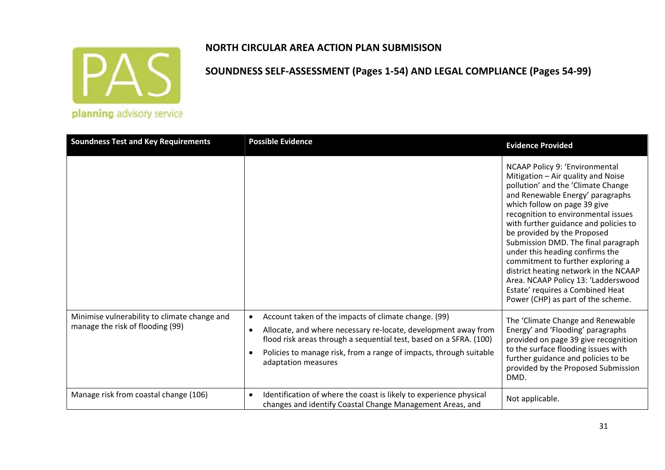

**SOUNDNESS SELF‐ASSESSMENT (Pages 1‐54) AND LEGAL COMPLIANCE (Pages 54‐99)**

| <b>Soundness Test and Key Requirements</b>                                       | <b>Possible Evidence</b>                                                                                                                                                                                                                                                                               | <b>Evidence Provided</b>                                                                                                                                                                                                                                                                                                                                                                                                                                                                                                                                               |
|----------------------------------------------------------------------------------|--------------------------------------------------------------------------------------------------------------------------------------------------------------------------------------------------------------------------------------------------------------------------------------------------------|------------------------------------------------------------------------------------------------------------------------------------------------------------------------------------------------------------------------------------------------------------------------------------------------------------------------------------------------------------------------------------------------------------------------------------------------------------------------------------------------------------------------------------------------------------------------|
|                                                                                  |                                                                                                                                                                                                                                                                                                        | NCAAP Policy 9: 'Environmental<br>Mitigation - Air quality and Noise<br>pollution' and the 'Climate Change<br>and Renewable Energy' paragraphs<br>which follow on page 39 give<br>recognition to environmental issues<br>with further guidance and policies to<br>be provided by the Proposed<br>Submission DMD. The final paragraph<br>under this heading confirms the<br>commitment to further exploring a<br>district heating network in the NCAAP<br>Area. NCAAP Policy 13: 'Ladderswood<br>Estate' requires a Combined Heat<br>Power (CHP) as part of the scheme. |
| Minimise vulnerability to climate change and<br>manage the risk of flooding (99) | Account taken of the impacts of climate change. (99)<br>$\bullet$<br>Allocate, and where necessary re-locate, development away from<br>flood risk areas through a sequential test, based on a SFRA. (100)<br>Policies to manage risk, from a range of impacts, through suitable<br>adaptation measures | The 'Climate Change and Renewable<br>Energy' and 'Flooding' paragraphs<br>provided on page 39 give recognition<br>to the surface flooding issues with<br>further guidance and policies to be<br>provided by the Proposed Submission<br>DMD.                                                                                                                                                                                                                                                                                                                            |
| Manage risk from coastal change (106)                                            | Identification of where the coast is likely to experience physical<br>$\bullet$<br>changes and identify Coastal Change Management Areas, and                                                                                                                                                           | Not applicable.                                                                                                                                                                                                                                                                                                                                                                                                                                                                                                                                                        |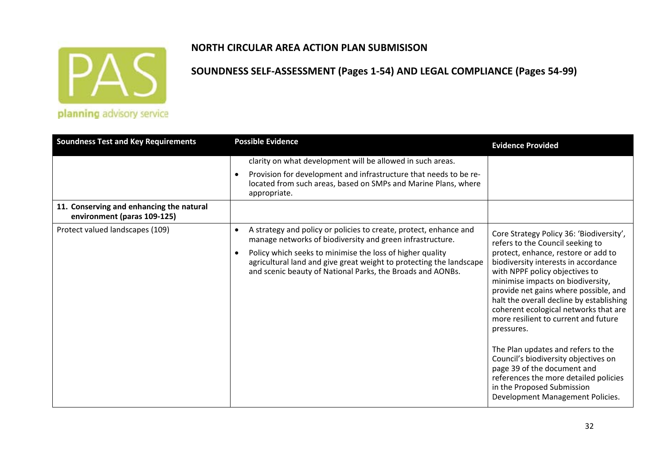

### **NORTH CIRCULAR AREA ACTION PLAN SUBMISISON**

| <b>Soundness Test and Key Requirements</b>                              | <b>Possible Evidence</b>                                                                                                                                                                                                                                                                                                                                   | <b>Evidence Provided</b>                                                                                                                                                                                                                                                                                                                                                                                                                                                                                                                                                                                                                       |
|-------------------------------------------------------------------------|------------------------------------------------------------------------------------------------------------------------------------------------------------------------------------------------------------------------------------------------------------------------------------------------------------------------------------------------------------|------------------------------------------------------------------------------------------------------------------------------------------------------------------------------------------------------------------------------------------------------------------------------------------------------------------------------------------------------------------------------------------------------------------------------------------------------------------------------------------------------------------------------------------------------------------------------------------------------------------------------------------------|
|                                                                         | clarity on what development will be allowed in such areas.<br>Provision for development and infrastructure that needs to be re-<br>$\bullet$<br>located from such areas, based on SMPs and Marine Plans, where<br>appropriate.                                                                                                                             |                                                                                                                                                                                                                                                                                                                                                                                                                                                                                                                                                                                                                                                |
| 11. Conserving and enhancing the natural<br>environment (paras 109-125) |                                                                                                                                                                                                                                                                                                                                                            |                                                                                                                                                                                                                                                                                                                                                                                                                                                                                                                                                                                                                                                |
| Protect valued landscapes (109)                                         | A strategy and policy or policies to create, protect, enhance and<br>$\bullet$<br>manage networks of biodiversity and green infrastructure.<br>Policy which seeks to minimise the loss of higher quality<br>$\bullet$<br>agricultural land and give great weight to protecting the landscape<br>and scenic beauty of National Parks, the Broads and AONBs. | Core Strategy Policy 36: 'Biodiversity',<br>refers to the Council seeking to<br>protect, enhance, restore or add to<br>biodiversity interests in accordance<br>with NPPF policy objectives to<br>minimise impacts on biodiversity,<br>provide net gains where possible, and<br>halt the overall decline by establishing<br>coherent ecological networks that are<br>more resilient to current and future<br>pressures.<br>The Plan updates and refers to the<br>Council's biodiversity objectives on<br>page 39 of the document and<br>references the more detailed policies<br>in the Proposed Submission<br>Development Management Policies. |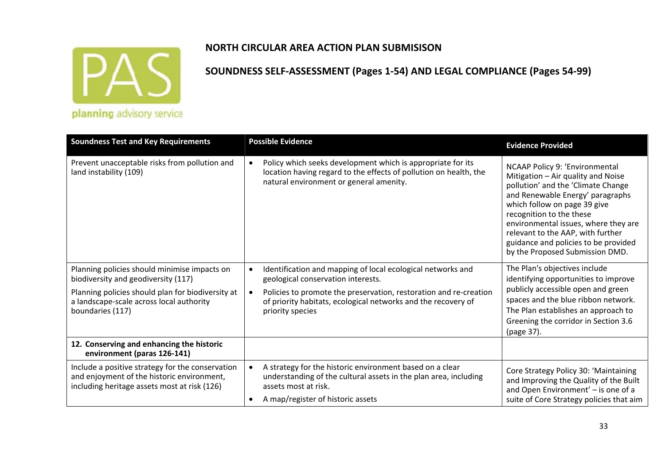

| planning advisory service |  |
|---------------------------|--|
|                           |  |
|                           |  |

| <b>Soundness Test and Key Requirements</b>                                                                                                     | <b>Possible Evidence</b>                                                                                                                                                                               | <b>Evidence Provided</b>                                                                                                                                                                                                                                                                                                                                           |
|------------------------------------------------------------------------------------------------------------------------------------------------|--------------------------------------------------------------------------------------------------------------------------------------------------------------------------------------------------------|--------------------------------------------------------------------------------------------------------------------------------------------------------------------------------------------------------------------------------------------------------------------------------------------------------------------------------------------------------------------|
| Prevent unacceptable risks from pollution and<br>land instability (109)                                                                        | Policy which seeks development which is appropriate for its<br>$\bullet$<br>location having regard to the effects of pollution on health, the<br>natural environment or general amenity.               | NCAAP Policy 9: 'Environmental<br>Mitigation - Air quality and Noise<br>pollution' and the 'Climate Change<br>and Renewable Energy' paragraphs<br>which follow on page 39 give<br>recognition to the these<br>environmental issues, where they are<br>relevant to the AAP, with further<br>guidance and policies to be provided<br>by the Proposed Submission DMD. |
| Planning policies should minimise impacts on<br>biodiversity and geodiversity (117)                                                            | Identification and mapping of local ecological networks and<br>geological conservation interests.                                                                                                      | The Plan's objectives include<br>identifying opportunities to improve                                                                                                                                                                                                                                                                                              |
| Planning policies should plan for biodiversity at<br>a landscape-scale across local authority<br>boundaries (117)                              | Policies to promote the preservation, restoration and re-creation<br>$\bullet$<br>of priority habitats, ecological networks and the recovery of<br>priority species                                    | publicly accessible open and green<br>spaces and the blue ribbon network.<br>The Plan establishes an approach to<br>Greening the corridor in Section 3.6<br>(page 37).                                                                                                                                                                                             |
| 12. Conserving and enhancing the historic<br>environment (paras 126-141)                                                                       |                                                                                                                                                                                                        |                                                                                                                                                                                                                                                                                                                                                                    |
| Include a positive strategy for the conservation<br>and enjoyment of the historic environment,<br>including heritage assets most at risk (126) | A strategy for the historic environment based on a clear<br>$\bullet$<br>understanding of the cultural assets in the plan area, including<br>assets most at risk.<br>A map/register of historic assets | Core Strategy Policy 30: 'Maintaining<br>and Improving the Quality of the Built<br>and Open Environment' - is one of a<br>suite of Core Strategy policies that aim                                                                                                                                                                                                 |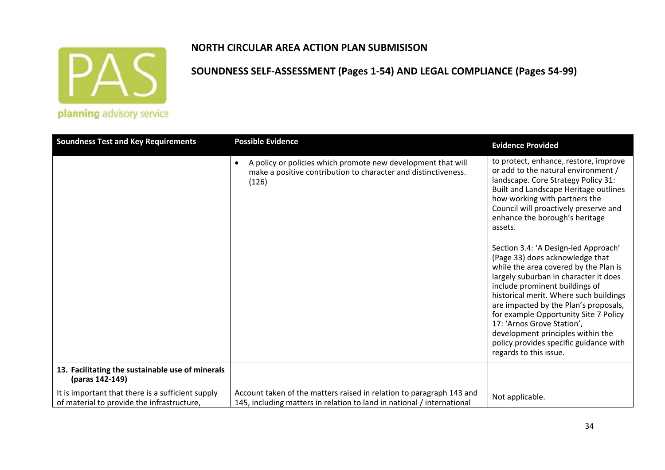

## **NORTH CIRCULAR AREA ACTION PLAN SUBMISISON**

| <b>Soundness Test and Key Requirements</b>                                                      | <b>Possible Evidence</b>                                                                                                                             | <b>Evidence Provided</b>                                                                                                                                                                                                                                                                                                                                                                                                                                                                                                                                                                                                                                                                                                                              |
|-------------------------------------------------------------------------------------------------|------------------------------------------------------------------------------------------------------------------------------------------------------|-------------------------------------------------------------------------------------------------------------------------------------------------------------------------------------------------------------------------------------------------------------------------------------------------------------------------------------------------------------------------------------------------------------------------------------------------------------------------------------------------------------------------------------------------------------------------------------------------------------------------------------------------------------------------------------------------------------------------------------------------------|
|                                                                                                 | A policy or policies which promote new development that will<br>$\bullet$<br>make a positive contribution to character and distinctiveness.<br>(126) | to protect, enhance, restore, improve<br>or add to the natural environment /<br>landscape. Core Strategy Policy 31:<br>Built and Landscape Heritage outlines<br>how working with partners the<br>Council will proactively preserve and<br>enhance the borough's heritage<br>assets.<br>Section 3.4: 'A Design-led Approach'<br>(Page 33) does acknowledge that<br>while the area covered by the Plan is<br>largely suburban in character it does<br>include prominent buildings of<br>historical merit. Where such buildings<br>are impacted by the Plan's proposals,<br>for example Opportunity Site 7 Policy<br>17: 'Arnos Grove Station',<br>development principles within the<br>policy provides specific guidance with<br>regards to this issue. |
| 13. Facilitating the sustainable use of minerals<br>(paras 142-149)                             |                                                                                                                                                      |                                                                                                                                                                                                                                                                                                                                                                                                                                                                                                                                                                                                                                                                                                                                                       |
| It is important that there is a sufficient supply<br>of material to provide the infrastructure, | Account taken of the matters raised in relation to paragraph 143 and<br>145, including matters in relation to land in national / international       | Not applicable.                                                                                                                                                                                                                                                                                                                                                                                                                                                                                                                                                                                                                                                                                                                                       |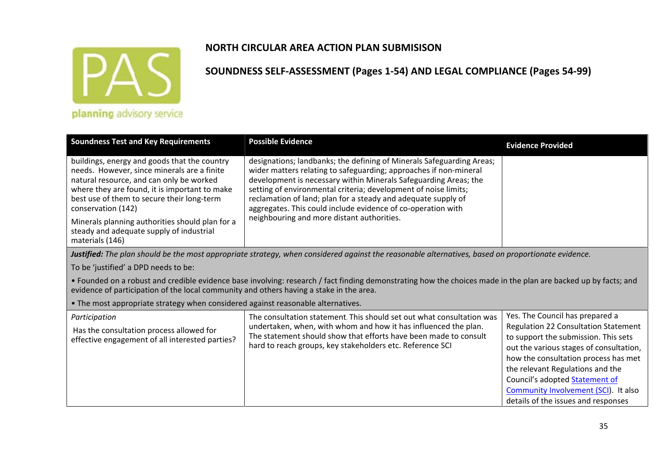

## **SOUNDNESS SELF‐ASSESSMENT (Pages 1‐54) AND LEGAL COMPLIANCE (Pages 54‐99)**

planning advisory service

| <b>Soundness Test and Key Requirements</b>                                                                                                                                                                                                                                                                                                                                     | <b>Possible Evidence</b>                                                                                                                                                                                                                                                                                                                                                                                                                                         | <b>Evidence Provided</b> |
|--------------------------------------------------------------------------------------------------------------------------------------------------------------------------------------------------------------------------------------------------------------------------------------------------------------------------------------------------------------------------------|------------------------------------------------------------------------------------------------------------------------------------------------------------------------------------------------------------------------------------------------------------------------------------------------------------------------------------------------------------------------------------------------------------------------------------------------------------------|--------------------------|
| buildings, energy and goods that the country<br>needs. However, since minerals are a finite<br>natural resource, and can only be worked<br>where they are found, it is important to make<br>best use of them to secure their long-term<br>conservation (142)<br>Minerals planning authorities should plan for a<br>steady and adequate supply of industrial<br>materials (146) | designations; landbanks; the defining of Minerals Safeguarding Areas;<br>wider matters relating to safeguarding; approaches if non-mineral<br>development is necessary within Minerals Safeguarding Areas; the<br>setting of environmental criteria; development of noise limits;<br>reclamation of land; plan for a steady and adequate supply of<br>aggregates. This could include evidence of co-operation with<br>neighbouring and more distant authorities. |                          |
|                                                                                                                                                                                                                                                                                                                                                                                |                                                                                                                                                                                                                                                                                                                                                                                                                                                                  |                          |

**Justified:** The plan should be the most appropriate strategy, when considered against the reasonable alternatives, based on proportionate evidence.

To be 'justified' <sup>a</sup> DPD needs to be:

• Founded on <sup>a</sup> robust and credible evidence base involving: research / fact finding demonstrating how the choices made in the plan are backed up by facts; and evidence of participation of the local community and others having <sup>a</sup> stake in the area.

• The most appropriate strategy when considered against reasonable alternatives.

| Participation                                                                               | The consultation statement. This should set out what consultation was                                                                                                                            | Yes. The Council has prepared a      |  |  |                                                                                                                                |
|---------------------------------------------------------------------------------------------|--------------------------------------------------------------------------------------------------------------------------------------------------------------------------------------------------|--------------------------------------|--|--|--------------------------------------------------------------------------------------------------------------------------------|
| Has the consultation process allowed for<br>effective engagement of all interested parties? | undertaken, when, with whom and how it has influenced the plan.<br>The statement should show that efforts have been made to consult<br>hard to reach groups, key stakeholders etc. Reference SCI |                                      |  |  | <b>Regulation 22 Consultation Statement</b><br>to support the submission. This sets<br>out the various stages of consultation, |
|                                                                                             |                                                                                                                                                                                                  | how the consultation process has met |  |  |                                                                                                                                |
|                                                                                             |                                                                                                                                                                                                  | the relevant Regulations and the     |  |  |                                                                                                                                |
|                                                                                             |                                                                                                                                                                                                  | Council's adopted Statement of       |  |  |                                                                                                                                |
|                                                                                             |                                                                                                                                                                                                  | Community Involvement (SCI). It also |  |  |                                                                                                                                |
|                                                                                             |                                                                                                                                                                                                  | details of the issues and responses  |  |  |                                                                                                                                |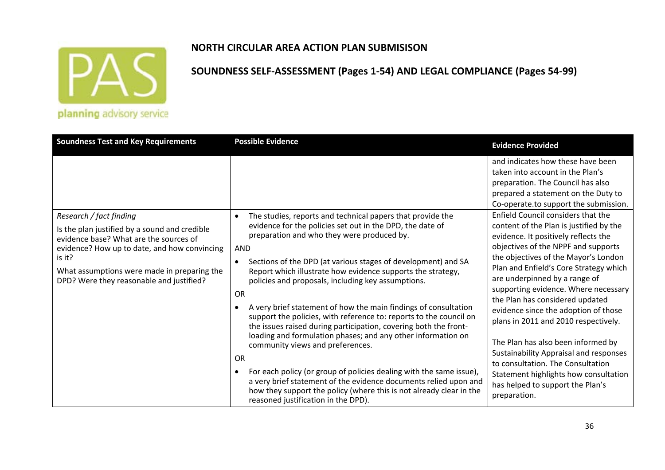

#### **NORTH CIRCULAR AREA ACTION PLAN SUBMISISON**

| <b>Soundness Test and Key Requirements</b>                                                                                                                                                                                                                              | <b>Possible Evidence</b>                                                                                                                                                                                                                                                                                                                                                                                                                                                                                                                                                                                                                                                                                                                | <b>Evidence Provided</b>                                                                                                                                                                                                                                                                                                                                                                                                                                                                                                                                                                                                                                                                                                 |
|-------------------------------------------------------------------------------------------------------------------------------------------------------------------------------------------------------------------------------------------------------------------------|-----------------------------------------------------------------------------------------------------------------------------------------------------------------------------------------------------------------------------------------------------------------------------------------------------------------------------------------------------------------------------------------------------------------------------------------------------------------------------------------------------------------------------------------------------------------------------------------------------------------------------------------------------------------------------------------------------------------------------------------|--------------------------------------------------------------------------------------------------------------------------------------------------------------------------------------------------------------------------------------------------------------------------------------------------------------------------------------------------------------------------------------------------------------------------------------------------------------------------------------------------------------------------------------------------------------------------------------------------------------------------------------------------------------------------------------------------------------------------|
| Research / fact finding<br>Is the plan justified by a sound and credible<br>evidence base? What are the sources of<br>evidence? How up to date, and how convincing<br>is it?<br>What assumptions were made in preparing the<br>DPD? Were they reasonable and justified? | The studies, reports and technical papers that provide the<br>$\bullet$<br>evidence for the policies set out in the DPD, the date of<br>preparation and who they were produced by.<br><b>AND</b><br>Sections of the DPD (at various stages of development) and SA<br>$\bullet$<br>Report which illustrate how evidence supports the strategy,<br>policies and proposals, including key assumptions.<br><b>OR</b><br>A very brief statement of how the main findings of consultation<br>support the policies, with reference to: reports to the council on<br>the issues raised during participation, covering both the front-<br>loading and formulation phases; and any other information on<br>community views and preferences.<br>OR | and indicates how these have been<br>taken into account in the Plan's<br>preparation. The Council has also<br>prepared a statement on the Duty to<br>Co-operate.to support the submission.<br>Enfield Council considers that the<br>content of the Plan is justified by the<br>evidence. It positively reflects the<br>objectives of the NPPF and supports<br>the objectives of the Mayor's London<br>Plan and Enfield's Core Strategy which<br>are underpinned by a range of<br>supporting evidence. Where necessary<br>the Plan has considered updated<br>evidence since the adoption of those<br>plans in 2011 and 2010 respectively.<br>The Plan has also been informed by<br>Sustainability Appraisal and responses |
|                                                                                                                                                                                                                                                                         | For each policy (or group of policies dealing with the same issue),<br>a very brief statement of the evidence documents relied upon and<br>how they support the policy (where this is not already clear in the<br>reasoned justification in the DPD).                                                                                                                                                                                                                                                                                                                                                                                                                                                                                   | to consultation. The Consultation<br>Statement highlights how consultation<br>has helped to support the Plan's<br>preparation.                                                                                                                                                                                                                                                                                                                                                                                                                                                                                                                                                                                           |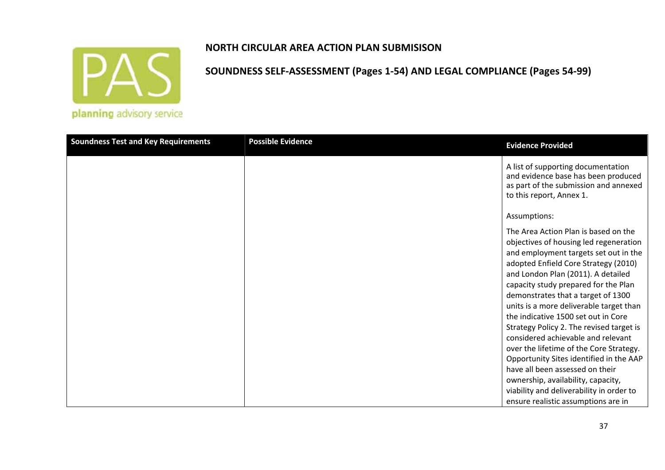

## **SOUNDNESS SELF‐ASSESSMENT (Pages 1‐54) AND LEGAL COMPLIANCE (Pages 54‐99)**

planning advisory service

| <b>Soundness Test and Key Requirements</b> | <b>Possible Evidence</b> | <b>Evidence Provided</b>                                                                                                                                                                                                                                                                                                                                                                                                                                                                                                                                                                                               |
|--------------------------------------------|--------------------------|------------------------------------------------------------------------------------------------------------------------------------------------------------------------------------------------------------------------------------------------------------------------------------------------------------------------------------------------------------------------------------------------------------------------------------------------------------------------------------------------------------------------------------------------------------------------------------------------------------------------|
|                                            |                          | A list of supporting documentation<br>and evidence base has been produced<br>as part of the submission and annexed<br>to this report, Annex 1.                                                                                                                                                                                                                                                                                                                                                                                                                                                                         |
|                                            |                          | Assumptions:                                                                                                                                                                                                                                                                                                                                                                                                                                                                                                                                                                                                           |
|                                            |                          | The Area Action Plan is based on the<br>objectives of housing led regeneration<br>and employment targets set out in the<br>adopted Enfield Core Strategy (2010)<br>and London Plan (2011). A detailed<br>capacity study prepared for the Plan<br>demonstrates that a target of 1300<br>units is a more deliverable target than<br>the indicative 1500 set out in Core<br>Strategy Policy 2. The revised target is<br>considered achievable and relevant<br>over the lifetime of the Core Strategy.<br>Opportunity Sites identified in the AAP<br>have all been assessed on their<br>ownership, availability, capacity, |
|                                            |                          | viability and deliverability in order to<br>ensure realistic assumptions are in                                                                                                                                                                                                                                                                                                                                                                                                                                                                                                                                        |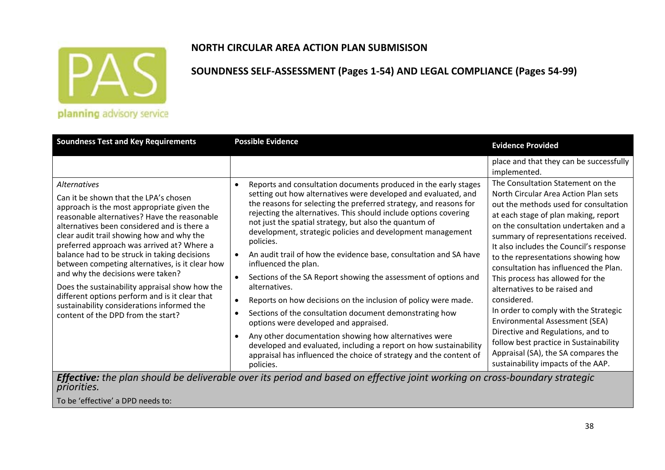

#### **NORTH CIRCULAR AREA ACTION PLAN SUBMISISON**

**SOUNDNESS SELF‐ASSESSMENT (Pages 1‐54) AND LEGAL COMPLIANCE (Pages 54‐99)**

| <b>Soundness Test and Key Requirements</b>                                                                                                                                                                                                                                                                                                                                                                                                                                                                                                                                                     | <b>Possible Evidence</b><br><b>Evidence Provided</b>                                                                                                                                                                                                                                                                                                                                                                                                                                                                                                                                                                                                               |                                                                                                                                                                                                                                                                                                                                                                                                                                                                                                                     |  |  |  |
|------------------------------------------------------------------------------------------------------------------------------------------------------------------------------------------------------------------------------------------------------------------------------------------------------------------------------------------------------------------------------------------------------------------------------------------------------------------------------------------------------------------------------------------------------------------------------------------------|--------------------------------------------------------------------------------------------------------------------------------------------------------------------------------------------------------------------------------------------------------------------------------------------------------------------------------------------------------------------------------------------------------------------------------------------------------------------------------------------------------------------------------------------------------------------------------------------------------------------------------------------------------------------|---------------------------------------------------------------------------------------------------------------------------------------------------------------------------------------------------------------------------------------------------------------------------------------------------------------------------------------------------------------------------------------------------------------------------------------------------------------------------------------------------------------------|--|--|--|
| <b>Alternatives</b><br>Can it be shown that the LPA's chosen<br>approach is the most appropriate given the<br>reasonable alternatives? Have the reasonable<br>alternatives been considered and is there a<br>clear audit trail showing how and why the<br>preferred approach was arrived at? Where a<br>balance had to be struck in taking decisions<br>between competing alternatives, is it clear how<br>and why the decisions were taken?<br>Does the sustainability appraisal show how the<br>different options perform and is it clear that<br>sustainability considerations informed the | Reports and consultation documents produced in the early stages<br>setting out how alternatives were developed and evaluated, and<br>the reasons for selecting the preferred strategy, and reasons for<br>rejecting the alternatives. This should include options covering<br>not just the spatial strategy, but also the quantum of<br>development, strategic policies and development management<br>policies.<br>An audit trail of how the evidence base, consultation and SA have<br>influenced the plan.<br>Sections of the SA Report showing the assessment of options and<br>alternatives.<br>Reports on how decisions on the inclusion of policy were made. | place and that they can be successfully<br>implemented.<br>The Consultation Statement on the<br>North Circular Area Action Plan sets<br>out the methods used for consultation<br>at each stage of plan making, report<br>on the consultation undertaken and a<br>summary of representations received.<br>It also includes the Council's response<br>to the representations showing how<br>consultation has influenced the Plan.<br>This process has allowed for the<br>alternatives to be raised and<br>considered. |  |  |  |
| content of the DPD from the start?                                                                                                                                                                                                                                                                                                                                                                                                                                                                                                                                                             | Sections of the consultation document demonstrating how<br>options were developed and appraised.                                                                                                                                                                                                                                                                                                                                                                                                                                                                                                                                                                   | In order to comply with the Strategic<br>Environmental Assessment (SEA)                                                                                                                                                                                                                                                                                                                                                                                                                                             |  |  |  |
|                                                                                                                                                                                                                                                                                                                                                                                                                                                                                                                                                                                                | Any other documentation showing how alternatives were<br>developed and evaluated, including a report on how sustainability<br>appraisal has influenced the choice of strategy and the content of<br>policies.                                                                                                                                                                                                                                                                                                                                                                                                                                                      | Directive and Regulations, and to<br>follow best practice in Sustainability<br>Appraisal (SA), the SA compares the<br>sustainability impacts of the AAP.                                                                                                                                                                                                                                                                                                                                                            |  |  |  |
| <b>Effective:</b> the plan should be deliverable over its period and based on effective joint working on cross-boundary strategic                                                                                                                                                                                                                                                                                                                                                                                                                                                              |                                                                                                                                                                                                                                                                                                                                                                                                                                                                                                                                                                                                                                                                    |                                                                                                                                                                                                                                                                                                                                                                                                                                                                                                                     |  |  |  |

To be 'effective' <sup>a</sup> DPD needs to:

*priorities.*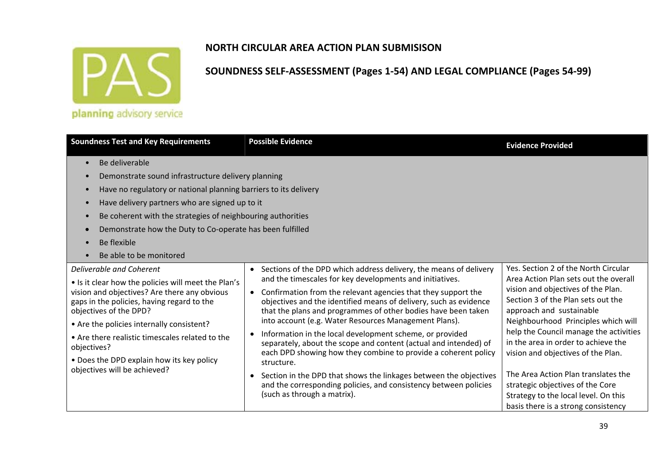

#### **SOUNDNESS SELF‐ASSESSMENT (Pages 1‐54) AND LEGAL COMPLIANCE (Pages 54‐99)**

planning advisory service

| <b>Soundness Test and Key Requirements</b>                                                                                                                                                                                                                                                                                                                                                          | <b>Evidence Provided</b>                                                                                                                                                                                                                                                                                                                                                                                                                                                                                                                                                                                                                                                                                                                                                                                 |                                                                                                                                                                                                                                                                                                                                                                                                                                                                                                               |
|-----------------------------------------------------------------------------------------------------------------------------------------------------------------------------------------------------------------------------------------------------------------------------------------------------------------------------------------------------------------------------------------------------|----------------------------------------------------------------------------------------------------------------------------------------------------------------------------------------------------------------------------------------------------------------------------------------------------------------------------------------------------------------------------------------------------------------------------------------------------------------------------------------------------------------------------------------------------------------------------------------------------------------------------------------------------------------------------------------------------------------------------------------------------------------------------------------------------------|---------------------------------------------------------------------------------------------------------------------------------------------------------------------------------------------------------------------------------------------------------------------------------------------------------------------------------------------------------------------------------------------------------------------------------------------------------------------------------------------------------------|
| Be deliverable<br>Demonstrate sound infrastructure delivery planning<br>Have no regulatory or national planning barriers to its delivery<br>Have delivery partners who are signed up to it<br>Be coherent with the strategies of neighbouring authorities<br>Demonstrate how the Duty to Co-operate has been fulfilled<br>Be flexible<br>Be able to be monitored                                    |                                                                                                                                                                                                                                                                                                                                                                                                                                                                                                                                                                                                                                                                                                                                                                                                          |                                                                                                                                                                                                                                                                                                                                                                                                                                                                                                               |
| Deliverable and Coherent<br>• Is it clear how the policies will meet the Plan's<br>vision and objectives? Are there any obvious<br>gaps in the policies, having regard to the<br>objectives of the DPD?<br>• Are the policies internally consistent?<br>• Are there realistic timescales related to the<br>objectives?<br>• Does the DPD explain how its key policy<br>objectives will be achieved? | • Sections of the DPD which address delivery, the means of delivery<br>and the timescales for key developments and initiatives.<br>• Confirmation from the relevant agencies that they support the<br>objectives and the identified means of delivery, such as evidence<br>that the plans and programmes of other bodies have been taken<br>into account (e.g. Water Resources Management Plans).<br>Information in the local development scheme, or provided<br>$\bullet$<br>separately, about the scope and content (actual and intended) of<br>each DPD showing how they combine to provide a coherent policy<br>structure.<br>• Section in the DPD that shows the linkages between the objectives<br>and the corresponding policies, and consistency between policies<br>(such as through a matrix). | Yes. Section 2 of the North Circular<br>Area Action Plan sets out the overall<br>vision and objectives of the Plan.<br>Section 3 of the Plan sets out the<br>approach and sustainable<br>Neighbourhood Principles which will<br>help the Council manage the activities<br>in the area in order to achieve the<br>vision and objectives of the Plan.<br>The Area Action Plan translates the<br>strategic objectives of the Core<br>Strategy to the local level. On this<br>basis there is a strong consistency |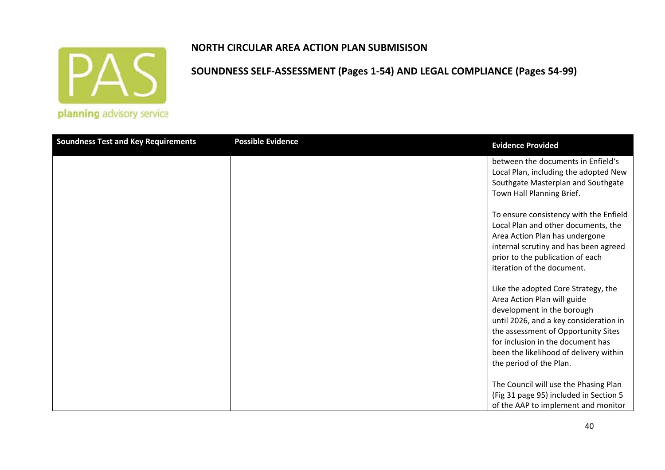

#### **NORTH CIRCULAR AREA ACTION PLAN SUBMISISON**

| <b>Soundness Test and Key Requirements</b> | <b>Possible Evidence</b> | <b>Evidence Provided</b>                                                                                                                                                                                                                                                                    |
|--------------------------------------------|--------------------------|---------------------------------------------------------------------------------------------------------------------------------------------------------------------------------------------------------------------------------------------------------------------------------------------|
|                                            |                          | between the documents in Enfield's<br>Local Plan, including the adopted New<br>Southgate Masterplan and Southgate<br>Town Hall Planning Brief.                                                                                                                                              |
|                                            |                          | To ensure consistency with the Enfield<br>Local Plan and other documents, the<br>Area Action Plan has undergone<br>internal scrutiny and has been agreed<br>prior to the publication of each<br>iteration of the document.                                                                  |
|                                            |                          | Like the adopted Core Strategy, the<br>Area Action Plan will guide<br>development in the borough<br>until 2026, and a key consideration in<br>the assessment of Opportunity Sites<br>for inclusion in the document has<br>been the likelihood of delivery within<br>the period of the Plan. |
|                                            |                          | The Council will use the Phasing Plan<br>(Fig 31 page 95) included in Section 5<br>of the AAP to implement and monitor                                                                                                                                                                      |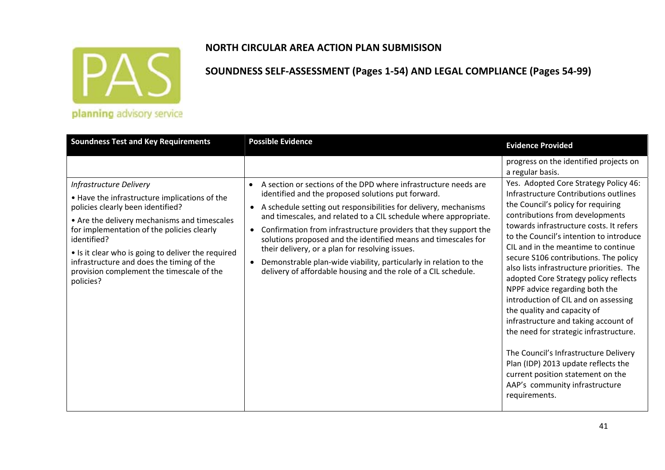

#### **SOUNDNESS SELF‐ASSESSMENT (Pages 1‐54) AND LEGAL COMPLIANCE (Pages 54‐99)**

planning advisory service

| <b>Soundness Test and Key Requirements</b>                                                                                                                                                                                                                                                                                                                                              | <b>Possible Evidence</b>                                                                                                                                                                                                                                                                                                                                                                                                                                                                                                                                                                                                                          | <b>Evidence Provided</b>                                                                                                                                                                                                                                                                                                                                                                                                                                                                                                                                                                                                                                                                                                                                                                                                            |
|-----------------------------------------------------------------------------------------------------------------------------------------------------------------------------------------------------------------------------------------------------------------------------------------------------------------------------------------------------------------------------------------|---------------------------------------------------------------------------------------------------------------------------------------------------------------------------------------------------------------------------------------------------------------------------------------------------------------------------------------------------------------------------------------------------------------------------------------------------------------------------------------------------------------------------------------------------------------------------------------------------------------------------------------------------|-------------------------------------------------------------------------------------------------------------------------------------------------------------------------------------------------------------------------------------------------------------------------------------------------------------------------------------------------------------------------------------------------------------------------------------------------------------------------------------------------------------------------------------------------------------------------------------------------------------------------------------------------------------------------------------------------------------------------------------------------------------------------------------------------------------------------------------|
| Infrastructure Delivery<br>• Have the infrastructure implications of the<br>policies clearly been identified?<br>• Are the delivery mechanisms and timescales<br>for implementation of the policies clearly<br>identified?<br>• Is it clear who is going to deliver the required<br>infrastructure and does the timing of the<br>provision complement the timescale of the<br>policies? | A section or sections of the DPD where infrastructure needs are<br>$\bullet$<br>identified and the proposed solutions put forward.<br>A schedule setting out responsibilities for delivery, mechanisms<br>$\bullet$<br>and timescales, and related to a CIL schedule where appropriate.<br>Confirmation from infrastructure providers that they support the<br>$\bullet$<br>solutions proposed and the identified means and timescales for<br>their delivery, or a plan for resolving issues.<br>Demonstrable plan-wide viability, particularly in relation to the<br>$\bullet$<br>delivery of affordable housing and the role of a CIL schedule. | progress on the identified projects on<br>a regular basis.<br>Yes. Adopted Core Strategy Policy 46:<br>Infrastructure Contributions outlines<br>the Council's policy for requiring<br>contributions from developments<br>towards infrastructure costs. It refers<br>to the Council's intention to introduce<br>CIL and in the meantime to continue<br>secure S106 contributions. The policy<br>also lists infrastructure priorities. The<br>adopted Core Strategy policy reflects<br>NPPF advice regarding both the<br>introduction of CIL and on assessing<br>the quality and capacity of<br>infrastructure and taking account of<br>the need for strategic infrastructure.<br>The Council's Infrastructure Delivery<br>Plan (IDP) 2013 update reflects the<br>current position statement on the<br>AAP's community infrastructure |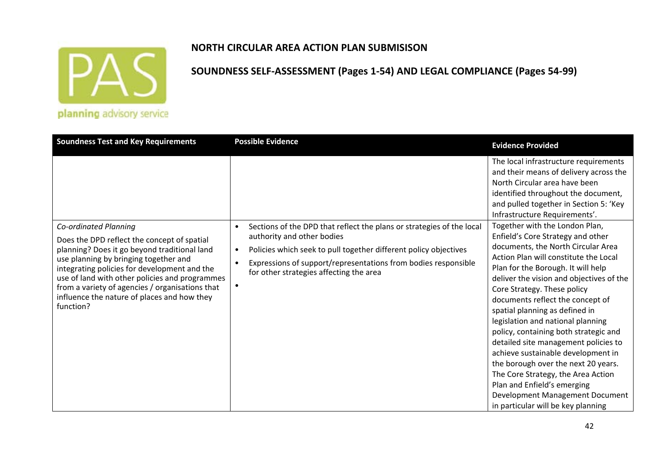

#### **NORTH CIRCULAR AREA ACTION PLAN SUBMISISON**

| <b>Soundness Test and Key Requirements</b>                                                                                                                                                                                                                                                                                                                                     | <b>Possible Evidence</b>                                                                                                                                                                                                                                                                                                    | <b>Evidence Provided</b>                                                                                                                                                                                                                                                                                                                                                                                                                                                                                                                                                                                                                                                                                                                                                                                                                                                                                                         |
|--------------------------------------------------------------------------------------------------------------------------------------------------------------------------------------------------------------------------------------------------------------------------------------------------------------------------------------------------------------------------------|-----------------------------------------------------------------------------------------------------------------------------------------------------------------------------------------------------------------------------------------------------------------------------------------------------------------------------|----------------------------------------------------------------------------------------------------------------------------------------------------------------------------------------------------------------------------------------------------------------------------------------------------------------------------------------------------------------------------------------------------------------------------------------------------------------------------------------------------------------------------------------------------------------------------------------------------------------------------------------------------------------------------------------------------------------------------------------------------------------------------------------------------------------------------------------------------------------------------------------------------------------------------------|
| Co-ordinated Planning<br>Does the DPD reflect the concept of spatial<br>planning? Does it go beyond traditional land<br>use planning by bringing together and<br>integrating policies for development and the<br>use of land with other policies and programmes<br>from a variety of agencies / organisations that<br>influence the nature of places and how they<br>function? | Sections of the DPD that reflect the plans or strategies of the local<br>$\bullet$<br>authority and other bodies<br>Policies which seek to pull together different policy objectives<br>$\bullet$<br>Expressions of support/representations from bodies responsible<br>$\bullet$<br>for other strategies affecting the area | The local infrastructure requirements<br>and their means of delivery across the<br>North Circular area have been<br>identified throughout the document,<br>and pulled together in Section 5: 'Key<br>Infrastructure Requirements'.<br>Together with the London Plan,<br>Enfield's Core Strategy and other<br>documents, the North Circular Area<br>Action Plan will constitute the Local<br>Plan for the Borough. It will help<br>deliver the vision and objectives of the<br>Core Strategy. These policy<br>documents reflect the concept of<br>spatial planning as defined in<br>legislation and national planning<br>policy, containing both strategic and<br>detailed site management policies to<br>achieve sustainable development in<br>the borough over the next 20 years.<br>The Core Strategy, the Area Action<br>Plan and Enfield's emerging<br>Development Management Document<br>in particular will be key planning |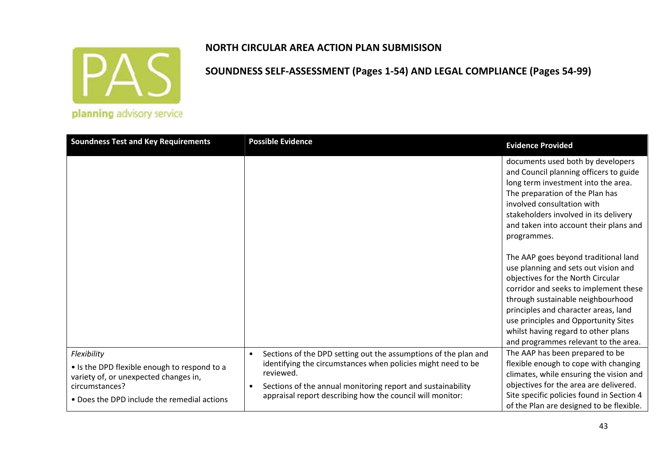

# **SOUNDNESS SELF‐ASSESSMENT (Pages 1‐54) AND LEGAL COMPLIANCE (Pages 54‐99)**

planning advisory service

| <b>Soundness Test and Key Requirements</b>                                                           | <b>Possible Evidence</b>                                                                                                                                               | <b>Evidence Provided</b>                                                                                                                                                                                                                                                                                                                                       |
|------------------------------------------------------------------------------------------------------|------------------------------------------------------------------------------------------------------------------------------------------------------------------------|----------------------------------------------------------------------------------------------------------------------------------------------------------------------------------------------------------------------------------------------------------------------------------------------------------------------------------------------------------------|
|                                                                                                      |                                                                                                                                                                        | documents used both by developers<br>and Council planning officers to guide<br>long term investment into the area.<br>The preparation of the Plan has<br>involved consultation with<br>stakeholders involved in its delivery<br>and taken into account their plans and<br>programmes.                                                                          |
|                                                                                                      |                                                                                                                                                                        | The AAP goes beyond traditional land<br>use planning and sets out vision and<br>objectives for the North Circular<br>corridor and seeks to implement these<br>through sustainable neighbourhood<br>principles and character areas, land<br>use principles and Opportunity Sites<br>whilst having regard to other plans<br>and programmes relevant to the area. |
| Flexibility<br>• Is the DPD flexible enough to respond to a<br>variety of, or unexpected changes in, | Sections of the DPD setting out the assumptions of the plan and<br>$\bullet$<br>identifying the circumstances when policies might need to be<br>reviewed.<br>$\bullet$ | The AAP has been prepared to be<br>flexible enough to cope with changing<br>climates, while ensuring the vision and<br>objectives for the area are delivered.                                                                                                                                                                                                  |
| circumstances?<br>• Does the DPD include the remedial actions                                        | Sections of the annual monitoring report and sustainability<br>appraisal report describing how the council will monitor:                                               | Site specific policies found in Section 4<br>of the Plan are designed to be flexible.                                                                                                                                                                                                                                                                          |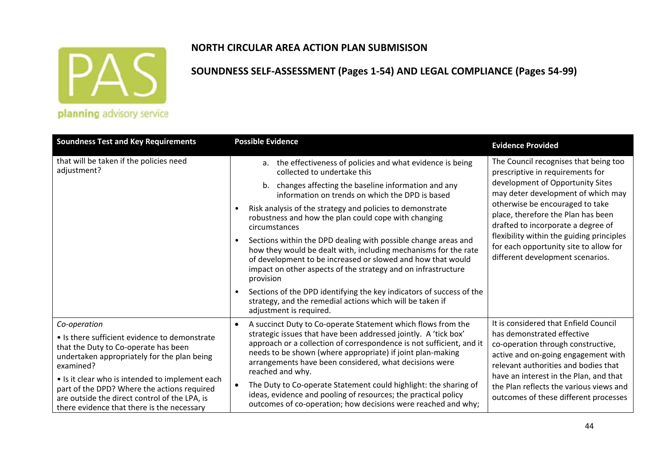

#### **NORTH CIRCULAR AREA ACTION PLAN SUBMISISON**

| <b>Soundness Test and Key Requirements</b>                                                                                                                                                                                                                                                                                                                         | <b>Possible Evidence</b>                                                                                                                                                                                                                                                                                                                                                                                                                                                                                                                                                                                                                                                                                                                                                                                                 | <b>Evidence Provided</b>                                                                                                                                                                                                                                                                                                                                                                      |
|--------------------------------------------------------------------------------------------------------------------------------------------------------------------------------------------------------------------------------------------------------------------------------------------------------------------------------------------------------------------|--------------------------------------------------------------------------------------------------------------------------------------------------------------------------------------------------------------------------------------------------------------------------------------------------------------------------------------------------------------------------------------------------------------------------------------------------------------------------------------------------------------------------------------------------------------------------------------------------------------------------------------------------------------------------------------------------------------------------------------------------------------------------------------------------------------------------|-----------------------------------------------------------------------------------------------------------------------------------------------------------------------------------------------------------------------------------------------------------------------------------------------------------------------------------------------------------------------------------------------|
| that will be taken if the policies need<br>adjustment?                                                                                                                                                                                                                                                                                                             | a. the effectiveness of policies and what evidence is being<br>collected to undertake this<br>b. changes affecting the baseline information and any<br>information on trends on which the DPD is based<br>Risk analysis of the strategy and policies to demonstrate<br>robustness and how the plan could cope with changing<br>circumstances<br>Sections within the DPD dealing with possible change areas and<br>$\bullet$<br>how they would be dealt with, including mechanisms for the rate<br>of development to be increased or slowed and how that would<br>impact on other aspects of the strategy and on infrastructure<br>provision<br>Sections of the DPD identifying the key indicators of success of the<br>$\bullet$<br>strategy, and the remedial actions which will be taken if<br>adjustment is required. | The Council recognises that being too<br>prescriptive in requirements for<br>development of Opportunity Sites<br>may deter development of which may<br>otherwise be encouraged to take<br>place, therefore the Plan has been<br>drafted to incorporate a degree of<br>flexibility within the guiding principles<br>for each opportunity site to allow for<br>different development scenarios. |
| Co-operation<br>• Is there sufficient evidence to demonstrate<br>that the Duty to Co-operate has been<br>undertaken appropriately for the plan being<br>examined?<br>• Is it clear who is intended to implement each<br>part of the DPD? Where the actions required<br>are outside the direct control of the LPA, is<br>there evidence that there is the necessary | A succinct Duty to Co-operate Statement which flows from the<br>strategic issues that have been addressed jointly. A 'tick box'<br>approach or a collection of correspondence is not sufficient, and it<br>needs to be shown (where appropriate) if joint plan-making<br>arrangements have been considered, what decisions were<br>reached and why.<br>The Duty to Co-operate Statement could highlight: the sharing of<br>ideas, evidence and pooling of resources; the practical policy<br>outcomes of co-operation; how decisions were reached and why;                                                                                                                                                                                                                                                               | It is considered that Enfield Council<br>has demonstrated effective<br>co-operation through constructive,<br>active and on-going engagement with<br>relevant authorities and bodies that<br>have an interest in the Plan, and that<br>the Plan reflects the various views and<br>outcomes of these different processes                                                                        |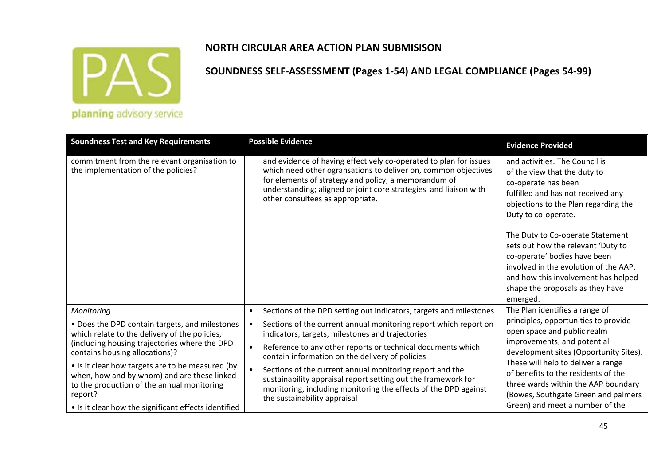

#### **SOUNDNESS SELF‐ASSESSMENT (Pages 1‐54) AND LEGAL COMPLIANCE (Pages 54‐99)**

planning advisory service

| <b>Soundness Test and Key Requirements</b>                                                                                                                                                                       | <b>Possible Evidence</b>                                                                                                                                                                                                                                                                            | <b>Evidence Provided</b>                                                                                                                                                                                                                                                                                                                                                                                                 |  |
|------------------------------------------------------------------------------------------------------------------------------------------------------------------------------------------------------------------|-----------------------------------------------------------------------------------------------------------------------------------------------------------------------------------------------------------------------------------------------------------------------------------------------------|--------------------------------------------------------------------------------------------------------------------------------------------------------------------------------------------------------------------------------------------------------------------------------------------------------------------------------------------------------------------------------------------------------------------------|--|
| commitment from the relevant organisation to<br>the implementation of the policies?                                                                                                                              | and evidence of having effectively co-operated to plan for issues<br>which need other ogransations to deliver on, common objectives<br>for elements of strategy and policy; a memorandum of<br>understanding; aligned or joint core strategies and liaison with<br>other consultees as appropriate. | and activities. The Council is<br>of the view that the duty to<br>co-operate has been<br>fulfilled and has not received any<br>objections to the Plan regarding the<br>Duty to co-operate.<br>The Duty to Co-operate Statement<br>sets out how the relevant 'Duty to<br>co-operate' bodies have been<br>involved in the evolution of the AAP,<br>and how this involvement has helped<br>shape the proposals as they have |  |
| Monitoring                                                                                                                                                                                                       | Sections of the DPD setting out indicators, targets and milestones<br>$\bullet$                                                                                                                                                                                                                     | emerged.<br>The Plan identifies a range of                                                                                                                                                                                                                                                                                                                                                                               |  |
| • Does the DPD contain targets, and milestones<br>which relate to the delivery of the policies,<br>(including housing trajectories where the DPD                                                                 | Sections of the current annual monitoring report which report on<br>indicators, targets, milestones and trajectories                                                                                                                                                                                | principles, opportunities to provide<br>open space and public realm<br>improvements, and potential                                                                                                                                                                                                                                                                                                                       |  |
| contains housing allocations)?                                                                                                                                                                                   | Reference to any other reports or technical documents which<br>contain information on the delivery of policies                                                                                                                                                                                      | development sites (Opportunity Sites).                                                                                                                                                                                                                                                                                                                                                                                   |  |
| • Is it clear how targets are to be measured (by<br>when, how and by whom) and are these linked<br>to the production of the annual monitoring<br>report?<br>• Is it clear how the significant effects identified | Sections of the current annual monitoring report and the<br>sustainability appraisal report setting out the framework for<br>monitoring, including monitoring the effects of the DPD against<br>the sustainability appraisal                                                                        | These will help to deliver a range<br>of benefits to the residents of the<br>three wards within the AAP boundary<br>(Bowes, Southgate Green and palmers<br>Green) and meet a number of the                                                                                                                                                                                                                               |  |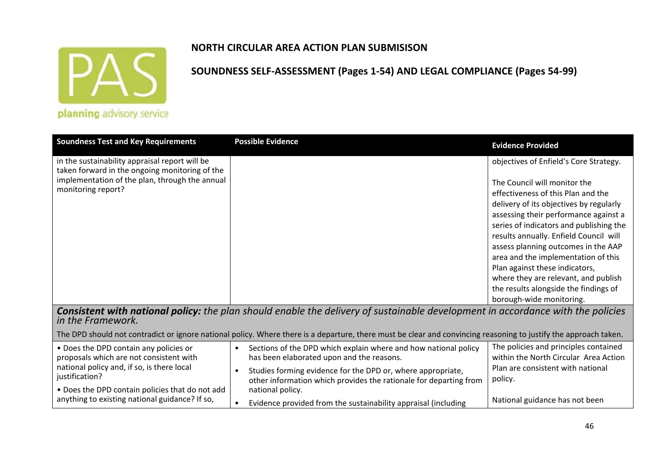

# **NORTH CIRCULAR AREA ACTION PLAN SUBMISISON**

| <b>Soundness Test and Key Requirements</b>                                                                                                                               | <b>Possible Evidence</b>                                                                                                                                                                                                                                                   | <b>Evidence Provided</b>                                                                                                                                                                                                                                            |  |  |
|--------------------------------------------------------------------------------------------------------------------------------------------------------------------------|----------------------------------------------------------------------------------------------------------------------------------------------------------------------------------------------------------------------------------------------------------------------------|---------------------------------------------------------------------------------------------------------------------------------------------------------------------------------------------------------------------------------------------------------------------|--|--|
| in the sustainability appraisal report will be<br>taken forward in the ongoing monitoring of the<br>implementation of the plan, through the annual<br>monitoring report? |                                                                                                                                                                                                                                                                            | objectives of Enfield's Core Strategy.<br>The Council will monitor the<br>effectiveness of this Plan and the<br>delivery of its objectives by regularly<br>assessing their performance against a<br>series of indicators and publishing the                         |  |  |
|                                                                                                                                                                          |                                                                                                                                                                                                                                                                            | results annually. Enfield Council will<br>assess planning outcomes in the AAP<br>area and the implementation of this<br>Plan against these indicators,<br>where they are relevant, and publish<br>the results alongside the findings of<br>borough-wide monitoring. |  |  |
| Consistent with national policy: the plan should enable the delivery of sustainable development in accordance with the policies<br>in the Framework.                     |                                                                                                                                                                                                                                                                            |                                                                                                                                                                                                                                                                     |  |  |
|                                                                                                                                                                          | The DPD should not contradict or ignore national policy. Where there is a departure, there must be clear and convincing reasoning to justify the approach taken.                                                                                                           |                                                                                                                                                                                                                                                                     |  |  |
| • Does the DPD contain any policies or<br>proposals which are not consistent with<br>national policy and, if so, is there local<br>justification?                        | Sections of the DPD which explain where and how national policy<br>$\bullet$<br>has been elaborated upon and the reasons.<br>Studies forming evidence for the DPD or, where appropriate,<br>$\bullet$<br>other information which provides the rationale for departing from | The policies and principles contained<br>within the North Circular Area Action<br>Plan are consistent with national<br>policy.                                                                                                                                      |  |  |
| . Does the DPD contain policies that do not add<br>anything to existing national guidance? If so,                                                                        | national policy.<br>Evidence provided from the sustainability appraisal (including                                                                                                                                                                                         | National guidance has not been                                                                                                                                                                                                                                      |  |  |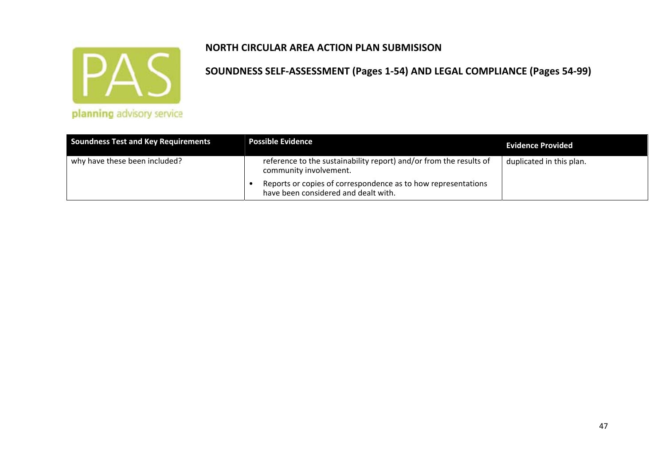

|  |  |  | planning advisory service                                                                                                                                                                                                      |  |
|--|--|--|--------------------------------------------------------------------------------------------------------------------------------------------------------------------------------------------------------------------------------|--|
|  |  |  | services and the services of the control of the control of the control of the control of the control of the control of the control of the control of the control of the control of the control of the control of the control o |  |

| <b>Soundness Test and Key Requirements</b> | <b>Possible Evidence</b>                                                                              | <b>Evidence Provided</b> |
|--------------------------------------------|-------------------------------------------------------------------------------------------------------|--------------------------|
| why have these been included?              | reference to the sustainability report) and/or from the results of<br>community involvement.          | duplicated in this plan. |
|                                            | Reports or copies of correspondence as to how representations<br>have been considered and dealt with. |                          |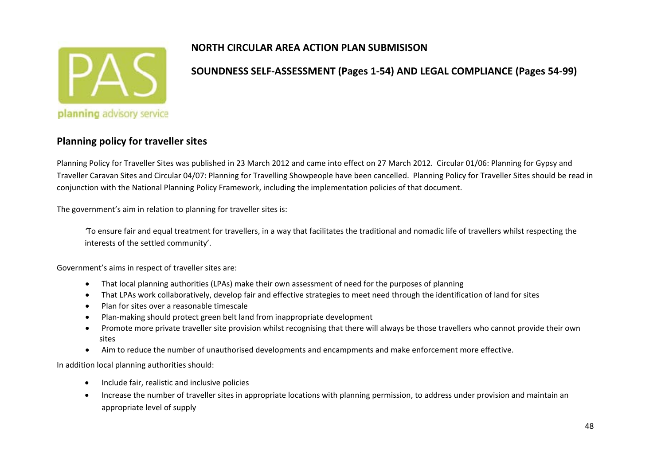

#### **SOUNDNESS SELF‐ASSESSMENT (Pages 1‐54) AND LEGAL COMPLIANCE (Pages 54‐99)**

#### **Planning policy for traveller sites**

Planning Policy for Traveller Sites was published in 23 March 2012 and came into effect on 27 March 2012. Circular 01/06: Planning for Gypsy and Traveller Caravan Sites and Circular 04/07: Planning for Travelling Showpeople have been cancelled. Planning Policy for Traveller Sites should be read in conjunction with the National Planning Policy Framework, including the implementation policies of that document.

The government's aim in relation to planning for traveller sites is:

*'*To ensure fair and equal treatment for travellers, in <sup>a</sup> way that facilitates the traditional and nomadic life of travellers whilst respecting the interests of the settled community'.

Government's aims in respect of traveller sites are:

- $\bullet$ That local planning authorities (LPAs) make their own assessment of need for the purposes of planning
- $\bullet$ That LPAs work collaboratively, develop fair and effective strategies to meet need through the identification of land for sites
- $\bullet$ Plan for sites over <sup>a</sup> reasonable timescale
- $\bullet$ Plan‐making should protect green belt land from inappropriate development
- $\bullet$  Promote more private traveller site provision whilst recognising that there will always be those travellers who cannot provide their own sites
- $\bullet$ Aim to reduce the number of unauthorised developments and encampments and make enforcement more effective.

In addition local planning authorities should:

- $\bullet$ **•** Include fair, realistic and inclusive policies
- $\bullet$  Increase the number of traveller sites in appropriate locations with planning permission, to address under provision and maintain an appropriate level of supply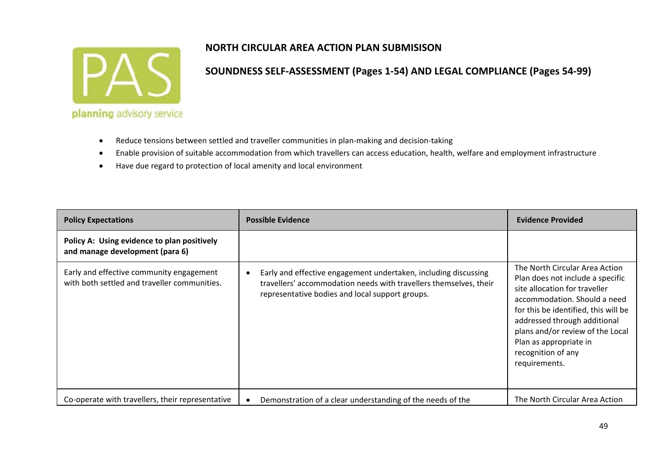

- $\bullet$ ● Reduce tensions between settled and traveller communities in plan-making and decision-taking
- $\bullet$ Enable provision of suitable accommodation from which travellers can access education, health, welfare and employment infrastructure
- $\bullet$ Have due regard to protection of local amenity and local environment

| <b>Policy Expectations</b>                                                               | <b>Possible Evidence</b>                                                                                                                                                                             | <b>Evidence Provided</b>                                                                                                                                                                                                                                                                                         |  |
|------------------------------------------------------------------------------------------|------------------------------------------------------------------------------------------------------------------------------------------------------------------------------------------------------|------------------------------------------------------------------------------------------------------------------------------------------------------------------------------------------------------------------------------------------------------------------------------------------------------------------|--|
| Policy A: Using evidence to plan positively<br>and manage development (para 6)           |                                                                                                                                                                                                      |                                                                                                                                                                                                                                                                                                                  |  |
| Early and effective community engagement<br>with both settled and traveller communities. | Early and effective engagement undertaken, including discussing<br>$\bullet$<br>travellers' accommodation needs with travellers themselves, their<br>representative bodies and local support groups. | The North Circular Area Action<br>Plan does not include a specific<br>site allocation for traveller<br>accommodation. Should a need<br>for this be identified, this will be<br>addressed through additional<br>plans and/or review of the Local<br>Plan as appropriate in<br>recognition of any<br>requirements. |  |
| Co-operate with travellers, their representative                                         | Demonstration of a clear understanding of the needs of the                                                                                                                                           | The North Circular Area Action                                                                                                                                                                                                                                                                                   |  |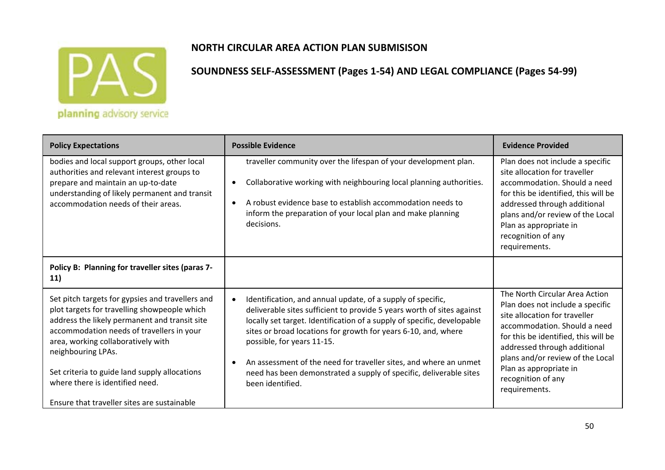

## **NORTH CIRCULAR AREA ACTION PLAN SUBMISISON**

| <b>Policy Expectations</b>                                                                                                                                                                                                                                                                                                                     | <b>Possible Evidence</b>                                                                                                                                                                                                                                                                                                                                                                                                                                                                                  | <b>Evidence Provided</b>                                                                                                                                                                                                                                                                                         |
|------------------------------------------------------------------------------------------------------------------------------------------------------------------------------------------------------------------------------------------------------------------------------------------------------------------------------------------------|-----------------------------------------------------------------------------------------------------------------------------------------------------------------------------------------------------------------------------------------------------------------------------------------------------------------------------------------------------------------------------------------------------------------------------------------------------------------------------------------------------------|------------------------------------------------------------------------------------------------------------------------------------------------------------------------------------------------------------------------------------------------------------------------------------------------------------------|
| bodies and local support groups, other local<br>authorities and relevant interest groups to<br>prepare and maintain an up-to-date<br>understanding of likely permanent and transit<br>accommodation needs of their areas.                                                                                                                      | traveller community over the lifespan of your development plan.<br>Collaborative working with neighbouring local planning authorities.<br>$\bullet$<br>A robust evidence base to establish accommodation needs to<br>- 0<br>inform the preparation of your local plan and make planning<br>decisions.                                                                                                                                                                                                     | Plan does not include a specific<br>site allocation for traveller<br>accommodation. Should a need<br>for this be identified, this will be<br>addressed through additional<br>plans and/or review of the Local<br>Plan as appropriate in<br>recognition of any<br>requirements.                                   |
| Policy B: Planning for traveller sites (paras 7-<br>11)                                                                                                                                                                                                                                                                                        |                                                                                                                                                                                                                                                                                                                                                                                                                                                                                                           |                                                                                                                                                                                                                                                                                                                  |
| Set pitch targets for gypsies and travellers and<br>plot targets for travelling showpeople which<br>address the likely permanent and transit site<br>accommodation needs of travellers in your<br>area, working collaboratively with<br>neighbouring LPAs.<br>Set criteria to guide land supply allocations<br>where there is identified need. | Identification, and annual update, of a supply of specific,<br>$\bullet$<br>deliverable sites sufficient to provide 5 years worth of sites against<br>locally set target. Identification of a supply of specific, developable<br>sites or broad locations for growth for years 6-10, and, where<br>possible, for years 11-15.<br>An assessment of the need for traveller sites, and where an unmet<br>$\bullet$<br>need has been demonstrated a supply of specific, deliverable sites<br>been identified. | The North Circular Area Action<br>Plan does not include a specific<br>site allocation for traveller<br>accommodation. Should a need<br>for this be identified, this will be<br>addressed through additional<br>plans and/or review of the Local<br>Plan as appropriate in<br>recognition of any<br>requirements. |
| Ensure that traveller sites are sustainable                                                                                                                                                                                                                                                                                                    |                                                                                                                                                                                                                                                                                                                                                                                                                                                                                                           |                                                                                                                                                                                                                                                                                                                  |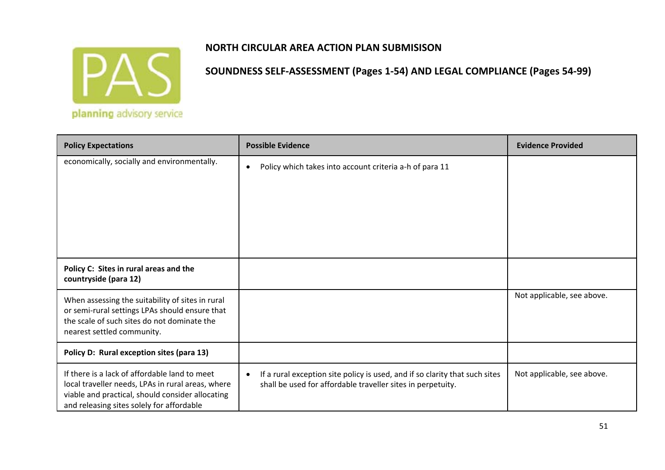

| <b>Policy Expectations</b>                                                                                                                                                                          | <b>Possible Evidence</b>                                                                                                                                | <b>Evidence Provided</b>   |
|-----------------------------------------------------------------------------------------------------------------------------------------------------------------------------------------------------|---------------------------------------------------------------------------------------------------------------------------------------------------------|----------------------------|
| economically, socially and environmentally.                                                                                                                                                         | Policy which takes into account criteria a-h of para 11<br>$\bullet$                                                                                    |                            |
| Policy C: Sites in rural areas and the<br>countryside (para 12)                                                                                                                                     |                                                                                                                                                         |                            |
| When assessing the suitability of sites in rural<br>or semi-rural settings LPAs should ensure that<br>the scale of such sites do not dominate the<br>nearest settled community.                     |                                                                                                                                                         | Not applicable, see above. |
| Policy D: Rural exception sites (para 13)                                                                                                                                                           |                                                                                                                                                         |                            |
| If there is a lack of affordable land to meet<br>local traveller needs, LPAs in rural areas, where<br>viable and practical, should consider allocating<br>and releasing sites solely for affordable | If a rural exception site policy is used, and if so clarity that such sites<br>$\bullet$<br>shall be used for affordable traveller sites in perpetuity. | Not applicable, see above. |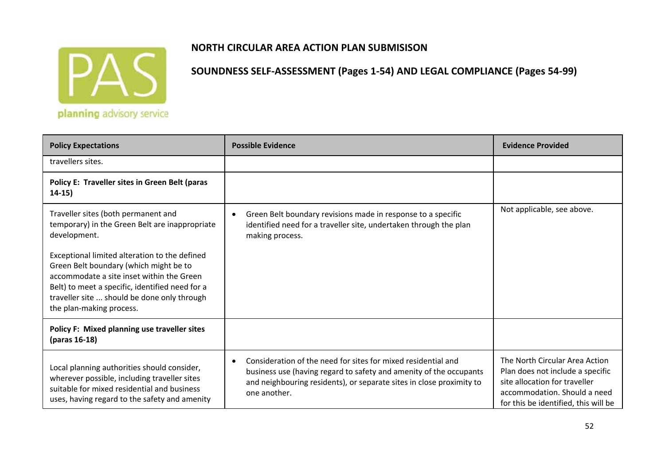

## **NORTH CIRCULAR AREA ACTION PLAN SUBMISISON**

| <b>Policy Expectations</b>                                                                                                                                                                                                                                                                                                                                                                                                              | <b>Evidence Provided</b>                                                                                                                                          |                                                                                                                                                                             |
|-----------------------------------------------------------------------------------------------------------------------------------------------------------------------------------------------------------------------------------------------------------------------------------------------------------------------------------------------------------------------------------------------------------------------------------------|-------------------------------------------------------------------------------------------------------------------------------------------------------------------|-----------------------------------------------------------------------------------------------------------------------------------------------------------------------------|
| travellers sites.                                                                                                                                                                                                                                                                                                                                                                                                                       |                                                                                                                                                                   |                                                                                                                                                                             |
| Policy E: Traveller sites in Green Belt (paras<br>$14-15)$                                                                                                                                                                                                                                                                                                                                                                              |                                                                                                                                                                   |                                                                                                                                                                             |
| Traveller sites (both permanent and<br>temporary) in the Green Belt are inappropriate<br>development.<br>Exceptional limited alteration to the defined<br>Green Belt boundary (which might be to<br>accommodate a site inset within the Green<br>Belt) to meet a specific, identified need for a<br>traveller site  should be done only through<br>the plan-making process.                                                             | Green Belt boundary revisions made in response to a specific<br>$\bullet$<br>identified need for a traveller site, undertaken through the plan<br>making process. | Not applicable, see above.                                                                                                                                                  |
| Policy F: Mixed planning use traveller sites<br>(paras 16-18)                                                                                                                                                                                                                                                                                                                                                                           |                                                                                                                                                                   |                                                                                                                                                                             |
| Consideration of the need for sites for mixed residential and<br>$\bullet$<br>Local planning authorities should consider,<br>business use (having regard to safety and amenity of the occupants<br>wherever possible, including traveller sites<br>and neighbouring residents), or separate sites in close proximity to<br>suitable for mixed residential and business<br>one another.<br>uses, having regard to the safety and amenity |                                                                                                                                                                   | The North Circular Area Action<br>Plan does not include a specific<br>site allocation for traveller<br>accommodation. Should a need<br>for this be identified, this will be |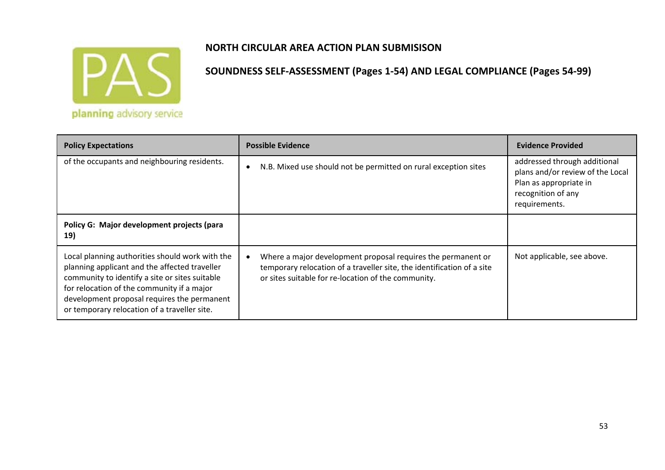

| <b>Policy Expectations</b>                                                                                                                                                                                                                                                                      | <b>Possible Evidence</b>                                                                                                                                                                                   | <b>Evidence Provided</b>                                                                                                          |
|-------------------------------------------------------------------------------------------------------------------------------------------------------------------------------------------------------------------------------------------------------------------------------------------------|------------------------------------------------------------------------------------------------------------------------------------------------------------------------------------------------------------|-----------------------------------------------------------------------------------------------------------------------------------|
| of the occupants and neighbouring residents.                                                                                                                                                                                                                                                    | N.B. Mixed use should not be permitted on rural exception sites<br>$\bullet$                                                                                                                               | addressed through additional<br>plans and/or review of the Local<br>Plan as appropriate in<br>recognition of any<br>requirements. |
| Policy G: Major development projects (para<br>19)                                                                                                                                                                                                                                               |                                                                                                                                                                                                            |                                                                                                                                   |
| Local planning authorities should work with the<br>planning applicant and the affected traveller<br>community to identify a site or sites suitable<br>for relocation of the community if a major<br>development proposal requires the permanent<br>or temporary relocation of a traveller site. | Where a major development proposal requires the permanent or<br>$\bullet$<br>temporary relocation of a traveller site, the identification of a site<br>or sites suitable for re-location of the community. | Not applicable, see above.                                                                                                        |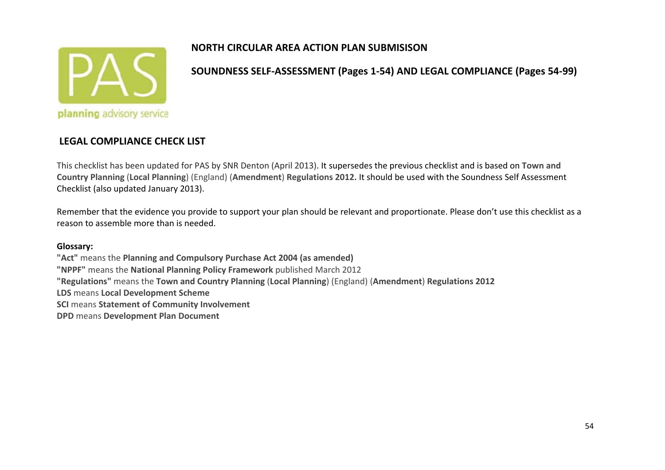

**SOUNDNESS SELF‐ASSESSMENT (Pages 1‐54) AND LEGAL COMPLIANCE (Pages 54‐99)**

#### **LEGAL COMPLIANCE CHECK LIST**

This checklist has been updated for PAS by SNR Denton (April 2013). It supersedes the previous checklist and is based on **Town and Country Planning** (**Local Planning**) (England) (**Amendment**) **Regulations 2012.** It should be used with the Soundness Self Assessment Checklist (also updated January 2013).

Remember that the evidence you provide to support your plan should be relevant and proportionate. Please don't use this checklist as <sup>a</sup> reason to assemble more than is needed.

#### **Glossary:**

**"Act"** means the **Planning and Compulsory Purchase Act 2004 (as amended) "NPPF"** means the **National Planning Policy Framework** published March 2012 **"Regulations"** means the **Town and Country Planning** (**Local Planning**) (England) (**Amendment**) **Regulations 2012 LDS** means **Local Development Scheme SCI** means **Statement of Community Involvement**

**DPD** means **Development Plan Document**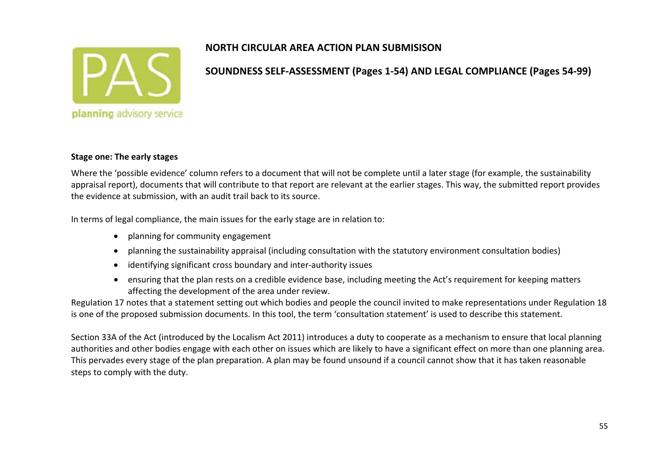

## **SOUNDNESS SELF‐ASSESSMENT (Pages 1‐54) AND LEGAL COMPLIANCE (Pages 54‐99)**

#### **Stage one: The early stages**

Where the 'possible evidence' column refers to <sup>a</sup> document that will not be complete until <sup>a</sup> later stage (for example, the sustainability appraisal report), documents that will contribute to that report are relevant at the earlier stages. This way, the submitted report provides the evidence at submission, with an audit trail back to its source.

In terms of legal compliance, the main issues for the early stage are in relation to:

- planning for community engagement
- planning the sustainability appraisal (including consultation with the statutory environment consultation bodies)
- identifying significant cross boundary and inter‐authority issues
- ensuring that the plan rests on <sup>a</sup> credible evidence base, including meeting the Act's requirement for keeping matters affecting the development of the area under review.

Regulation 17 notes that <sup>a</sup> statement setting out which bodies and people the council invited to make representations under Regulation 18 is one of the proposed submission documents. In this tool, the term 'consultation statement' is used to describe this statement.

Section 33A of the Act (introduced by the Localism Act 2011) introduces <sup>a</sup> duty to cooperate as <sup>a</sup> mechanism to ensure that local planning authorities and other bodies engage with each other on issues which are likely to have <sup>a</sup> significant effect on more than one planning area. This pervades every stage of the plan preparation. A plan may be found unsound if <sup>a</sup> council cannot show that it has taken reasonable steps to comply with the duty.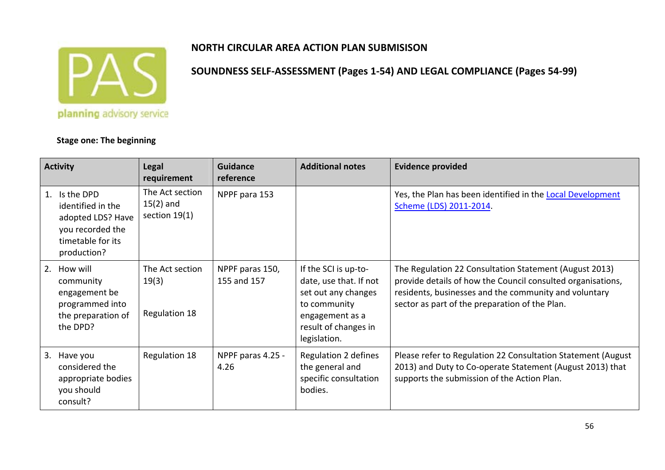

#### **Stage one: The beginning**

| <b>Activity</b>                                                                                                    | <b>Legal</b><br>requirement                       | <b>Guidance</b><br>reference   | <b>Additional notes</b>                                                                                                                          | <b>Evidence provided</b>                                                                                                                                                                                                         |
|--------------------------------------------------------------------------------------------------------------------|---------------------------------------------------|--------------------------------|--------------------------------------------------------------------------------------------------------------------------------------------------|----------------------------------------------------------------------------------------------------------------------------------------------------------------------------------------------------------------------------------|
| Is the DPD<br>1.<br>identified in the<br>adopted LDS? Have<br>you recorded the<br>timetable for its<br>production? | The Act section<br>$15(2)$ and<br>section $19(1)$ | NPPF para 153                  |                                                                                                                                                  | Yes, the Plan has been identified in the <b>Local Development</b><br>Scheme (LDS) 2011-2014.                                                                                                                                     |
| 2. How will<br>community<br>engagement be<br>programmed into<br>the preparation of<br>the DPD?                     | The Act section<br>19(3)<br><b>Regulation 18</b>  | NPPF paras 150,<br>155 and 157 | If the SCI is up-to-<br>date, use that. If not<br>set out any changes<br>to community<br>engagement as a<br>result of changes in<br>legislation. | The Regulation 22 Consultation Statement (August 2013)<br>provide details of how the Council consulted organisations,<br>residents, businesses and the community and voluntary<br>sector as part of the preparation of the Plan. |
| Have you<br>3.<br>considered the<br>appropriate bodies<br>you should<br>consult?                                   | <b>Regulation 18</b>                              | NPPF paras 4.25 -<br>4.26      | Regulation 2 defines<br>the general and<br>specific consultation<br>bodies.                                                                      | Please refer to Regulation 22 Consultation Statement (August<br>2013) and Duty to Co-operate Statement (August 2013) that<br>supports the submission of the Action Plan.                                                         |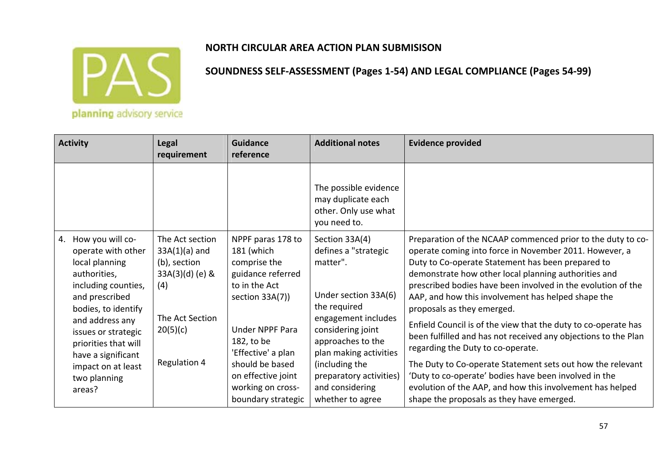

| <b>Activity</b>                                                                                                                                                                                                                                                                     | <b>Legal</b><br>requirement                                                                                                        | Guidance<br>reference                                                                                                                                                                                                                               | <b>Additional notes</b>                                                                                                                                                                                                                                                   | <b>Evidence provided</b>                                                                                                                                                                                                                                                                                                                                                                                                                                                                                                                                                                                                                                                                                                                                                                         |
|-------------------------------------------------------------------------------------------------------------------------------------------------------------------------------------------------------------------------------------------------------------------------------------|------------------------------------------------------------------------------------------------------------------------------------|-----------------------------------------------------------------------------------------------------------------------------------------------------------------------------------------------------------------------------------------------------|---------------------------------------------------------------------------------------------------------------------------------------------------------------------------------------------------------------------------------------------------------------------------|--------------------------------------------------------------------------------------------------------------------------------------------------------------------------------------------------------------------------------------------------------------------------------------------------------------------------------------------------------------------------------------------------------------------------------------------------------------------------------------------------------------------------------------------------------------------------------------------------------------------------------------------------------------------------------------------------------------------------------------------------------------------------------------------------|
|                                                                                                                                                                                                                                                                                     |                                                                                                                                    |                                                                                                                                                                                                                                                     | The possible evidence<br>may duplicate each<br>other. Only use what<br>you need to.                                                                                                                                                                                       |                                                                                                                                                                                                                                                                                                                                                                                                                                                                                                                                                                                                                                                                                                                                                                                                  |
| 4. How you will co-<br>operate with other<br>local planning<br>authorities,<br>including counties,<br>and prescribed<br>bodies, to identify<br>and address any<br>issues or strategic<br>priorities that will<br>have a significant<br>impact on at least<br>two planning<br>areas? | The Act section<br>$33A(1)(a)$ and<br>(b), section<br>33A(3)(d) (e) &<br>(4)<br>The Act Section<br>20(5)(c)<br><b>Regulation 4</b> | NPPF paras 178 to<br>181 (which<br>comprise the<br>guidance referred<br>to in the Act<br>section 33A(7))<br>Under NPPF Para<br>182, to be<br>'Effective' a plan<br>should be based<br>on effective joint<br>working on cross-<br>boundary strategic | Section 33A(4)<br>defines a "strategic<br>matter".<br>Under section 33A(6)<br>the required<br>engagement includes<br>considering joint<br>approaches to the<br>plan making activities<br>(including the<br>preparatory activities)<br>and considering<br>whether to agree | Preparation of the NCAAP commenced prior to the duty to co-<br>operate coming into force in November 2011. However, a<br>Duty to Co-operate Statement has been prepared to<br>demonstrate how other local planning authorities and<br>prescribed bodies have been involved in the evolution of the<br>AAP, and how this involvement has helped shape the<br>proposals as they emerged.<br>Enfield Council is of the view that the duty to co-operate has<br>been fulfilled and has not received any objections to the Plan<br>regarding the Duty to co-operate.<br>The Duty to Co-operate Statement sets out how the relevant<br>'Duty to co-operate' bodies have been involved in the<br>evolution of the AAP, and how this involvement has helped<br>shape the proposals as they have emerged. |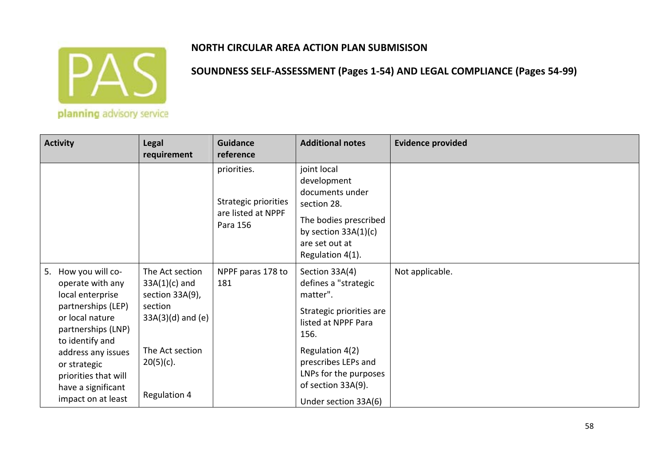

| <b>Activity</b>                                                                                                                                                                                                                                            | <b>Legal</b><br>requirement                                                                                                                         | <b>Guidance</b><br>reference                                          | <b>Additional notes</b>                                                                                                                                                                                                        | <b>Evidence provided</b> |
|------------------------------------------------------------------------------------------------------------------------------------------------------------------------------------------------------------------------------------------------------------|-----------------------------------------------------------------------------------------------------------------------------------------------------|-----------------------------------------------------------------------|--------------------------------------------------------------------------------------------------------------------------------------------------------------------------------------------------------------------------------|--------------------------|
|                                                                                                                                                                                                                                                            |                                                                                                                                                     | priorities.<br>Strategic priorities<br>are listed at NPPF<br>Para 156 | joint local<br>development<br>documents under<br>section 28.<br>The bodies prescribed<br>by section $33A(1)(c)$<br>are set out at<br>Regulation 4(1).                                                                          |                          |
| How you will co-<br>5.<br>operate with any<br>local enterprise<br>partnerships (LEP)<br>or local nature<br>partnerships (LNP)<br>to identify and<br>address any issues<br>or strategic<br>priorities that will<br>have a significant<br>impact on at least | The Act section<br>$33A(1)(c)$ and<br>section 33A(9),<br>section<br>$33A(3)(d)$ and $(e)$<br>The Act section<br>$20(5)(c)$ .<br><b>Regulation 4</b> | NPPF paras 178 to<br>181                                              | Section 33A(4)<br>defines a "strategic<br>matter".<br>Strategic priorities are<br>listed at NPPF Para<br>156.<br>Regulation 4(2)<br>prescribes LEPs and<br>LNPs for the purposes<br>of section 33A(9).<br>Under section 33A(6) | Not applicable.          |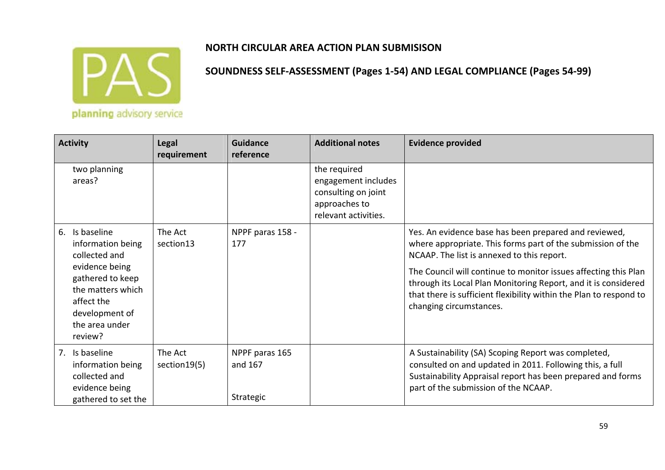

| <b>Activity</b>                                                                                                                                                              | <b>Legal</b><br>requirement | Guidance<br>reference                  | <b>Additional notes</b>                                                                             | <b>Evidence provided</b>                                                                                                                                                                                                                                                                                                                                                                                 |
|------------------------------------------------------------------------------------------------------------------------------------------------------------------------------|-----------------------------|----------------------------------------|-----------------------------------------------------------------------------------------------------|----------------------------------------------------------------------------------------------------------------------------------------------------------------------------------------------------------------------------------------------------------------------------------------------------------------------------------------------------------------------------------------------------------|
| two planning<br>areas?                                                                                                                                                       |                             |                                        | the required<br>engagement includes<br>consulting on joint<br>approaches to<br>relevant activities. |                                                                                                                                                                                                                                                                                                                                                                                                          |
| 6. Is baseline<br>information being<br>collected and<br>evidence being<br>gathered to keep<br>the matters which<br>affect the<br>development of<br>the area under<br>review? | The Act<br>section13        | NPPF paras 158 -<br>177                |                                                                                                     | Yes. An evidence base has been prepared and reviewed,<br>where appropriate. This forms part of the submission of the<br>NCAAP. The list is annexed to this report.<br>The Council will continue to monitor issues affecting this Plan<br>through its Local Plan Monitoring Report, and it is considered<br>that there is sufficient flexibility within the Plan to respond to<br>changing circumstances. |
| 7. Is baseline<br>information being<br>collected and<br>evidence being<br>gathered to set the                                                                                | The Act<br>section 19(5)    | NPPF paras 165<br>and 167<br>Strategic |                                                                                                     | A Sustainability (SA) Scoping Report was completed,<br>consulted on and updated in 2011. Following this, a full<br>Sustainability Appraisal report has been prepared and forms<br>part of the submission of the NCAAP.                                                                                                                                                                                   |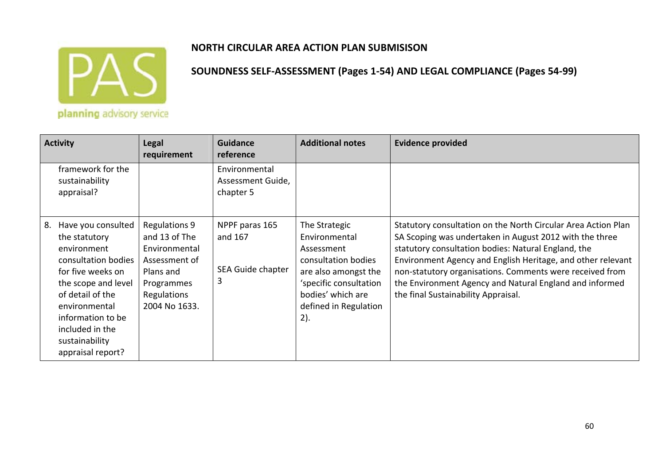

planning advisory service

| <b>Activity</b>                                                                                                                                                                                                                                 | <b>Legal</b><br>requirement                                                                                                        | <b>Guidance</b><br>reference                        | <b>Additional notes</b>                                                                                                                                                    | <b>Evidence provided</b>                                                                                                                                                                                                                                                                                                                                                                                     |
|-------------------------------------------------------------------------------------------------------------------------------------------------------------------------------------------------------------------------------------------------|------------------------------------------------------------------------------------------------------------------------------------|-----------------------------------------------------|----------------------------------------------------------------------------------------------------------------------------------------------------------------------------|--------------------------------------------------------------------------------------------------------------------------------------------------------------------------------------------------------------------------------------------------------------------------------------------------------------------------------------------------------------------------------------------------------------|
| framework for the<br>sustainability<br>appraisal?                                                                                                                                                                                               |                                                                                                                                    | Environmental<br>Assessment Guide,<br>chapter 5     |                                                                                                                                                                            |                                                                                                                                                                                                                                                                                                                                                                                                              |
| Have you consulted<br>8.<br>the statutory<br>environment<br>consultation bodies<br>for five weeks on<br>the scope and level<br>of detail of the<br>environmental<br>information to be<br>included in the<br>sustainability<br>appraisal report? | <b>Regulations 9</b><br>and 13 of The<br>Environmental<br>Assessment of<br>Plans and<br>Programmes<br>Regulations<br>2004 No 1633. | NPPF paras 165<br>and 167<br>SEA Guide chapter<br>3 | The Strategic<br>Environmental<br>Assessment<br>consultation bodies<br>are also amongst the<br>'specific consultation<br>bodies' which are<br>defined in Regulation<br>2). | Statutory consultation on the North Circular Area Action Plan<br>SA Scoping was undertaken in August 2012 with the three<br>statutory consultation bodies: Natural England, the<br>Environment Agency and English Heritage, and other relevant<br>non-statutory organisations. Comments were received from<br>the Environment Agency and Natural England and informed<br>the final Sustainability Appraisal. |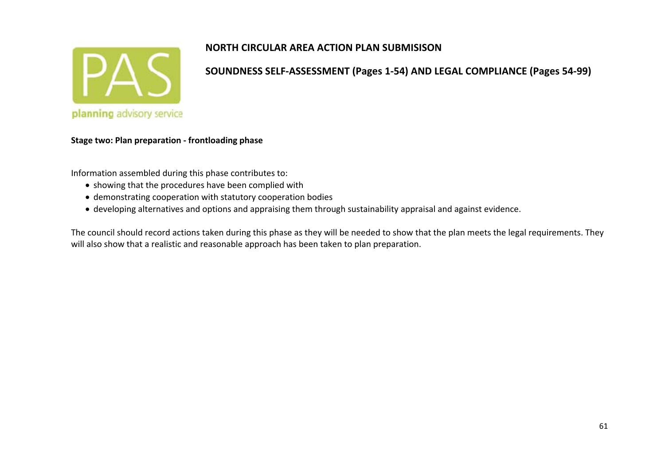

**SOUNDNESS SELF‐ASSESSMENT (Pages 1‐54) AND LEGAL COMPLIANCE (Pages 54‐99)**

#### **Stage two: Plan preparation ‐ frontloading phase**

Information assembled during this phase contributes to:

- showing that the procedures have been complied with
- demonstrating cooperation with statutory cooperation bodies
- developing alternatives and options and appraising them through sustainability appraisal and against evidence.

The council should record actions taken during this phase as they will be needed to show that the plan meets the legal requirements. They will also show that <sup>a</sup> realistic and reasonable approach has been taken to plan preparation.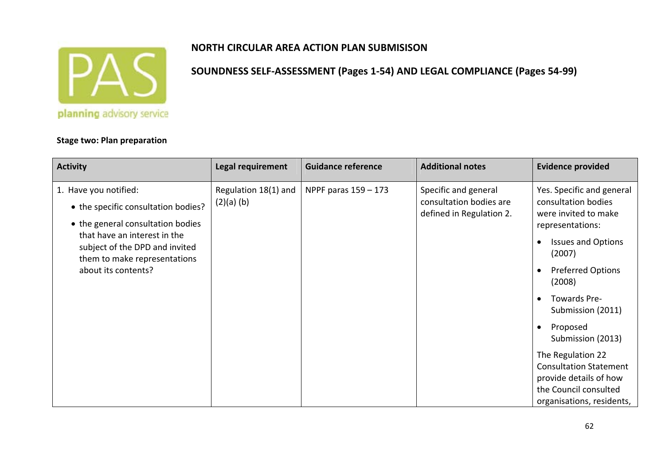

**SOUNDNESS SELF‐ASSESSMENT (Pages 1‐54) AND LEGAL COMPLIANCE (Pages 54‐99)**

#### **Stage two: Plan preparation**

#### **Activity Legal requirement Guidance reference Additional notes Evidence provided** 1. Have you notified: • the specific consultation bodies? • the general consultation bodies that have an interest in the subject of the DPD and invited them to make representations about its contents?Regulation 18(1) and (2)(a) (b) NPPF paras 159 - 173 Specific and general consultation bodies are defined in Regulation 2. Yes. Specific and general consultation bodies were invited to make representations:  $\bullet$ • Issues and Options (2007)  $\bullet$ • Preferred Options (2008) ● Towards Pre-Submission (2011) • Proposed Submission (2013) The Regulation 22 Consultation Statement provide details of how the Council consultedorganisations, residents,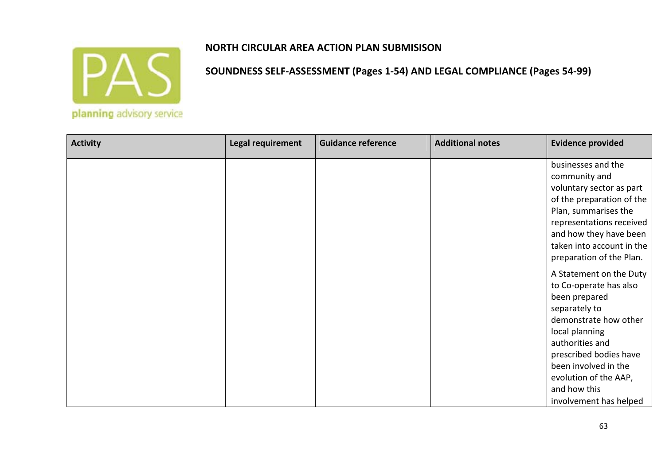

| <b>Activity</b> | Legal requirement | <b>Guidance reference</b> | <b>Additional notes</b> | <b>Evidence provided</b>  |
|-----------------|-------------------|---------------------------|-------------------------|---------------------------|
|                 |                   |                           |                         | businesses and the        |
|                 |                   |                           |                         | community and             |
|                 |                   |                           |                         | voluntary sector as part  |
|                 |                   |                           |                         | of the preparation of the |
|                 |                   |                           |                         | Plan, summarises the      |
|                 |                   |                           |                         | representations received  |
|                 |                   |                           |                         | and how they have been    |
|                 |                   |                           |                         | taken into account in the |
|                 |                   |                           |                         | preparation of the Plan.  |
|                 |                   |                           |                         | A Statement on the Duty   |
|                 |                   |                           |                         | to Co-operate has also    |
|                 |                   |                           |                         | been prepared             |
|                 |                   |                           |                         | separately to             |
|                 |                   |                           |                         | demonstrate how other     |
|                 |                   |                           |                         | local planning            |
|                 |                   |                           |                         | authorities and           |
|                 |                   |                           |                         | prescribed bodies have    |
|                 |                   |                           |                         | been involved in the      |
|                 |                   |                           |                         | evolution of the AAP,     |
|                 |                   |                           |                         | and how this              |
|                 |                   |                           |                         | involvement has helped    |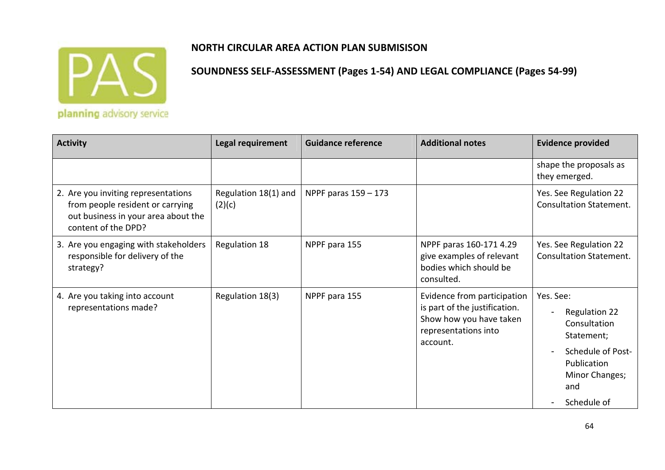

# **NORTH CIRCULAR AREA ACTION PLAN SUBMISISON**

| <b>Activity</b>                                                                                                                       | Legal requirement              | <b>Guidance reference</b> | <b>Additional notes</b>                                                                                                     | <b>Evidence provided</b>                                                                                                                    |
|---------------------------------------------------------------------------------------------------------------------------------------|--------------------------------|---------------------------|-----------------------------------------------------------------------------------------------------------------------------|---------------------------------------------------------------------------------------------------------------------------------------------|
|                                                                                                                                       |                                |                           |                                                                                                                             | shape the proposals as<br>they emerged.                                                                                                     |
| 2. Are you inviting representations<br>from people resident or carrying<br>out business in your area about the<br>content of the DPD? | Regulation 18(1) and<br>(2)(c) | NPPF paras 159 - 173      |                                                                                                                             | Yes. See Regulation 22<br><b>Consultation Statement.</b>                                                                                    |
| 3. Are you engaging with stakeholders<br>responsible for delivery of the<br>strategy?                                                 | Regulation 18                  | NPPF para 155             | NPPF paras 160-171 4.29<br>give examples of relevant<br>bodies which should be<br>consulted.                                | Yes. See Regulation 22<br><b>Consultation Statement.</b>                                                                                    |
| 4. Are you taking into account<br>representations made?                                                                               | Regulation 18(3)               | NPPF para 155             | Evidence from participation<br>is part of the justification.<br>Show how you have taken<br>representations into<br>account. | Yes. See:<br><b>Regulation 22</b><br>Consultation<br>Statement;<br>Schedule of Post-<br>Publication<br>Minor Changes;<br>and<br>Schedule of |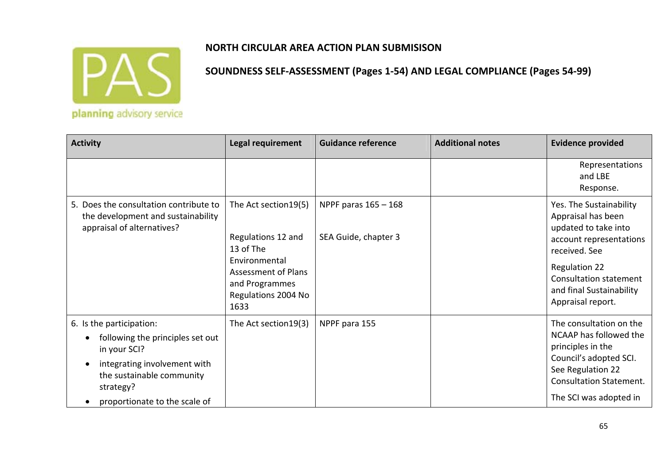

| <b>Activity</b>                                                                                                                                                                         | Legal requirement                                                                                                                                        | <b>Guidance reference</b>                      | <b>Additional notes</b> | <b>Evidence provided</b>                                                                                                                                                                                                    |
|-----------------------------------------------------------------------------------------------------------------------------------------------------------------------------------------|----------------------------------------------------------------------------------------------------------------------------------------------------------|------------------------------------------------|-------------------------|-----------------------------------------------------------------------------------------------------------------------------------------------------------------------------------------------------------------------------|
|                                                                                                                                                                                         |                                                                                                                                                          |                                                |                         | Representations<br>and LBE<br>Response.                                                                                                                                                                                     |
| 5. Does the consultation contribute to<br>the development and sustainability<br>appraisal of alternatives?                                                                              | The Act section 19(5)<br>Regulations 12 and<br>13 of The<br>Environmental<br><b>Assessment of Plans</b><br>and Programmes<br>Regulations 2004 No<br>1633 | NPPF paras $165 - 168$<br>SEA Guide, chapter 3 |                         | Yes. The Sustainability<br>Appraisal has been<br>updated to take into<br>account representations<br>received. See<br><b>Regulation 22</b><br><b>Consultation statement</b><br>and final Sustainability<br>Appraisal report. |
| 6. Is the participation:<br>following the principles set out<br>in your SCI?<br>integrating involvement with<br>the sustainable community<br>strategy?<br>proportionate to the scale of | The Act section 19(3)                                                                                                                                    | NPPF para 155                                  |                         | The consultation on the<br>NCAAP has followed the<br>principles in the<br>Council's adopted SCI.<br>See Regulation 22<br><b>Consultation Statement.</b><br>The SCI was adopted in                                           |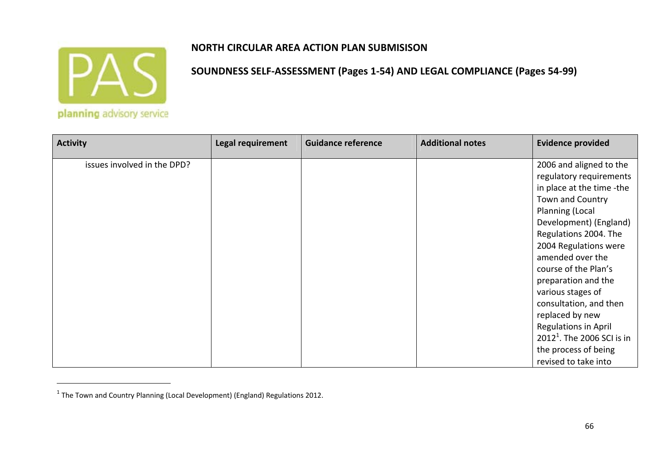

#### **NORTH CIRCULAR AREA ACTION PLAN SUBMISISON**

| <b>Activity</b>             | <b>Legal requirement</b> | <b>Guidance reference</b> | <b>Additional notes</b> | <b>Evidence provided</b>     |
|-----------------------------|--------------------------|---------------------------|-------------------------|------------------------------|
| issues involved in the DPD? |                          |                           |                         | 2006 and aligned to the      |
|                             |                          |                           |                         | regulatory requirements      |
|                             |                          |                           |                         | in place at the time -the    |
|                             |                          |                           |                         | Town and Country             |
|                             |                          |                           |                         | Planning (Local              |
|                             |                          |                           |                         | Development) (England)       |
|                             |                          |                           |                         | Regulations 2004. The        |
|                             |                          |                           |                         | 2004 Regulations were        |
|                             |                          |                           |                         | amended over the             |
|                             |                          |                           |                         | course of the Plan's         |
|                             |                          |                           |                         | preparation and the          |
|                             |                          |                           |                         | various stages of            |
|                             |                          |                           |                         | consultation, and then       |
|                             |                          |                           |                         | replaced by new              |
|                             |                          |                           |                         | Regulations in April         |
|                             |                          |                           |                         | $20121$ . The 2006 SCI is in |
|                             |                          |                           |                         | the process of being         |
|                             |                          |                           |                         | revised to take into         |

 $^1$  The Town and Country Planning (Local Development) (England) Regulations 2012.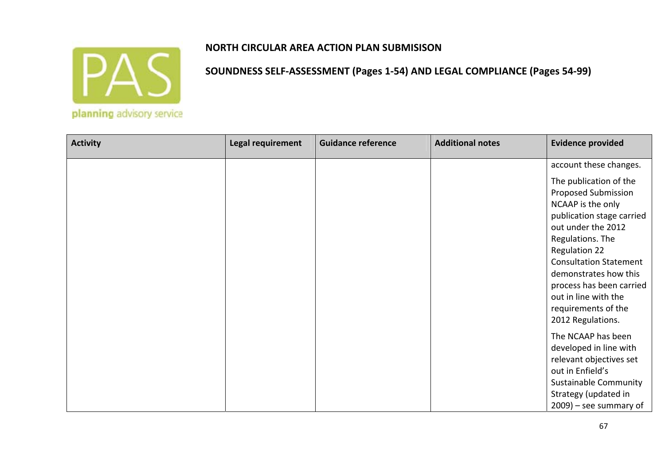

| <b>Activity</b> | Legal requirement | <b>Guidance reference</b> | <b>Additional notes</b> | <b>Evidence provided</b>      |
|-----------------|-------------------|---------------------------|-------------------------|-------------------------------|
|                 |                   |                           |                         | account these changes.        |
|                 |                   |                           |                         | The publication of the        |
|                 |                   |                           |                         | <b>Proposed Submission</b>    |
|                 |                   |                           |                         | NCAAP is the only             |
|                 |                   |                           |                         | publication stage carried     |
|                 |                   |                           |                         | out under the 2012            |
|                 |                   |                           |                         | Regulations. The              |
|                 |                   |                           |                         | <b>Regulation 22</b>          |
|                 |                   |                           |                         | <b>Consultation Statement</b> |
|                 |                   |                           |                         | demonstrates how this         |
|                 |                   |                           |                         | process has been carried      |
|                 |                   |                           |                         | out in line with the          |
|                 |                   |                           |                         | requirements of the           |
|                 |                   |                           |                         | 2012 Regulations.             |
|                 |                   |                           |                         | The NCAAP has been            |
|                 |                   |                           |                         | developed in line with        |
|                 |                   |                           |                         | relevant objectives set       |
|                 |                   |                           |                         | out in Enfield's              |
|                 |                   |                           |                         | <b>Sustainable Community</b>  |
|                 |                   |                           |                         | Strategy (updated in          |
|                 |                   |                           |                         | $2009$ ) – see summary of     |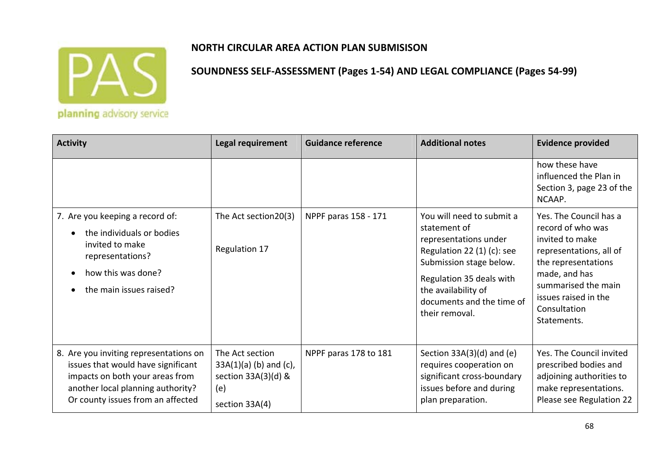

## **NORTH CIRCULAR AREA ACTION PLAN SUBMISISON**

| <b>Activity</b>                                                                                                                                                                           | Legal requirement                                                                           | <b>Guidance reference</b> | <b>Additional notes</b>                                                                                                                                                                                                         | <b>Evidence provided</b>                                                                                                                                                                                        |
|-------------------------------------------------------------------------------------------------------------------------------------------------------------------------------------------|---------------------------------------------------------------------------------------------|---------------------------|---------------------------------------------------------------------------------------------------------------------------------------------------------------------------------------------------------------------------------|-----------------------------------------------------------------------------------------------------------------------------------------------------------------------------------------------------------------|
|                                                                                                                                                                                           |                                                                                             |                           |                                                                                                                                                                                                                                 | how these have<br>influenced the Plan in<br>Section 3, page 23 of the<br>NCAAP.                                                                                                                                 |
| 7. Are you keeping a record of:<br>the individuals or bodies<br>invited to make<br>representations?<br>how this was done?<br>the main issues raised?                                      | The Act section20(3)<br><b>Regulation 17</b>                                                | NPPF paras 158 - 171      | You will need to submit a<br>statement of<br>representations under<br>Regulation 22 $(1)(c)$ : see<br>Submission stage below.<br>Regulation 35 deals with<br>the availability of<br>documents and the time of<br>their removal. | Yes. The Council has a<br>record of who was<br>invited to make<br>representations, all of<br>the representations<br>made, and has<br>summarised the main<br>issues raised in the<br>Consultation<br>Statements. |
| 8. Are you inviting representations on<br>issues that would have significant<br>impacts on both your areas from<br>another local planning authority?<br>Or county issues from an affected | The Act section<br>$33A(1)(a)$ (b) and (c),<br>section 33A(3)(d) &<br>(e)<br>section 33A(4) | NPPF paras 178 to 181     | Section $33A(3)(d)$ and (e)<br>requires cooperation on<br>significant cross-boundary<br>issues before and during<br>plan preparation.                                                                                           | Yes. The Council invited<br>prescribed bodies and<br>adjoining authorities to<br>make representations.<br>Please see Regulation 22                                                                              |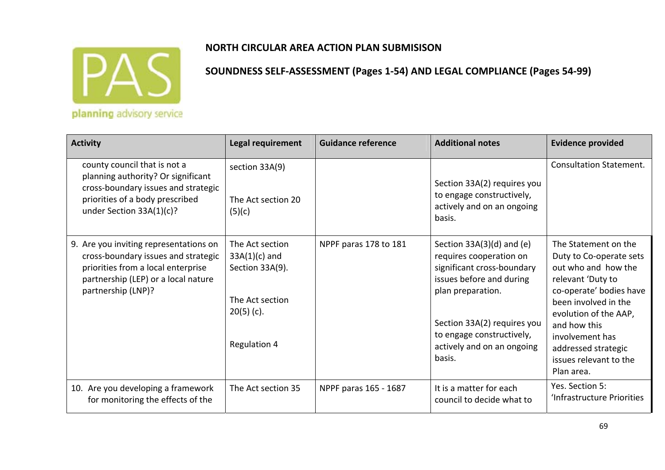

| <b>Activity</b>                                                                                                                                                                  | <b>Legal requirement</b>                                                                                 | <b>Guidance reference</b> | <b>Additional notes</b>                                                                                                                                                                                                                   | <b>Evidence provided</b>                                                                                                                                                                                                                                                  |
|----------------------------------------------------------------------------------------------------------------------------------------------------------------------------------|----------------------------------------------------------------------------------------------------------|---------------------------|-------------------------------------------------------------------------------------------------------------------------------------------------------------------------------------------------------------------------------------------|---------------------------------------------------------------------------------------------------------------------------------------------------------------------------------------------------------------------------------------------------------------------------|
| county council that is not a<br>planning authority? Or significant<br>cross-boundary issues and strategic<br>priorities of a body prescribed<br>under Section 33A(1)(c)?         | section 33A(9)<br>The Act section 20<br>(5)(c)                                                           |                           | Section 33A(2) requires you<br>to engage constructively,<br>actively and on an ongoing<br>basis.                                                                                                                                          | <b>Consultation Statement.</b>                                                                                                                                                                                                                                            |
| 9. Are you inviting representations on<br>cross-boundary issues and strategic<br>priorities from a local enterprise<br>partnership (LEP) or a local nature<br>partnership (LNP)? | The Act section<br>$33A(1)(c)$ and<br>Section 33A(9).<br>The Act section<br>$20(5)$ (c).<br>Regulation 4 | NPPF paras 178 to 181     | Section $33A(3)(d)$ and (e)<br>requires cooperation on<br>significant cross-boundary<br>issues before and during<br>plan preparation.<br>Section 33A(2) requires you<br>to engage constructively,<br>actively and on an ongoing<br>basis. | The Statement on the<br>Duty to Co-operate sets<br>out who and how the<br>relevant 'Duty to<br>co-operate' bodies have<br>been involved in the<br>evolution of the AAP,<br>and how this<br>involvement has<br>addressed strategic<br>issues relevant to the<br>Plan area. |
| 10. Are you developing a framework<br>for monitoring the effects of the                                                                                                          | The Act section 35                                                                                       | NPPF paras 165 - 1687     | It is a matter for each<br>council to decide what to                                                                                                                                                                                      | Yes. Section 5:<br>'Infrastructure Priorities                                                                                                                                                                                                                             |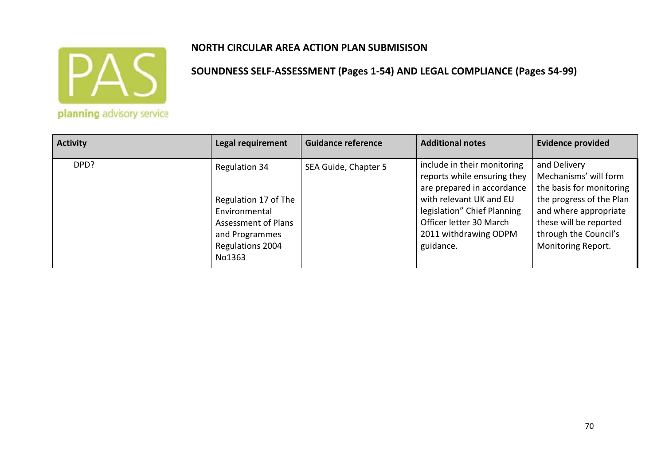

| <b>Activity</b> | Legal requirement                                                                                                             | <b>Guidance reference</b> | <b>Additional notes</b>                                                                                                                                                                                             | <b>Evidence provided</b>                                                                                                                                                                        |
|-----------------|-------------------------------------------------------------------------------------------------------------------------------|---------------------------|---------------------------------------------------------------------------------------------------------------------------------------------------------------------------------------------------------------------|-------------------------------------------------------------------------------------------------------------------------------------------------------------------------------------------------|
| DPD?            | Regulation 34<br>Regulation 17 of The<br>Environmental<br>Assessment of Plans<br>and Programmes<br>Regulations 2004<br>No1363 | SEA Guide, Chapter 5      | include in their monitoring<br>reports while ensuring they<br>are prepared in accordance<br>with relevant UK and EU<br>legislation" Chief Planning<br>Officer letter 30 March<br>2011 withdrawing ODPM<br>guidance. | and Delivery<br>Mechanisms' will form<br>the basis for monitoring<br>the progress of the Plan<br>and where appropriate<br>these will be reported<br>through the Council's<br>Monitoring Report. |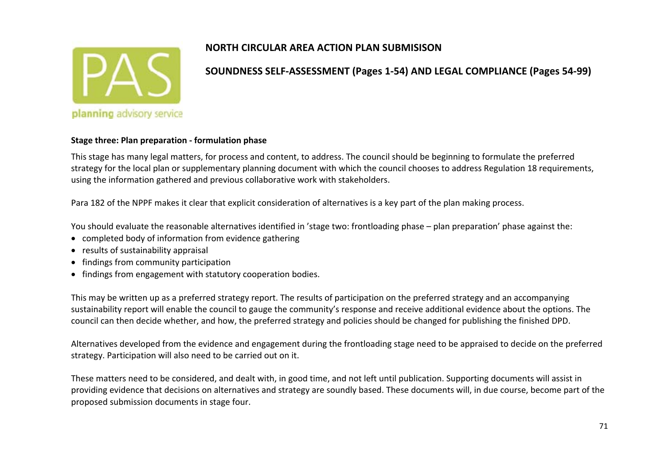

#### **SOUNDNESS SELF‐ASSESSMENT (Pages 1‐54) AND LEGAL COMPLIANCE (Pages 54‐99)**

#### **Stage three: Plan preparation ‐ formulation phase**

This stage has many legal matters, for process and content, to address. The council should be beginning to formulate the preferred strategy for the local plan or supplementary planning document with which the council chooses to address Regulation 18 requirements, using the information gathered and previous collaborative work with stakeholders.

Para 182 of the NPPF makes it clear that explicit consideration of alternatives is <sup>a</sup> key part of the plan making process.

You should evaluate the reasonable alternatives identified in 'stage two: frontloading phase – plan preparation' phase against the:

- completed body of information from evidence gathering
- results of sustainability appraisal
- findings from community participation
- **•** findings from engagement with statutory cooperation bodies.

This may be written up as <sup>a</sup> preferred strategy report. The results of participation on the preferred strategy and an accompanying sustainability report will enable the council to gauge the community's response and receive additional evidence about the options. The council can then decide whether, and how, the preferred strategy and policies should be changed for publishing the finished DPD.

Alternatives developed from the evidence and engagement during the frontloading stage need to be appraised to decide on the preferred strategy. Participation will also need to be carried out on it.

These matters need to be considered, and dealt with, in good time, and not left until publication. Supporting documents will assist in providing evidence that decisions on alternatives and strategy are soundly based. These documents will, in due course, become part of the proposed submission documents in stage four.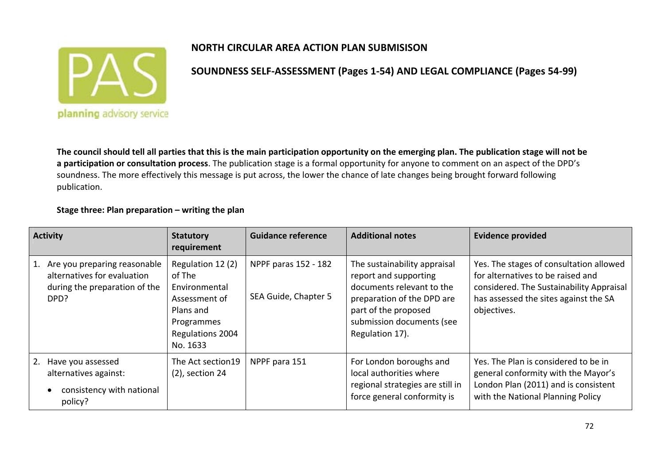

**SOUNDNESS SELF‐ASSESSMENT (Pages 1‐54) AND LEGAL COMPLIANCE (Pages 54‐99)**

The council should tell all parties that this is the main participation opportunity on the emerging plan. The publication stage will not be **a participation or consultation process**. The publication stage is <sup>a</sup> formal opportunity for anyone to comment on an aspect of the DPD's soundness. The more effectively this message is put across, the lower the chance of late changes being brought forward following publication.

#### **Stage three: Plan preparation – writing the plan**

| <b>Activity</b>                                                                                         | <b>Statutory</b><br>requirement                                                                                          | <b>Guidance reference</b>                    | <b>Additional notes</b>                                                                                                                                                                  | <b>Evidence provided</b>                                                                                                                                                         |
|---------------------------------------------------------------------------------------------------------|--------------------------------------------------------------------------------------------------------------------------|----------------------------------------------|------------------------------------------------------------------------------------------------------------------------------------------------------------------------------------------|----------------------------------------------------------------------------------------------------------------------------------------------------------------------------------|
| 1. Are you preparing reasonable<br>alternatives for evaluation<br>during the preparation of the<br>DPD? | Regulation 12 (2)<br>of The<br>Environmental<br>Assessment of<br>Plans and<br>Programmes<br>Regulations 2004<br>No. 1633 | NPPF paras 152 - 182<br>SEA Guide, Chapter 5 | The sustainability appraisal<br>report and supporting<br>documents relevant to the<br>preparation of the DPD are<br>part of the proposed<br>submission documents (see<br>Regulation 17). | Yes. The stages of consultation allowed<br>for alternatives to be raised and<br>considered. The Sustainability Appraisal<br>has assessed the sites against the SA<br>objectives. |
| 2. Have you assessed<br>alternatives against:<br>consistency with national<br>policy?                   | The Act section19<br>$(2)$ , section 24                                                                                  | NPPF para 151                                | For London boroughs and<br>local authorities where<br>regional strategies are still in<br>force general conformity is                                                                    | Yes. The Plan is considered to be in<br>general conformity with the Mayor's<br>London Plan (2011) and is consistent<br>with the National Planning Policy                         |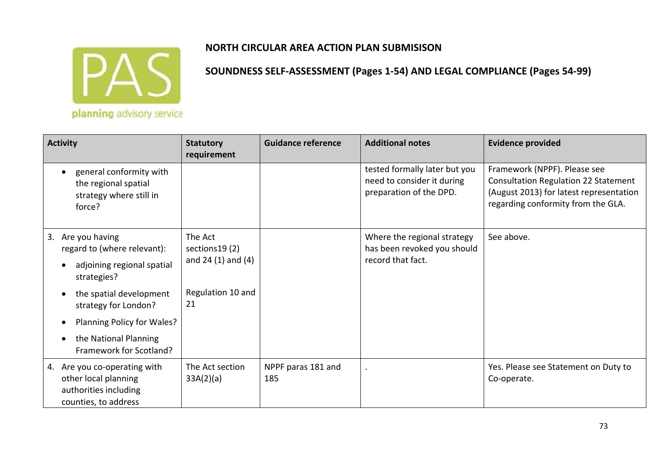

| <b>Activity</b>                                                                                       | <b>Statutory</b><br>requirement                     | <b>Guidance reference</b> | <b>Additional notes</b>                                                                | <b>Evidence provided</b>                                                                                                                                     |
|-------------------------------------------------------------------------------------------------------|-----------------------------------------------------|---------------------------|----------------------------------------------------------------------------------------|--------------------------------------------------------------------------------------------------------------------------------------------------------------|
| general conformity with<br>$\bullet$<br>the regional spatial<br>strategy where still in<br>force?     |                                                     |                           | tested formally later but you<br>need to consider it during<br>preparation of the DPD. | Framework (NPPF). Please see<br><b>Consultation Regulation 22 Statement</b><br>(August 2013) for latest representation<br>regarding conformity from the GLA. |
| Are you having<br>3.<br>regard to (where relevant):                                                   | The Act<br>sections 19 (2)<br>and $24(1)$ and $(4)$ |                           | Where the regional strategy<br>has been revoked you should<br>record that fact.        | See above.                                                                                                                                                   |
| adjoining regional spatial<br>strategies?                                                             |                                                     |                           |                                                                                        |                                                                                                                                                              |
| the spatial development<br>strategy for London?                                                       | Regulation 10 and<br>21                             |                           |                                                                                        |                                                                                                                                                              |
| Planning Policy for Wales?                                                                            |                                                     |                           |                                                                                        |                                                                                                                                                              |
| the National Planning<br>Framework for Scotland?                                                      |                                                     |                           |                                                                                        |                                                                                                                                                              |
| 4. Are you co-operating with<br>other local planning<br>authorities including<br>counties, to address | The Act section<br>33A(2)(a)                        | NPPF paras 181 and<br>185 |                                                                                        | Yes. Please see Statement on Duty to<br>Co-operate.                                                                                                          |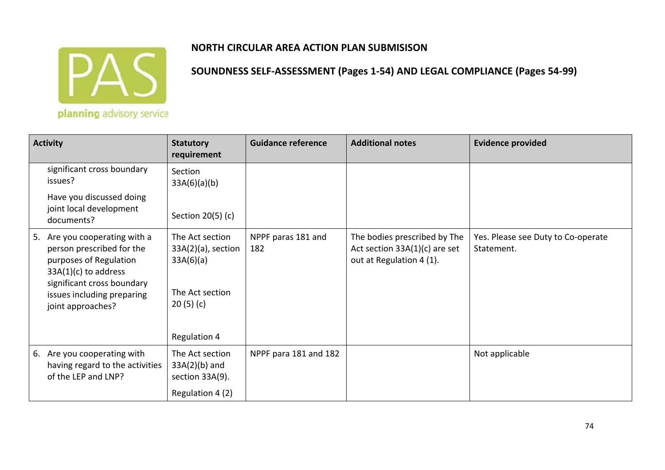

**SOUNDNESS SELF‐ASSESSMENT (Pages 1‐54) AND LEGAL COMPLIANCE (Pages 54‐99)**

planning advisory service

| <b>Activity</b>                                                                                                                                                                                 | <b>Statutory</b><br>requirement                                                                      | <b>Guidance reference</b> | <b>Additional notes</b>                                                                     | <b>Evidence provided</b>                         |
|-------------------------------------------------------------------------------------------------------------------------------------------------------------------------------------------------|------------------------------------------------------------------------------------------------------|---------------------------|---------------------------------------------------------------------------------------------|--------------------------------------------------|
| significant cross boundary<br>issues?                                                                                                                                                           | Section<br>33A(6)(a)(b)                                                                              |                           |                                                                                             |                                                  |
| Have you discussed doing<br>joint local development<br>documents?                                                                                                                               | Section 20(5) (c)                                                                                    |                           |                                                                                             |                                                  |
| 5. Are you cooperating with a<br>person prescribed for the<br>purposes of Regulation<br>$33A(1)(c)$ to address<br>significant cross boundary<br>issues including preparing<br>joint approaches? | The Act section<br>$33A(2)(a)$ , section<br>33A(6)(a)<br>The Act section<br>20(5)(c)<br>Regulation 4 | NPPF paras 181 and<br>182 | The bodies prescribed by The<br>Act section $33A(1)(c)$ are set<br>out at Regulation 4 (1). | Yes. Please see Duty to Co-operate<br>Statement. |
| 6. Are you cooperating with<br>having regard to the activities<br>of the LEP and LNP?                                                                                                           | The Act section<br>$33A(2)(b)$ and<br>section 33A(9).<br>Regulation 4 (2)                            | NPPF para 181 and 182     |                                                                                             | Not applicable                                   |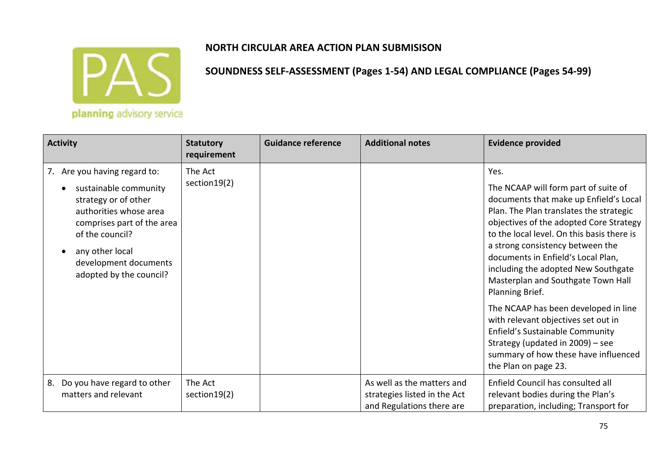

| <b>Activity</b>                                                                                                                                                                                                                 | <b>Statutory</b><br>requirement | <b>Guidance reference</b> | <b>Additional notes</b>                                                                 | <b>Evidence provided</b>                                                                                                                                                                                                                                                                                                                                                                                                                                                                                                                                                                                                   |
|---------------------------------------------------------------------------------------------------------------------------------------------------------------------------------------------------------------------------------|---------------------------------|---------------------------|-----------------------------------------------------------------------------------------|----------------------------------------------------------------------------------------------------------------------------------------------------------------------------------------------------------------------------------------------------------------------------------------------------------------------------------------------------------------------------------------------------------------------------------------------------------------------------------------------------------------------------------------------------------------------------------------------------------------------------|
| 7. Are you having regard to:<br>sustainable community<br>strategy or of other<br>authorities whose area<br>comprises part of the area<br>of the council?<br>any other local<br>development documents<br>adopted by the council? | The Act<br>section 19(2)        |                           |                                                                                         | Yes.<br>The NCAAP will form part of suite of<br>documents that make up Enfield's Local<br>Plan. The Plan translates the strategic<br>objectives of the adopted Core Strategy<br>to the local level. On this basis there is<br>a strong consistency between the<br>documents in Enfield's Local Plan,<br>including the adopted New Southgate<br>Masterplan and Southgate Town Hall<br>Planning Brief.<br>The NCAAP has been developed in line<br>with relevant objectives set out in<br>Enfield's Sustainable Community<br>Strategy (updated in 2009) - see<br>summary of how these have influenced<br>the Plan on page 23. |
| Do you have regard to other<br>8.<br>matters and relevant                                                                                                                                                                       | The Act<br>section 19(2)        |                           | As well as the matters and<br>strategies listed in the Act<br>and Regulations there are | Enfield Council has consulted all<br>relevant bodies during the Plan's<br>preparation, including; Transport for                                                                                                                                                                                                                                                                                                                                                                                                                                                                                                            |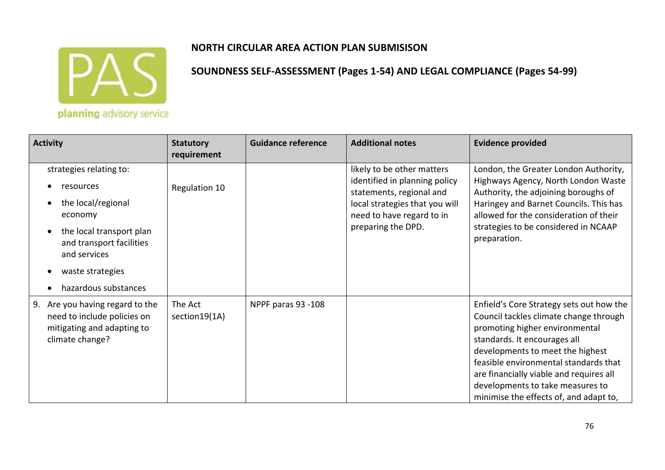

| <b>Activity</b>                                                                                                                                                                           | <b>Statutory</b><br>requirement | <b>Guidance reference</b> | <b>Additional notes</b>                                                                                                                                                      | <b>Evidence provided</b>                                                                                                                                                                                                                                                                                                                                   |
|-------------------------------------------------------------------------------------------------------------------------------------------------------------------------------------------|---------------------------------|---------------------------|------------------------------------------------------------------------------------------------------------------------------------------------------------------------------|------------------------------------------------------------------------------------------------------------------------------------------------------------------------------------------------------------------------------------------------------------------------------------------------------------------------------------------------------------|
| strategies relating to:<br>resources<br>the local/regional<br>economy<br>the local transport plan<br>and transport facilities<br>and services<br>waste strategies<br>hazardous substances | Regulation 10                   |                           | likely to be other matters<br>identified in planning policy<br>statements, regional and<br>local strategies that you will<br>need to have regard to in<br>preparing the DPD. | London, the Greater London Authority,<br>Highways Agency, North London Waste<br>Authority, the adjoining boroughs of<br>Haringey and Barnet Councils. This has<br>allowed for the consideration of their<br>strategies to be considered in NCAAP<br>preparation.                                                                                           |
| 9. Are you having regard to the<br>need to include policies on<br>mitigating and adapting to<br>climate change?                                                                           | The Act<br>section 19(1A)       | NPPF paras 93 -108        |                                                                                                                                                                              | Enfield's Core Strategy sets out how the<br>Council tackles climate change through<br>promoting higher environmental<br>standards. It encourages all<br>developments to meet the highest<br>feasible environmental standards that<br>are financially viable and requires all<br>developments to take measures to<br>minimise the effects of, and adapt to, |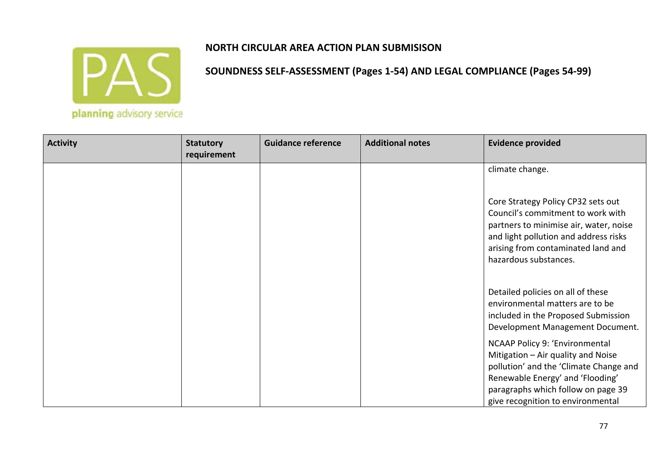

| <b>Activity</b> | <b>Statutory</b><br>requirement | <b>Guidance reference</b> | <b>Additional notes</b> | <b>Evidence provided</b>                                                                                                                                                                                                      |
|-----------------|---------------------------------|---------------------------|-------------------------|-------------------------------------------------------------------------------------------------------------------------------------------------------------------------------------------------------------------------------|
|                 |                                 |                           |                         | climate change.                                                                                                                                                                                                               |
|                 |                                 |                           |                         | Core Strategy Policy CP32 sets out<br>Council's commitment to work with<br>partners to minimise air, water, noise<br>and light pollution and address risks<br>arising from contaminated land and<br>hazardous substances.     |
|                 |                                 |                           |                         | Detailed policies on all of these<br>environmental matters are to be<br>included in the Proposed Submission<br>Development Management Document.                                                                               |
|                 |                                 |                           |                         | NCAAP Policy 9: 'Environmental<br>Mitigation - Air quality and Noise<br>pollution' and the 'Climate Change and<br>Renewable Energy' and 'Flooding'<br>paragraphs which follow on page 39<br>give recognition to environmental |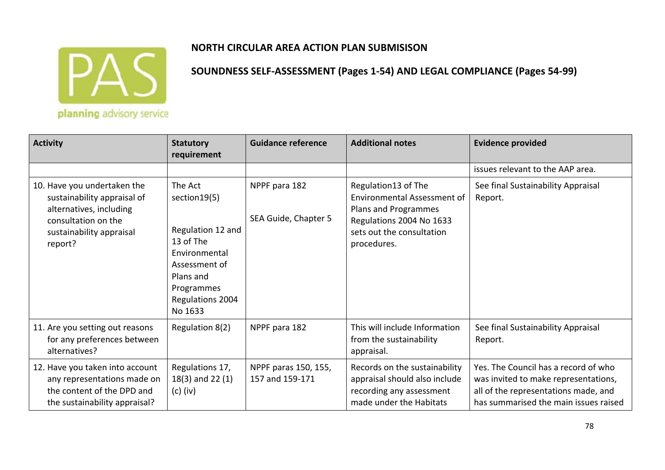

| <b>Activity</b>                                                                                                                                     | <b>Statutory</b><br>requirement                                                                                                                        | <b>Guidance reference</b>               | <b>Additional notes</b>                                                                                                                            | <b>Evidence provided</b>                                                                                                                                      |
|-----------------------------------------------------------------------------------------------------------------------------------------------------|--------------------------------------------------------------------------------------------------------------------------------------------------------|-----------------------------------------|----------------------------------------------------------------------------------------------------------------------------------------------------|---------------------------------------------------------------------------------------------------------------------------------------------------------------|
|                                                                                                                                                     |                                                                                                                                                        |                                         |                                                                                                                                                    | issues relevant to the AAP area.                                                                                                                              |
| 10. Have you undertaken the<br>sustainability appraisal of<br>alternatives, including<br>consultation on the<br>sustainability appraisal<br>report? | The Act<br>section 19(5)<br>Regulation 12 and<br>13 of The<br>Environmental<br>Assessment of<br>Plans and<br>Programmes<br>Regulations 2004<br>No 1633 | NPPF para 182<br>SEA Guide, Chapter 5   | Regulation13 of The<br>Environmental Assessment of<br>Plans and Programmes<br>Regulations 2004 No 1633<br>sets out the consultation<br>procedures. | See final Sustainability Appraisal<br>Report.                                                                                                                 |
| 11. Are you setting out reasons<br>for any preferences between<br>alternatives?                                                                     | Regulation 8(2)                                                                                                                                        | NPPF para 182                           | This will include Information<br>from the sustainability<br>appraisal.                                                                             | See final Sustainability Appraisal<br>Report.                                                                                                                 |
| 12. Have you taken into account<br>any representations made on<br>the content of the DPD and<br>the sustainability appraisal?                       | Regulations 17,<br>$18(3)$ and 22 $(1)$<br>$(c)$ (iv)                                                                                                  | NPPF paras 150, 155,<br>157 and 159-171 | Records on the sustainability<br>appraisal should also include<br>recording any assessment<br>made under the Habitats                              | Yes. The Council has a record of who<br>was invited to make representations,<br>all of the representations made, and<br>has summarised the main issues raised |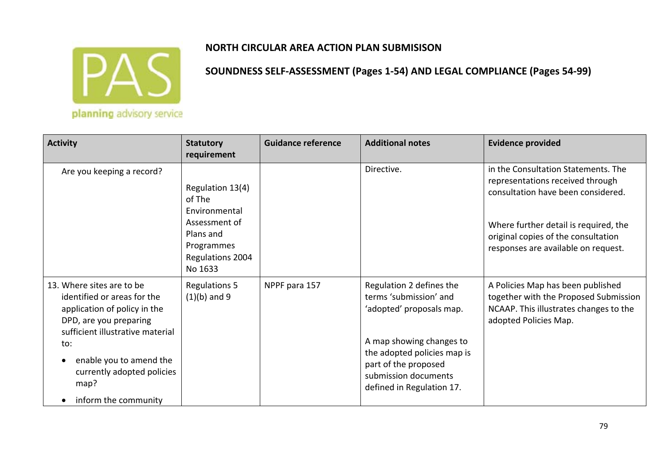

| <b>Activity</b>                                                                                                                                                                                                                                                     | <b>Statutory</b><br>requirement                                         | <b>Guidance reference</b> | <b>Additional notes</b>                                                                                                                                                                                                | <b>Evidence provided</b>                                                                                                                      |
|---------------------------------------------------------------------------------------------------------------------------------------------------------------------------------------------------------------------------------------------------------------------|-------------------------------------------------------------------------|---------------------------|------------------------------------------------------------------------------------------------------------------------------------------------------------------------------------------------------------------------|-----------------------------------------------------------------------------------------------------------------------------------------------|
| Are you keeping a record?                                                                                                                                                                                                                                           | Regulation 13(4)<br>of The<br>Environmental                             |                           | Directive.                                                                                                                                                                                                             | in the Consultation Statements. The<br>representations received through<br>consultation have been considered.                                 |
|                                                                                                                                                                                                                                                                     | Assessment of<br>Plans and<br>Programmes<br>Regulations 2004<br>No 1633 |                           |                                                                                                                                                                                                                        | Where further detail is required, the<br>original copies of the consultation<br>responses are available on request.                           |
| 13. Where sites are to be<br>identified or areas for the<br>application of policy in the<br>DPD, are you preparing<br>sufficient illustrative material<br>to:<br>enable you to amend the<br>$\bullet$<br>currently adopted policies<br>map?<br>inform the community | <b>Regulations 5</b><br>$(1)(b)$ and 9                                  | NPPF para 157             | Regulation 2 defines the<br>terms 'submission' and<br>'adopted' proposals map.<br>A map showing changes to<br>the adopted policies map is<br>part of the proposed<br>submission documents<br>defined in Regulation 17. | A Policies Map has been published<br>together with the Proposed Submission<br>NCAAP. This illustrates changes to the<br>adopted Policies Map. |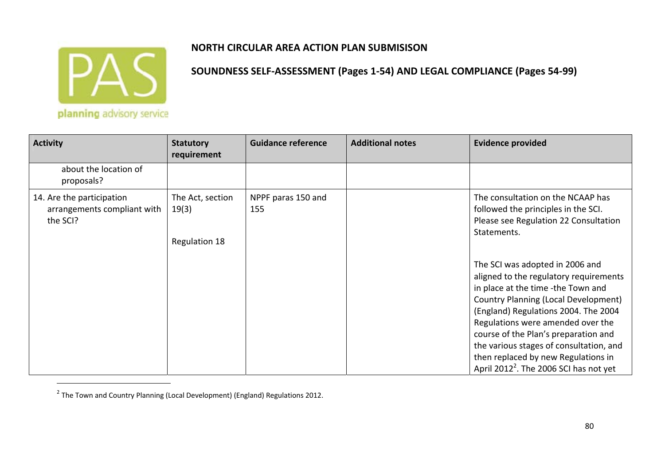

| <b>Activity</b>                                                      | <b>Statutory</b><br>requirement                   | <b>Guidance reference</b> | <b>Additional notes</b> | <b>Evidence provided</b>                                                                                                                                                                                                                                                                                                                                                                                                    |
|----------------------------------------------------------------------|---------------------------------------------------|---------------------------|-------------------------|-----------------------------------------------------------------------------------------------------------------------------------------------------------------------------------------------------------------------------------------------------------------------------------------------------------------------------------------------------------------------------------------------------------------------------|
| about the location of<br>proposals?                                  |                                                   |                           |                         |                                                                                                                                                                                                                                                                                                                                                                                                                             |
| 14. Are the participation<br>arrangements compliant with<br>the SCI? | The Act, section<br>19(3)<br><b>Regulation 18</b> | NPPF paras 150 and<br>155 |                         | The consultation on the NCAAP has<br>followed the principles in the SCI.<br>Please see Regulation 22 Consultation<br>Statements.                                                                                                                                                                                                                                                                                            |
|                                                                      |                                                   |                           |                         | The SCI was adopted in 2006 and<br>aligned to the regulatory requirements<br>in place at the time -the Town and<br><b>Country Planning (Local Development)</b><br>(England) Regulations 2004. The 2004<br>Regulations were amended over the<br>course of the Plan's preparation and<br>the various stages of consultation, and<br>then replaced by new Regulations in<br>April 2012 <sup>2</sup> . The 2006 SCI has not yet |

 $^2$  The Town and Country Planning (Local Development) (England) Regulations 2012.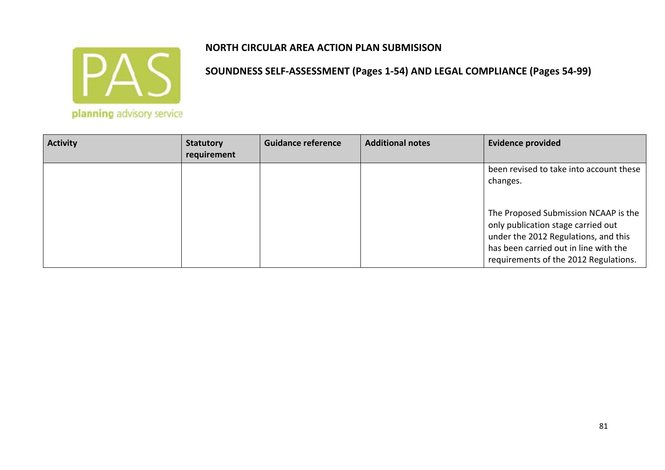

| <b>Activity</b> | <b>Statutory</b><br>requirement | <b>Guidance reference</b> | <b>Additional notes</b> | <b>Evidence provided</b>                                                      |
|-----------------|---------------------------------|---------------------------|-------------------------|-------------------------------------------------------------------------------|
|                 |                                 |                           |                         | been revised to take into account these<br>changes.                           |
|                 |                                 |                           |                         |                                                                               |
|                 |                                 |                           |                         | The Proposed Submission NCAAP is the                                          |
|                 |                                 |                           |                         | only publication stage carried out                                            |
|                 |                                 |                           |                         | has been carried out in line with the                                         |
|                 |                                 |                           |                         | under the 2012 Regulations, and this<br>requirements of the 2012 Regulations. |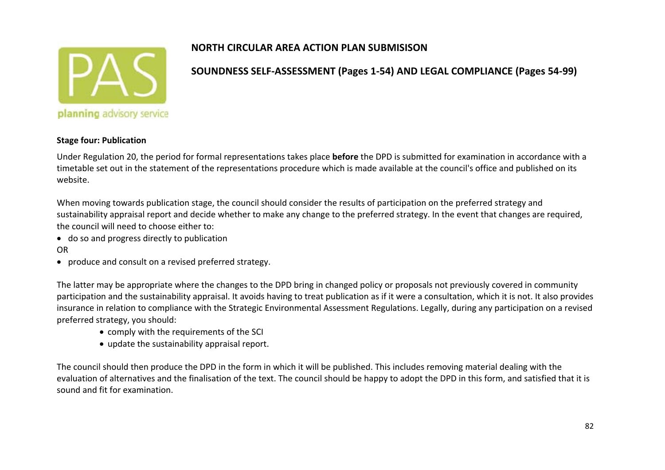

## **SOUNDNESS SELF‐ASSESSMENT (Pages 1‐54) AND LEGAL COMPLIANCE (Pages 54‐99)**

#### **Stage four: Publication**

Under Regulation 20, the period for formal representations takes place **before** the DPD is submitted for examination in accordance with <sup>a</sup> timetable set out in the statement of the representations procedure which is made available at the council's office and published on its website.

When moving towards publication stage, the council should consider the results of participation on the preferred strategy and sustainability appraisal report and decide whether to make any change to the preferred strategy. In the event that changes are required, the council will need to choose either to:

- do so and progress directly to publication
- OR
- produce and consult on <sup>a</sup> revised preferred strategy.

The latter may be appropriate where the changes to the DPD bring in changed policy or proposals not previously covered in community participation and the sustainability appraisal. It avoids having to treat publication as if it were <sup>a</sup> consultation, which it is not. It also provides insurance in relation to compliance with the Strategic Environmental Assessment Regulations. Legally, during any participation on <sup>a</sup> revised preferred strategy, you should:

- comply with the requirements of the SCI
- update the sustainability appraisal report.

The council should then produce the DPD in the form in which it will be published. This includes removing material dealing with the evaluation of alternatives and the finalisation of the text. The council should be happy to adopt the DPD in this form, and satisfied that it is sound and fit for examination.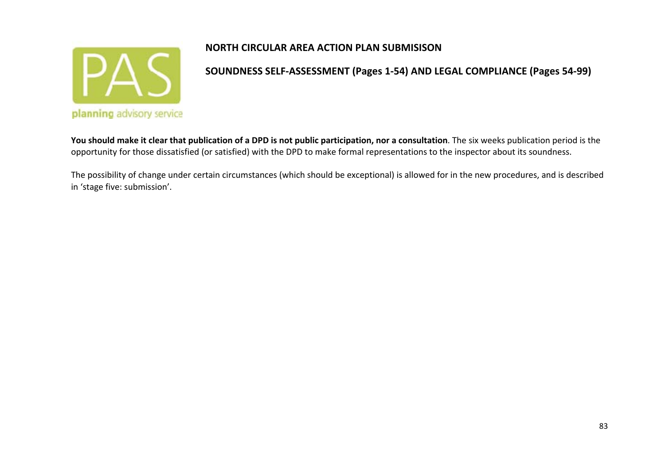

**SOUNDNESS SELF‐ASSESSMENT (Pages 1‐54) AND LEGAL COMPLIANCE (Pages 54‐99)**

You should make it clear that publication of a DPD is not public participation, nor a consultation. The six weeks publication period is the opportunity for those dissatisfied (or satisfied) with the DPD to make formal representations to the inspector about its soundness.

The possibility of change under certain circumstances (which should be exceptional) is allowed for in the new procedures, and is described in 'stage five: submission'.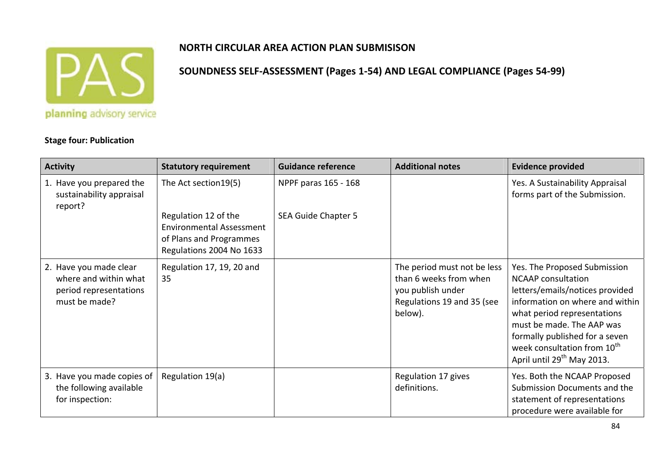

**SOUNDNESS SELF‐ASSESSMENT (Pages 1‐54) AND LEGAL COMPLIANCE (Pages 54‐99)**

**Stage four: Publication**

| <b>Activity</b>                                                                            | <b>Statutory requirement</b>                                                                                   | <b>Guidance reference</b>  | <b>Additional notes</b>                                                                                             | <b>Evidence provided</b>                                                                                                                                                                                                                                                                                           |
|--------------------------------------------------------------------------------------------|----------------------------------------------------------------------------------------------------------------|----------------------------|---------------------------------------------------------------------------------------------------------------------|--------------------------------------------------------------------------------------------------------------------------------------------------------------------------------------------------------------------------------------------------------------------------------------------------------------------|
| 1. Have you prepared the<br>sustainability appraisal<br>report?                            | The Act section 19(5)                                                                                          | NPPF paras 165 - 168       |                                                                                                                     | Yes. A Sustainability Appraisal<br>forms part of the Submission.                                                                                                                                                                                                                                                   |
|                                                                                            | Regulation 12 of the<br><b>Environmental Assessment</b><br>of Plans and Programmes<br>Regulations 2004 No 1633 | <b>SEA Guide Chapter 5</b> |                                                                                                                     |                                                                                                                                                                                                                                                                                                                    |
| 2. Have you made clear<br>where and within what<br>period representations<br>must be made? | Regulation 17, 19, 20 and<br>35                                                                                |                            | The period must not be less<br>than 6 weeks from when<br>you publish under<br>Regulations 19 and 35 (see<br>below). | Yes. The Proposed Submission<br><b>NCAAP</b> consultation<br>letters/emails/notices provided<br>information on where and within<br>what period representations<br>must be made. The AAP was<br>formally published for a seven<br>week consultation from 10 <sup>th</sup><br>April until 29 <sup>th</sup> May 2013. |
| 3. Have you made copies of<br>the following available<br>for inspection:                   | Regulation 19(a)                                                                                               |                            | Regulation 17 gives<br>definitions.                                                                                 | Yes. Both the NCAAP Proposed<br>Submission Documents and the<br>statement of representations<br>procedure were available for                                                                                                                                                                                       |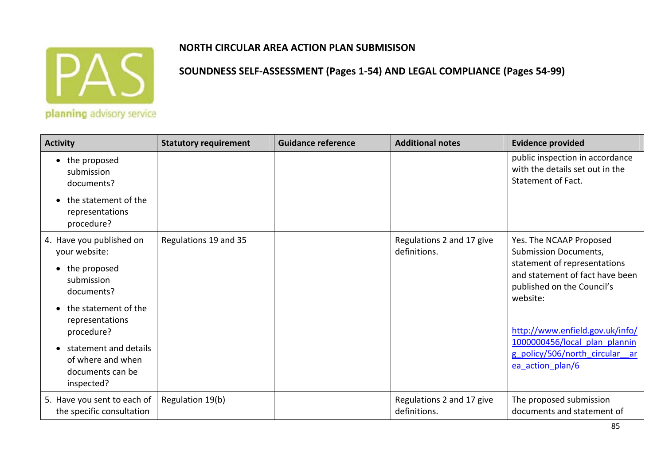

| <b>Activity</b>                                                              | <b>Statutory requirement</b> | <b>Guidance reference</b> | <b>Additional notes</b>                   | <b>Evidence provided</b>                                                                                  |
|------------------------------------------------------------------------------|------------------------------|---------------------------|-------------------------------------------|-----------------------------------------------------------------------------------------------------------|
| the proposed<br>submission<br>documents?                                     |                              |                           |                                           | public inspection in accordance<br>with the details set out in the<br>Statement of Fact.                  |
| the statement of the<br>representations<br>procedure?                        |                              |                           |                                           |                                                                                                           |
| 4. Have you published on<br>your website:                                    | Regulations 19 and 35        |                           | Regulations 2 and 17 give<br>definitions. | Yes. The NCAAP Proposed<br><b>Submission Documents,</b>                                                   |
| the proposed<br>submission<br>documents?                                     |                              |                           |                                           | statement of representations<br>and statement of fact have been<br>published on the Council's<br>website: |
| the statement of the<br>representations<br>procedure?                        |                              |                           |                                           | http://www.enfield.gov.uk/info/                                                                           |
| statement and details<br>of where and when<br>documents can be<br>inspected? |                              |                           |                                           | 1000000456/local plan plannin<br>g policy/506/north circular ar<br>ea action plan/6                       |
| 5. Have you sent to each of<br>the specific consultation                     | Regulation 19(b)             |                           | Regulations 2 and 17 give<br>definitions. | The proposed submission<br>documents and statement of                                                     |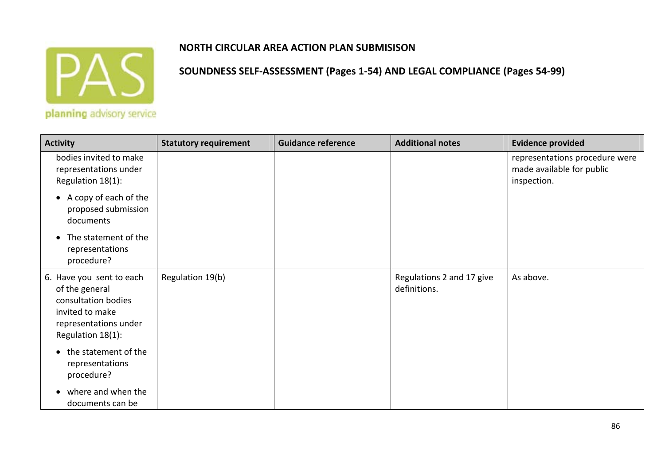

| <b>Activity</b>                                                                                                                    | <b>Statutory requirement</b> | <b>Guidance reference</b> | <b>Additional notes</b>                   | <b>Evidence provided</b>                                                   |
|------------------------------------------------------------------------------------------------------------------------------------|------------------------------|---------------------------|-------------------------------------------|----------------------------------------------------------------------------|
| bodies invited to make<br>representations under<br>Regulation 18(1):                                                               |                              |                           |                                           | representations procedure were<br>made available for public<br>inspection. |
| A copy of each of the<br>$\bullet$<br>proposed submission<br>documents                                                             |                              |                           |                                           |                                                                            |
| The statement of the<br>$\bullet$<br>representations<br>procedure?                                                                 |                              |                           |                                           |                                                                            |
| 6. Have you sent to each<br>of the general<br>consultation bodies<br>invited to make<br>representations under<br>Regulation 18(1): | Regulation 19(b)             |                           | Regulations 2 and 17 give<br>definitions. | As above.                                                                  |
| the statement of the<br>$\bullet$<br>representations<br>procedure?                                                                 |                              |                           |                                           |                                                                            |
| where and when the<br>documents can be                                                                                             |                              |                           |                                           |                                                                            |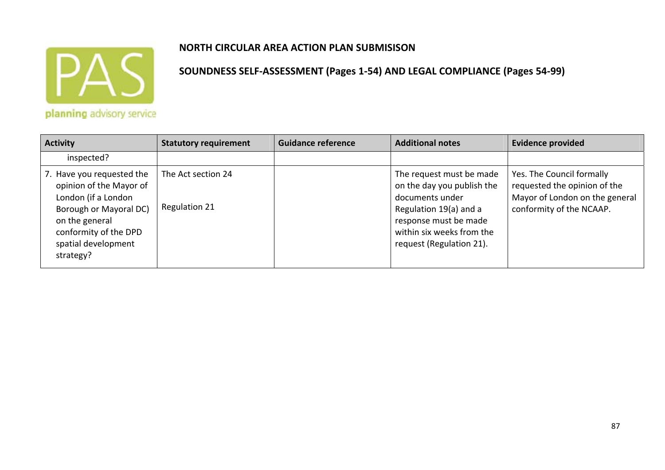

| <b>Activity</b>                                                                                                                                                                      | <b>Statutory requirement</b>               | <b>Guidance reference</b> | <b>Additional notes</b>                                                                                                                                                               | <b>Evidence provided</b>                                                                                                |
|--------------------------------------------------------------------------------------------------------------------------------------------------------------------------------------|--------------------------------------------|---------------------------|---------------------------------------------------------------------------------------------------------------------------------------------------------------------------------------|-------------------------------------------------------------------------------------------------------------------------|
| inspected?                                                                                                                                                                           |                                            |                           |                                                                                                                                                                                       |                                                                                                                         |
| 7. Have you requested the<br>opinion of the Mayor of<br>London (if a London<br>Borough or Mayoral DC)<br>on the general<br>conformity of the DPD<br>spatial development<br>strategy? | The Act section 24<br><b>Regulation 21</b> |                           | The request must be made<br>on the day you publish the<br>documents under<br>Regulation 19(a) and a<br>response must be made<br>within six weeks from the<br>request (Regulation 21). | Yes. The Council formally<br>requested the opinion of the<br>Mayor of London on the general<br>conformity of the NCAAP. |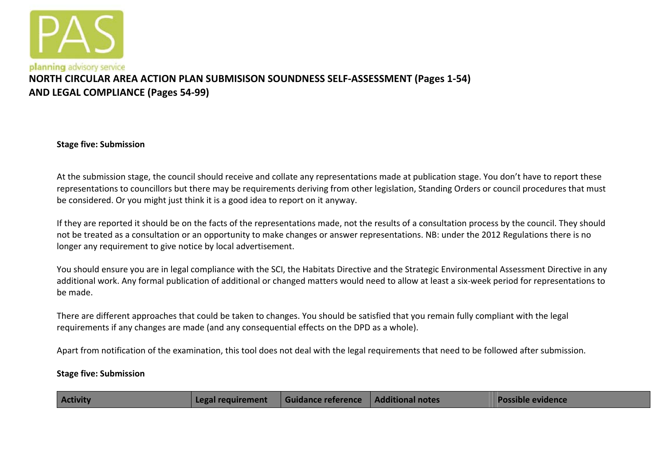

# **NORTH CIRCULAR AREA ACTION PLAN SUBMISISON SOUNDNESS SELF‐ASSESSMENT (Pages 1‐54) AND LEGAL COMPLIANCE (Pages 54‐99)**

**Stage five: Submission**

At the submission stage, the council should receive and collate any representations made at publication stage. You don't have to report these representations to councillors but there may be requirements deriving from other legislation, Standing Orders or council procedures that must be considered. Or you might just think it is <sup>a</sup> good idea to report on it anyway.

If they are reported it should be on the facts of the representations made, not the results of <sup>a</sup> consultation process by the council. They should not be treated as <sup>a</sup> consultation or an opportunity to make changes or answer representations. NB: under the 2012 Regulations there is no longer any requirement to give notice by local advertisement.

You should ensure you are in legal compliance with the SCI, the Habitats Directive and the Strategic Environmental Assessment Directive in any additional work. Any formal publication of additional or changed matters would need to allow at least <sup>a</sup> six‐week period for representations to be made.

There are different approaches that could be taken to changes. You should be satisfied that you remain fully compliant with the legal requirements if any changes are made (and any consequential effects on the DPD as <sup>a</sup> whole).

Apart from notification of the examination, this tool does not deal with the legal requirements that need to be followed after submission.

#### **Stage five: Submission**

| <b>Activity</b><br>Guidance reference   Additional notes<br>Legal requirement |  | <b>Possible evidence</b> |
|-------------------------------------------------------------------------------|--|--------------------------|
|-------------------------------------------------------------------------------|--|--------------------------|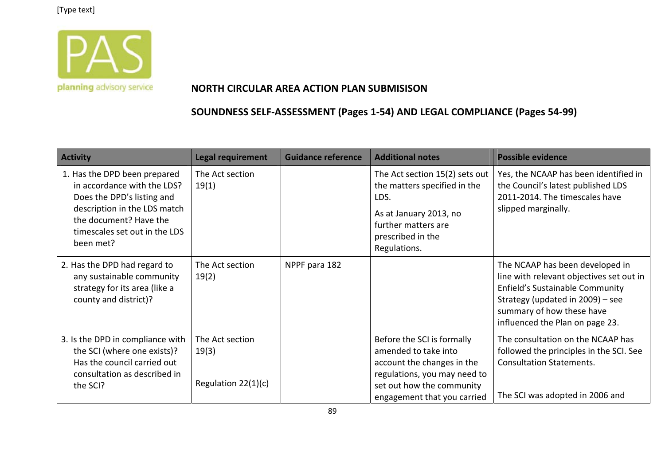

### **NORTH CIRCULAR AREA ACTION PLAN SUBMISISON**

| <b>Activity</b>                                                                                                                                                                                   | <b>Legal requirement</b>                          | <b>Guidance reference</b> | <b>Additional notes</b>                                                                                                                                                      | <b>Possible evidence</b>                                                                                                                                                                                           |
|---------------------------------------------------------------------------------------------------------------------------------------------------------------------------------------------------|---------------------------------------------------|---------------------------|------------------------------------------------------------------------------------------------------------------------------------------------------------------------------|--------------------------------------------------------------------------------------------------------------------------------------------------------------------------------------------------------------------|
| 1. Has the DPD been prepared<br>in accordance with the LDS?<br>Does the DPD's listing and<br>description in the LDS match<br>the document? Have the<br>timescales set out in the LDS<br>been met? | The Act section<br>19(1)                          |                           | The Act section 15(2) sets out<br>the matters specified in the<br>LDS.<br>As at January 2013, no<br>further matters are<br>prescribed in the<br>Regulations.                 | Yes, the NCAAP has been identified in<br>the Council's latest published LDS<br>2011-2014. The timescales have<br>slipped marginally.                                                                               |
| 2. Has the DPD had regard to<br>any sustainable community<br>strategy for its area (like a<br>county and district)?                                                                               | The Act section<br>19(2)                          | NPPF para 182             |                                                                                                                                                                              | The NCAAP has been developed in<br>line with relevant objectives set out in<br>Enfield's Sustainable Community<br>Strategy (updated in 2009) - see<br>summary of how these have<br>influenced the Plan on page 23. |
| 3. Is the DPD in compliance with<br>the SCI (where one exists)?<br>Has the council carried out<br>consultation as described in<br>the SCI?                                                        | The Act section<br>19(3)<br>Regulation $22(1)(c)$ |                           | Before the SCI is formally<br>amended to take into<br>account the changes in the<br>regulations, you may need to<br>set out how the community<br>engagement that you carried | The consultation on the NCAAP has<br>followed the principles in the SCI. See<br><b>Consultation Statements.</b><br>The SCI was adopted in 2006 and                                                                 |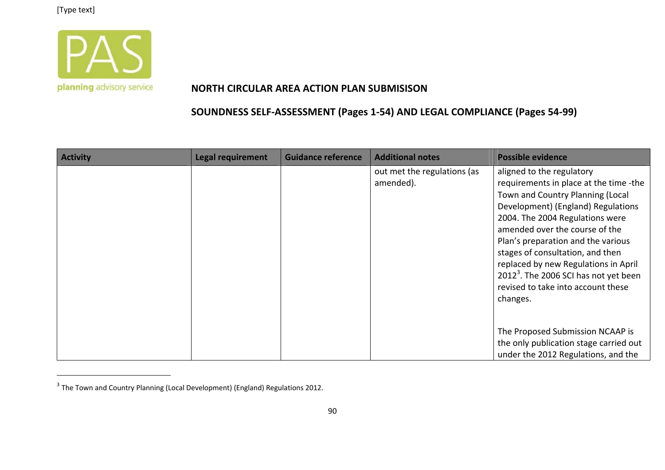

#### **NORTH CIRCULAR AREA ACTION PLAN SUBMISISON**

| <b>Activity</b> | <b>Legal requirement</b> | <b>Guidance reference</b> | <b>Additional notes</b>                  | <b>Possible evidence</b>                                                                                                                                                                                                                                                                                                                                                                                                                    |
|-----------------|--------------------------|---------------------------|------------------------------------------|---------------------------------------------------------------------------------------------------------------------------------------------------------------------------------------------------------------------------------------------------------------------------------------------------------------------------------------------------------------------------------------------------------------------------------------------|
|                 |                          |                           | out met the regulations (as<br>amended). | aligned to the regulatory<br>requirements in place at the time -the<br>Town and Country Planning (Local<br>Development) (England) Regulations<br>2004. The 2004 Regulations were<br>amended over the course of the<br>Plan's preparation and the various<br>stages of consultation, and then<br>replaced by new Regulations in April<br>2012 <sup>3</sup> . The 2006 SCI has not yet been<br>revised to take into account these<br>changes. |
|                 |                          |                           |                                          | The Proposed Submission NCAAP is                                                                                                                                                                                                                                                                                                                                                                                                            |
|                 |                          |                           |                                          | the only publication stage carried out                                                                                                                                                                                                                                                                                                                                                                                                      |
|                 |                          |                           |                                          | under the 2012 Regulations, and the                                                                                                                                                                                                                                                                                                                                                                                                         |

 $^3$  The Town and Country Planning (Local Development) (England) Regulations 2012.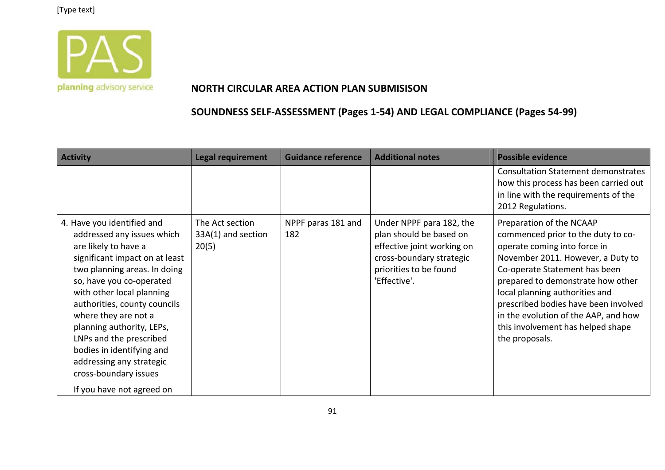

#### **NORTH CIRCULAR AREA ACTION PLAN SUBMISISON**

| <b>Activity</b>                                                                                                                                                                                                                                                                                                                                                                                                                            | <b>Legal requirement</b>                       | <b>Guidance reference</b> | <b>Additional notes</b>                                                                                                                                 | <b>Possible evidence</b>                                                                                                                                                                                                                                                                                                                                                           |
|--------------------------------------------------------------------------------------------------------------------------------------------------------------------------------------------------------------------------------------------------------------------------------------------------------------------------------------------------------------------------------------------------------------------------------------------|------------------------------------------------|---------------------------|---------------------------------------------------------------------------------------------------------------------------------------------------------|------------------------------------------------------------------------------------------------------------------------------------------------------------------------------------------------------------------------------------------------------------------------------------------------------------------------------------------------------------------------------------|
|                                                                                                                                                                                                                                                                                                                                                                                                                                            |                                                |                           |                                                                                                                                                         | <b>Consultation Statement demonstrates</b><br>how this process has been carried out<br>in line with the requirements of the<br>2012 Regulations.                                                                                                                                                                                                                                   |
| 4. Have you identified and<br>addressed any issues which<br>are likely to have a<br>significant impact on at least<br>two planning areas. In doing<br>so, have you co-operated<br>with other local planning<br>authorities, county councils<br>where they are not a<br>planning authority, LEPs,<br>LNPs and the prescribed<br>bodies in identifying and<br>addressing any strategic<br>cross-boundary issues<br>If you have not agreed on | The Act section<br>33A(1) and section<br>20(5) | NPPF paras 181 and<br>182 | Under NPPF para 182, the<br>plan should be based on<br>effective joint working on<br>cross-boundary strategic<br>priorities to be found<br>'Effective'. | Preparation of the NCAAP<br>commenced prior to the duty to co-<br>operate coming into force in<br>November 2011. However, a Duty to<br>Co-operate Statement has been<br>prepared to demonstrate how other<br>local planning authorities and<br>prescribed bodies have been involved<br>in the evolution of the AAP, and how<br>this involvement has helped shape<br>the proposals. |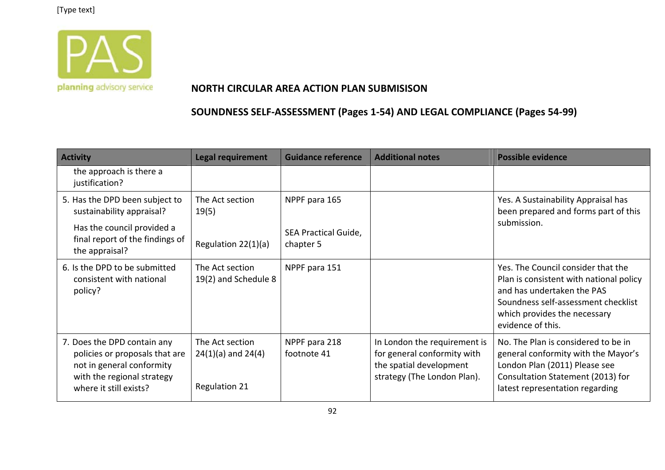

### **NORTH CIRCULAR AREA ACTION PLAN SUBMISISON**

| <b>Activity</b>                                                                                                                                    | <b>Legal requirement</b>                                          | <b>Guidance reference</b>         | <b>Additional notes</b>                                                                                               | <b>Possible evidence</b>                                                                                                                                                                                |
|----------------------------------------------------------------------------------------------------------------------------------------------------|-------------------------------------------------------------------|-----------------------------------|-----------------------------------------------------------------------------------------------------------------------|---------------------------------------------------------------------------------------------------------------------------------------------------------------------------------------------------------|
| the approach is there a<br>justification?                                                                                                          |                                                                   |                                   |                                                                                                                       |                                                                                                                                                                                                         |
| 5. Has the DPD been subject to<br>sustainability appraisal?                                                                                        | The Act section<br>19(5)                                          | NPPF para 165                     |                                                                                                                       | Yes. A Sustainability Appraisal has<br>been prepared and forms part of this                                                                                                                             |
| Has the council provided a<br>final report of the findings of<br>the appraisal?                                                                    | Regulation 22(1)(a)                                               | SEA Practical Guide,<br>chapter 5 |                                                                                                                       | submission.                                                                                                                                                                                             |
| 6. Is the DPD to be submitted<br>consistent with national<br>policy?                                                                               | The Act section<br>19(2) and Schedule 8                           | NPPF para 151                     |                                                                                                                       | Yes. The Council consider that the<br>Plan is consistent with national policy<br>and has undertaken the PAS<br>Soundness self-assessment checklist<br>which provides the necessary<br>evidence of this. |
| 7. Does the DPD contain any<br>policies or proposals that are<br>not in general conformity<br>with the regional strategy<br>where it still exists? | The Act section<br>$24(1)(a)$ and $24(4)$<br><b>Regulation 21</b> | NPPF para 218<br>footnote 41      | In London the requirement is<br>for general conformity with<br>the spatial development<br>strategy (The London Plan). | No. The Plan is considered to be in<br>general conformity with the Mayor's<br>London Plan (2011) Please see<br>Consultation Statement (2013) for<br>latest representation regarding                     |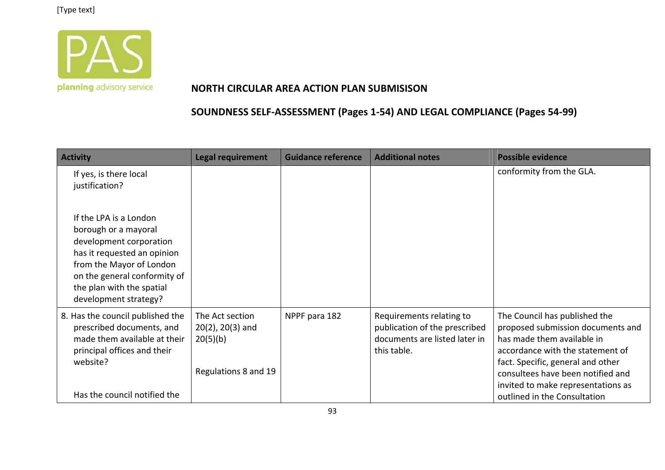

### **NORTH CIRCULAR AREA ACTION PLAN SUBMISISON**

| <b>Activity</b>                                                                                                                                                                                                            | <b>Legal requirement</b>                                                     | <b>Guidance reference</b> | <b>Additional notes</b>                                                                                   | <b>Possible evidence</b>                                                                                                                                                                                                                                                             |
|----------------------------------------------------------------------------------------------------------------------------------------------------------------------------------------------------------------------------|------------------------------------------------------------------------------|---------------------------|-----------------------------------------------------------------------------------------------------------|--------------------------------------------------------------------------------------------------------------------------------------------------------------------------------------------------------------------------------------------------------------------------------------|
| If yes, is there local<br>justification?                                                                                                                                                                                   |                                                                              |                           |                                                                                                           | conformity from the GLA.                                                                                                                                                                                                                                                             |
| If the LPA is a London<br>borough or a mayoral<br>development corporation<br>has it requested an opinion<br>from the Mayor of London<br>on the general conformity of<br>the plan with the spatial<br>development strategy? |                                                                              |                           |                                                                                                           |                                                                                                                                                                                                                                                                                      |
| 8. Has the council published the<br>prescribed documents, and<br>made them available at their<br>principal offices and their<br>website?<br>Has the council notified the                                                   | The Act section<br>$20(2)$ , $20(3)$ and<br>20(5)(b)<br>Regulations 8 and 19 | NPPF para 182             | Requirements relating to<br>publication of the prescribed<br>documents are listed later in<br>this table. | The Council has published the<br>proposed submission documents and<br>has made them available in<br>accordance with the statement of<br>fact. Specific, general and other<br>consultees have been notified and<br>invited to make representations as<br>outlined in the Consultation |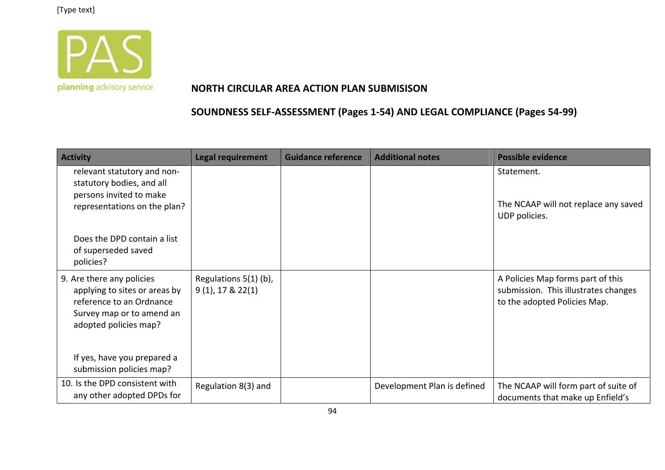

### **NORTH CIRCULAR AREA ACTION PLAN SUBMISISON**

| <b>Activity</b>                                                                                                                                                             | <b>Legal requirement</b>                     | <b>Guidance reference</b> | <b>Additional notes</b>     | <b>Possible evidence</b>                                                                                  |
|-----------------------------------------------------------------------------------------------------------------------------------------------------------------------------|----------------------------------------------|---------------------------|-----------------------------|-----------------------------------------------------------------------------------------------------------|
| relevant statutory and non-<br>statutory bodies, and all<br>persons invited to make<br>representations on the plan?                                                         |                                              |                           |                             | Statement.<br>The NCAAP will not replace any saved<br>UDP policies.                                       |
| Does the DPD contain a list<br>of superseded saved<br>policies?                                                                                                             |                                              |                           |                             |                                                                                                           |
| 9. Are there any policies<br>applying to sites or areas by<br>reference to an Ordnance<br>Survey map or to amend an<br>adopted policies map?<br>If yes, have you prepared a | Regulations 5(1) (b),<br>$9(1)$ , 17 & 22(1) |                           |                             | A Policies Map forms part of this<br>submission. This illustrates changes<br>to the adopted Policies Map. |
| submission policies map?                                                                                                                                                    |                                              |                           |                             |                                                                                                           |
| 10. Is the DPD consistent with<br>any other adopted DPDs for                                                                                                                | Regulation 8(3) and                          |                           | Development Plan is defined | The NCAAP will form part of suite of<br>documents that make up Enfield's                                  |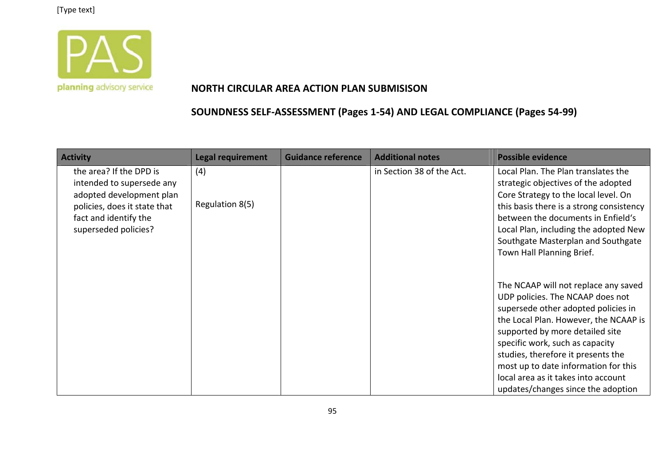

#### **NORTH CIRCULAR AREA ACTION PLAN SUBMISISON**

| <b>Activity</b>                                                                                                                                                   | <b>Legal requirement</b> | <b>Guidance reference</b> | <b>Additional notes</b>   | <b>Possible evidence</b>                                                                                                                                                                                                                                                                                                                                                                  |
|-------------------------------------------------------------------------------------------------------------------------------------------------------------------|--------------------------|---------------------------|---------------------------|-------------------------------------------------------------------------------------------------------------------------------------------------------------------------------------------------------------------------------------------------------------------------------------------------------------------------------------------------------------------------------------------|
| the area? If the DPD is<br>intended to supersede any<br>adopted development plan<br>policies, does it state that<br>fact and identify the<br>superseded policies? | (4)<br>Regulation 8(5)   |                           | in Section 38 of the Act. | Local Plan. The Plan translates the<br>strategic objectives of the adopted<br>Core Strategy to the local level. On<br>this basis there is a strong consistency<br>between the documents in Enfield's<br>Local Plan, including the adopted New<br>Southgate Masterplan and Southgate<br>Town Hall Planning Brief.                                                                          |
|                                                                                                                                                                   |                          |                           |                           | The NCAAP will not replace any saved<br>UDP policies. The NCAAP does not<br>supersede other adopted policies in<br>the Local Plan. However, the NCAAP is<br>supported by more detailed site<br>specific work, such as capacity<br>studies, therefore it presents the<br>most up to date information for this<br>local area as it takes into account<br>updates/changes since the adoption |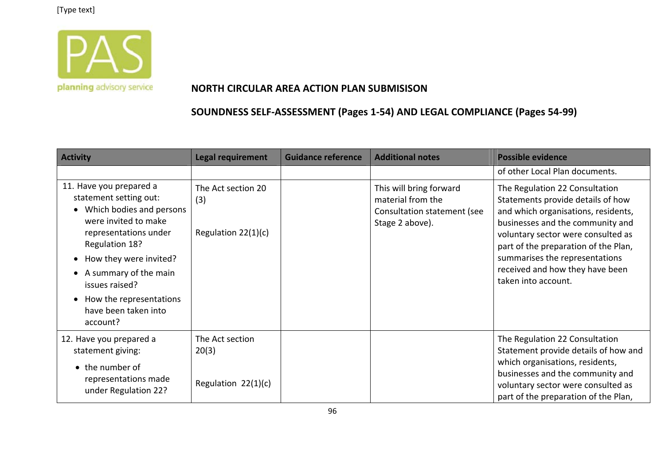

### **NORTH CIRCULAR AREA ACTION PLAN SUBMISISON**

| <b>Activity</b>                                                                                                                                                            | <b>Legal requirement</b>                           | <b>Guidance reference</b> | <b>Additional notes</b>                                                                        | <b>Possible evidence</b>                                                                                                                                                                                                                                       |
|----------------------------------------------------------------------------------------------------------------------------------------------------------------------------|----------------------------------------------------|---------------------------|------------------------------------------------------------------------------------------------|----------------------------------------------------------------------------------------------------------------------------------------------------------------------------------------------------------------------------------------------------------------|
|                                                                                                                                                                            |                                                    |                           |                                                                                                | of other Local Plan documents.                                                                                                                                                                                                                                 |
| 11. Have you prepared a<br>statement setting out:<br>Which bodies and persons<br>were invited to make<br>representations under<br>Regulation 18?<br>How they were invited? | The Act section 20<br>(3)<br>Regulation $22(1)(c)$ |                           | This will bring forward<br>material from the<br>Consultation statement (see<br>Stage 2 above). | The Regulation 22 Consultation<br>Statements provide details of how<br>and which organisations, residents,<br>businesses and the community and<br>voluntary sector were consulted as<br>part of the preparation of the Plan,<br>summarises the representations |
| A summary of the main<br>issues raised?<br>How the representations<br>have been taken into<br>account?                                                                     |                                                    |                           |                                                                                                | received and how they have been<br>taken into account.                                                                                                                                                                                                         |
| 12. Have you prepared a<br>statement giving:                                                                                                                               | The Act section<br>20(3)                           |                           |                                                                                                | The Regulation 22 Consultation<br>Statement provide details of how and<br>which organisations, residents,                                                                                                                                                      |
| • the number of<br>representations made<br>under Regulation 22?                                                                                                            | Regulation 22(1)(c)                                |                           |                                                                                                | businesses and the community and<br>voluntary sector were consulted as<br>part of the preparation of the Plan,                                                                                                                                                 |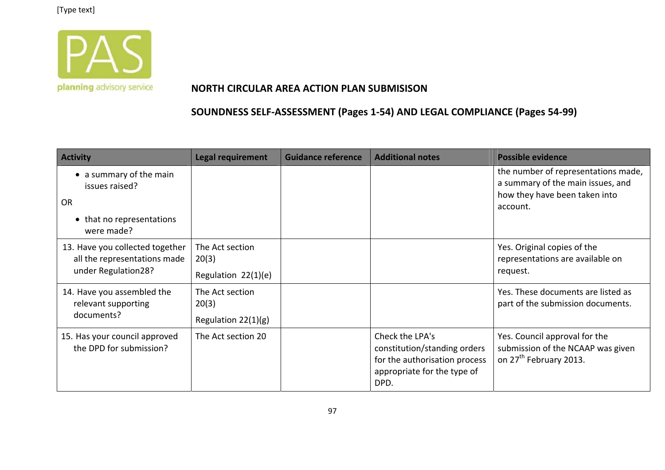

#### **NORTH CIRCULAR AREA ACTION PLAN SUBMISISON**

| <b>Activity</b>                                                                                   | <b>Legal requirement</b>                          | <b>Guidance reference</b> | <b>Additional notes</b>                                                                                                 | <b>Possible evidence</b>                                                                                              |
|---------------------------------------------------------------------------------------------------|---------------------------------------------------|---------------------------|-------------------------------------------------------------------------------------------------------------------------|-----------------------------------------------------------------------------------------------------------------------|
| • a summary of the main<br>issues raised?<br><b>OR</b><br>• that no representations<br>were made? |                                                   |                           |                                                                                                                         | the number of representations made,<br>a summary of the main issues, and<br>how they have been taken into<br>account. |
| 13. Have you collected together<br>all the representations made<br>under Regulation28?            | The Act section<br>20(3)<br>Regulation 22(1)(e)   |                           |                                                                                                                         | Yes. Original copies of the<br>representations are available on<br>request.                                           |
| 14. Have you assembled the<br>relevant supporting<br>documents?                                   | The Act section<br>20(3)<br>Regulation $22(1)(g)$ |                           |                                                                                                                         | Yes. These documents are listed as<br>part of the submission documents.                                               |
| 15. Has your council approved<br>the DPD for submission?                                          | The Act section 20                                |                           | Check the LPA's<br>constitution/standing orders<br>for the authorisation process<br>appropriate for the type of<br>DPD. | Yes. Council approval for the<br>submission of the NCAAP was given<br>on 27 <sup>th</sup> February 2013.              |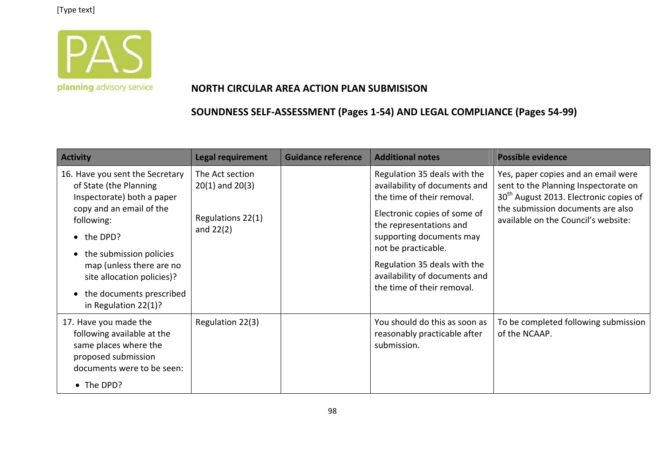

### **NORTH CIRCULAR AREA ACTION PLAN SUBMISISON**

| <b>Activity</b>                                                                                                                                                                                                                                                                          | <b>Legal requirement</b>                                                   | <b>Guidance reference</b> | <b>Additional notes</b>                                                                                                                                                                                                                                                                                  | <b>Possible evidence</b>                                                                                                                                                                                      |
|------------------------------------------------------------------------------------------------------------------------------------------------------------------------------------------------------------------------------------------------------------------------------------------|----------------------------------------------------------------------------|---------------------------|----------------------------------------------------------------------------------------------------------------------------------------------------------------------------------------------------------------------------------------------------------------------------------------------------------|---------------------------------------------------------------------------------------------------------------------------------------------------------------------------------------------------------------|
| 16. Have you sent the Secretary<br>of State (the Planning<br>Inspectorate) both a paper<br>copy and an email of the<br>following:<br>• the DPD?<br>the submission policies<br>map (unless there are no<br>site allocation policies)?<br>the documents prescribed<br>in Regulation 22(1)? | The Act section<br>$20(1)$ and $20(3)$<br>Regulations 22(1)<br>and $22(2)$ |                           | Regulation 35 deals with the<br>availability of documents and<br>the time of their removal.<br>Electronic copies of some of<br>the representations and<br>supporting documents may<br>not be practicable.<br>Regulation 35 deals with the<br>availability of documents and<br>the time of their removal. | Yes, paper copies and an email were<br>sent to the Planning Inspectorate on<br>30 <sup>th</sup> August 2013. Electronic copies of<br>the submission documents are also<br>available on the Council's website: |
| 17. Have you made the<br>following available at the<br>same places where the<br>proposed submission<br>documents were to be seen:<br>• The DPD?                                                                                                                                          | Regulation 22(3)                                                           |                           | You should do this as soon as<br>reasonably practicable after<br>submission.                                                                                                                                                                                                                             | To be completed following submission<br>of the NCAAP.                                                                                                                                                         |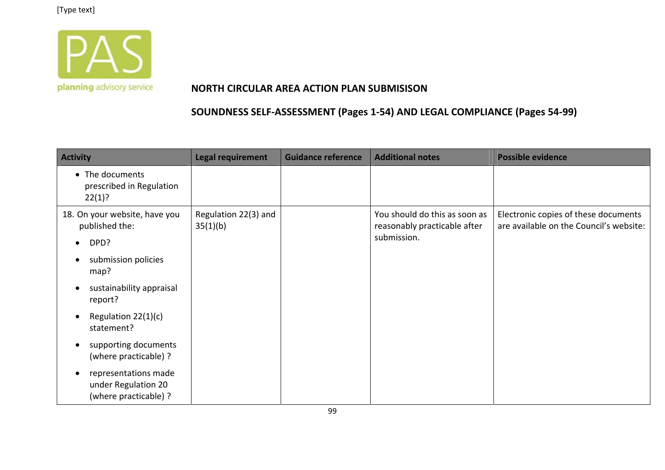

### **NORTH CIRCULAR AREA ACTION PLAN SUBMISISON**

| <b>Activity</b>                                                                   | <b>Legal requirement</b>         | <b>Guidance reference</b> | <b>Additional notes</b>                                                      | <b>Possible evidence</b>                                                        |
|-----------------------------------------------------------------------------------|----------------------------------|---------------------------|------------------------------------------------------------------------------|---------------------------------------------------------------------------------|
| • The documents<br>prescribed in Regulation<br>22(1)?                             |                                  |                           |                                                                              |                                                                                 |
| 18. On your website, have you<br>published the:<br>DPD?<br>$\bullet$              | Regulation 22(3) and<br>35(1)(b) |                           | You should do this as soon as<br>reasonably practicable after<br>submission. | Electronic copies of these documents<br>are available on the Council's website: |
| submission policies<br>о<br>map?                                                  |                                  |                           |                                                                              |                                                                                 |
| sustainability appraisal<br>$\bullet$<br>report?                                  |                                  |                           |                                                                              |                                                                                 |
| Regulation 22(1)(c)<br>$\bullet$<br>statement?                                    |                                  |                           |                                                                              |                                                                                 |
| supporting documents<br>٠<br>(where practicable) ?                                |                                  |                           |                                                                              |                                                                                 |
| representations made<br>$\bullet$<br>under Regulation 20<br>(where practicable) ? |                                  |                           |                                                                              |                                                                                 |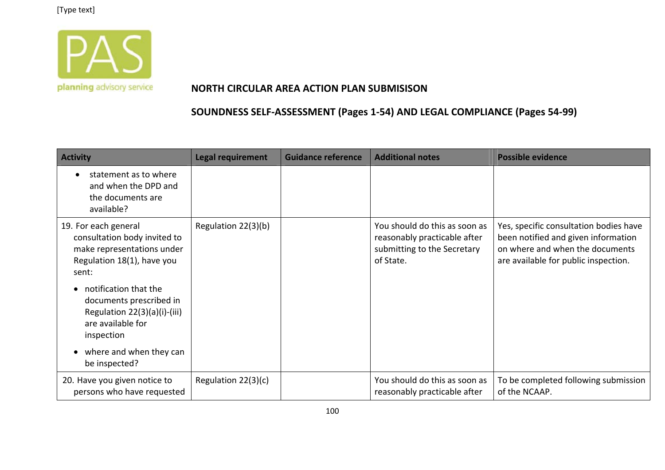

#### **NORTH CIRCULAR AREA ACTION PLAN SUBMISISON**

| <b>Activity</b>                                                                                                           | <b>Legal requirement</b> | <b>Guidance reference</b> | <b>Additional notes</b>                                                                                   | <b>Possible evidence</b>                                                                                                                                 |
|---------------------------------------------------------------------------------------------------------------------------|--------------------------|---------------------------|-----------------------------------------------------------------------------------------------------------|----------------------------------------------------------------------------------------------------------------------------------------------------------|
| statement as to where<br>$\bullet$<br>and when the DPD and<br>the documents are<br>available?                             |                          |                           |                                                                                                           |                                                                                                                                                          |
| 19. For each general<br>consultation body invited to<br>make representations under<br>Regulation 18(1), have you<br>sent: | Regulation 22(3)(b)      |                           | You should do this as soon as<br>reasonably practicable after<br>submitting to the Secretary<br>of State. | Yes, specific consultation bodies have<br>been notified and given information<br>on where and when the documents<br>are available for public inspection. |
| notification that the<br>documents prescribed in<br>Regulation 22(3)(a)(i)-(iii)<br>are available for<br>inspection       |                          |                           |                                                                                                           |                                                                                                                                                          |
| where and when they can<br>be inspected?                                                                                  |                          |                           |                                                                                                           |                                                                                                                                                          |
| 20. Have you given notice to<br>persons who have requested                                                                | Regulation 22(3)(c)      |                           | You should do this as soon as<br>reasonably practicable after                                             | To be completed following submission<br>of the NCAAP.                                                                                                    |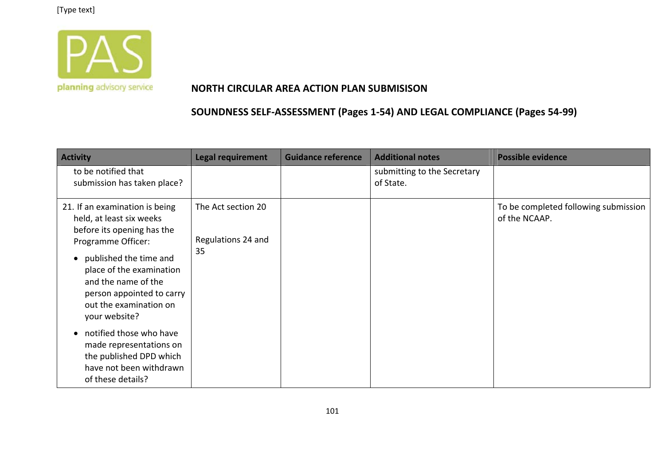

### **NORTH CIRCULAR AREA ACTION PLAN SUBMISISON**

| <b>Activity</b>                                                                                                                                                                                                                                                                                                                                                                 | <b>Legal requirement</b>                       | <b>Guidance reference</b> | <b>Additional notes</b>                  | <b>Possible evidence</b>                              |
|---------------------------------------------------------------------------------------------------------------------------------------------------------------------------------------------------------------------------------------------------------------------------------------------------------------------------------------------------------------------------------|------------------------------------------------|---------------------------|------------------------------------------|-------------------------------------------------------|
| to be notified that<br>submission has taken place?                                                                                                                                                                                                                                                                                                                              |                                                |                           | submitting to the Secretary<br>of State. |                                                       |
| 21. If an examination is being<br>held, at least six weeks<br>before its opening has the<br>Programme Officer:<br>published the time and<br>place of the examination<br>and the name of the<br>person appointed to carry<br>out the examination on<br>your website?<br>notified those who have<br>made representations on<br>the published DPD which<br>have not been withdrawn | The Act section 20<br>Regulations 24 and<br>35 |                           |                                          | To be completed following submission<br>of the NCAAP. |
| of these details?                                                                                                                                                                                                                                                                                                                                                               |                                                |                           |                                          |                                                       |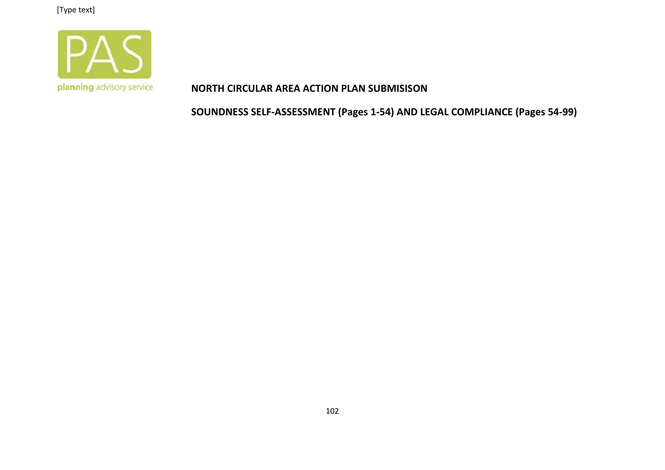

#### **NORTH CIRCULAR AREA ACTION PLAN SUBMISISON**